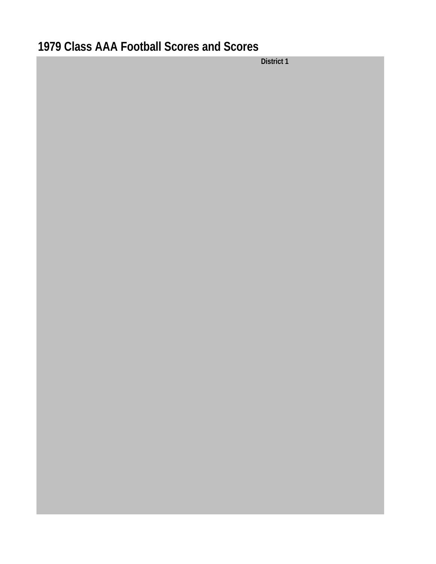## **1979 Class AAA Football Scores and Scores**

**District 1**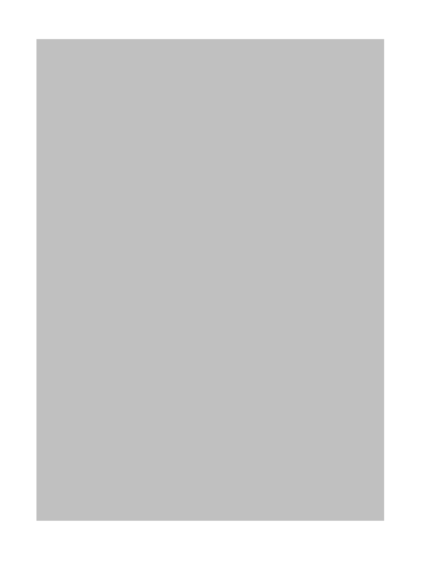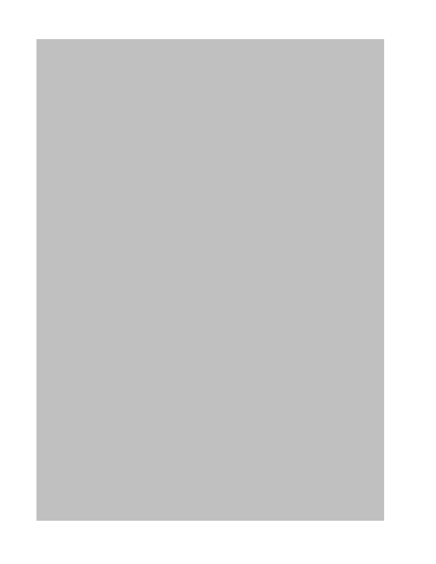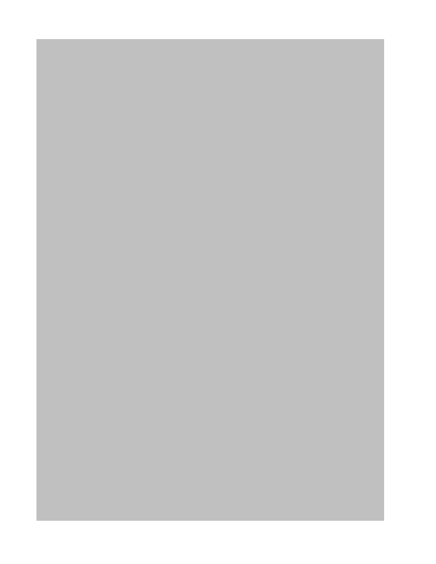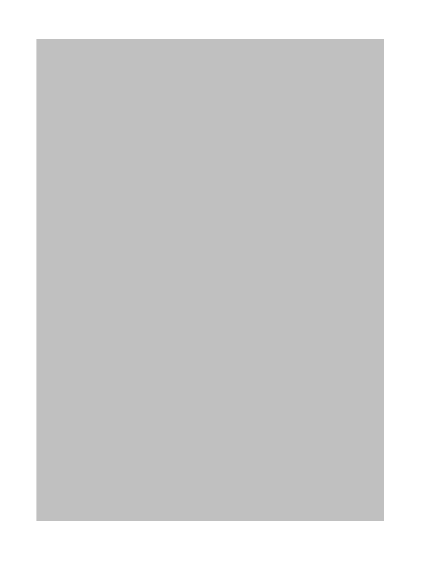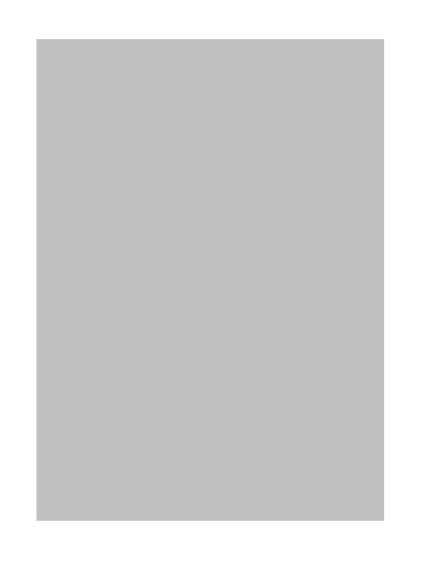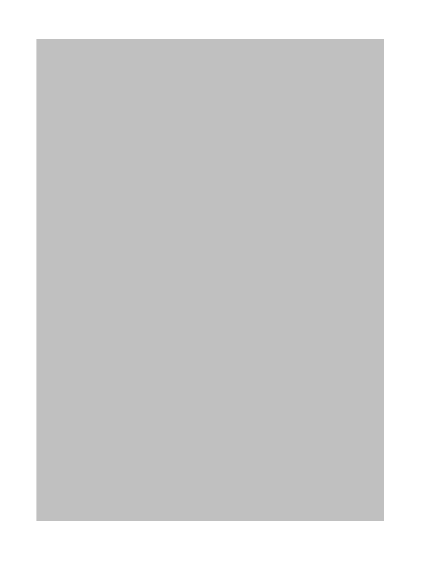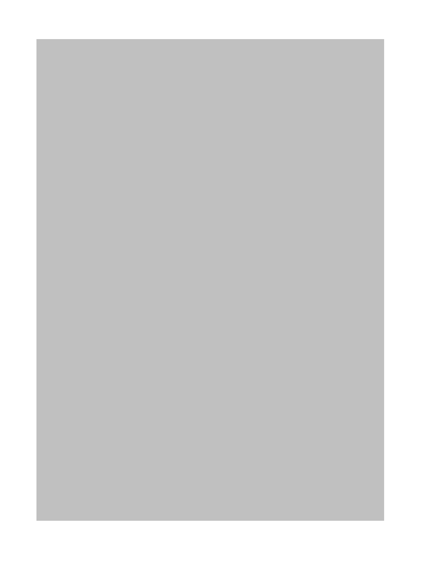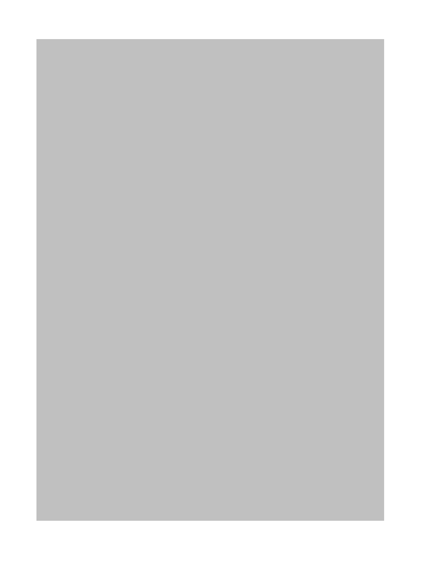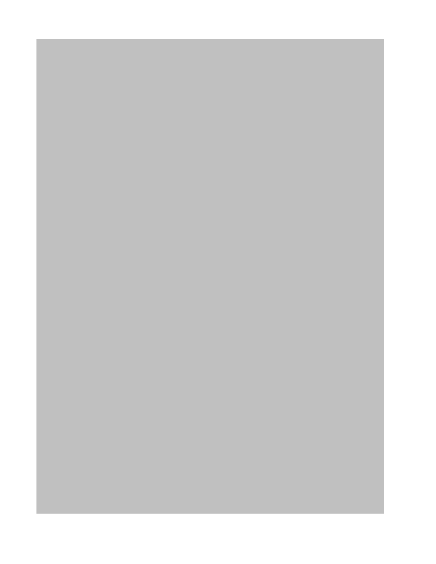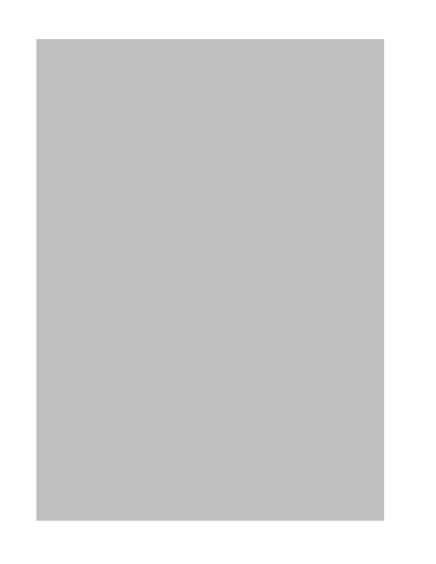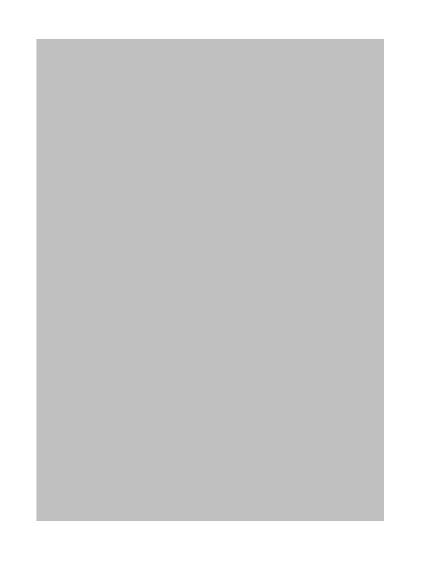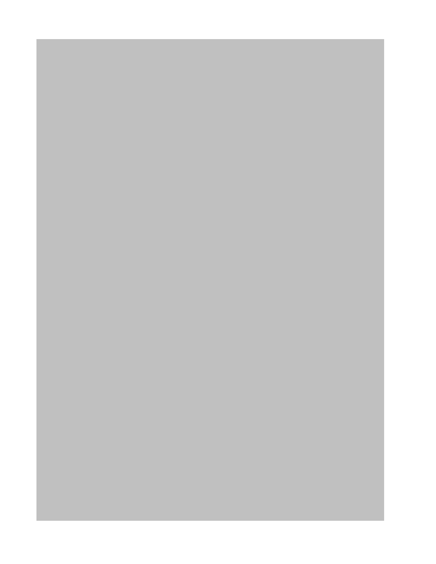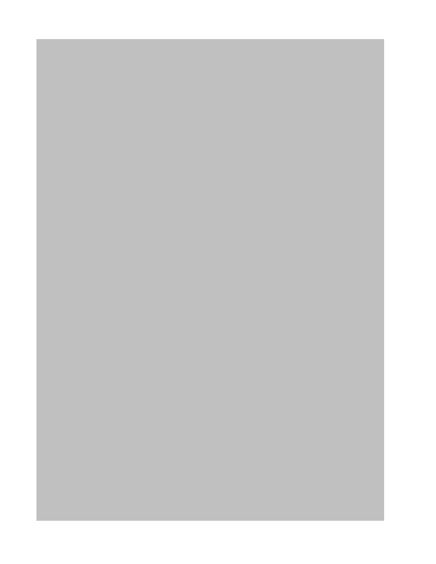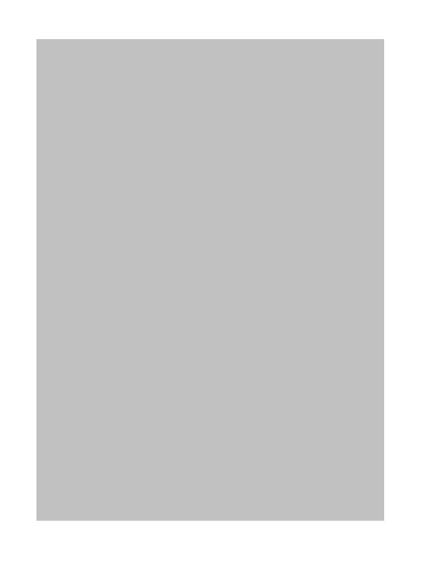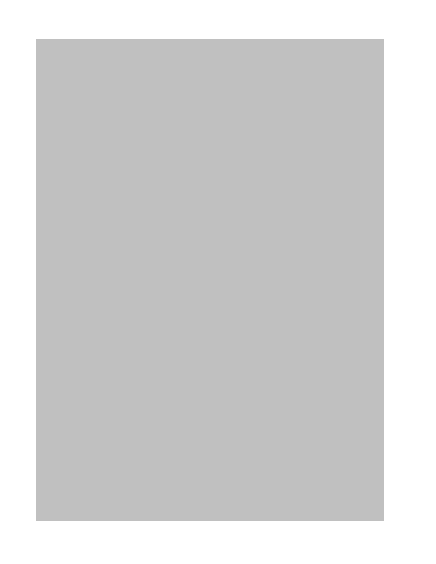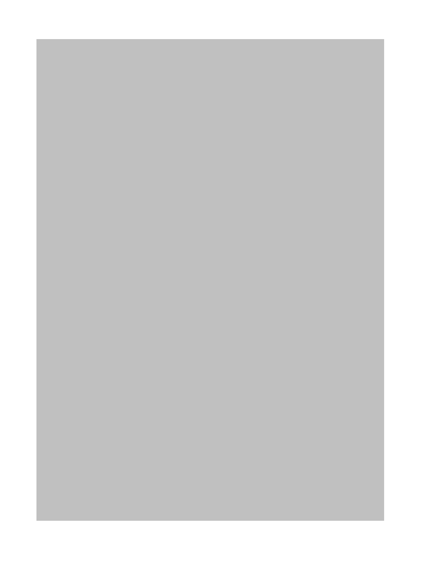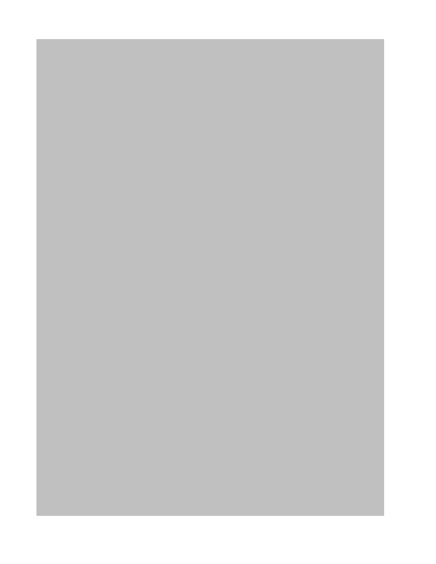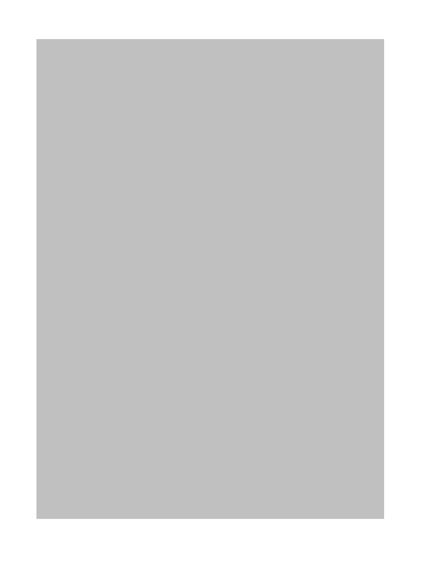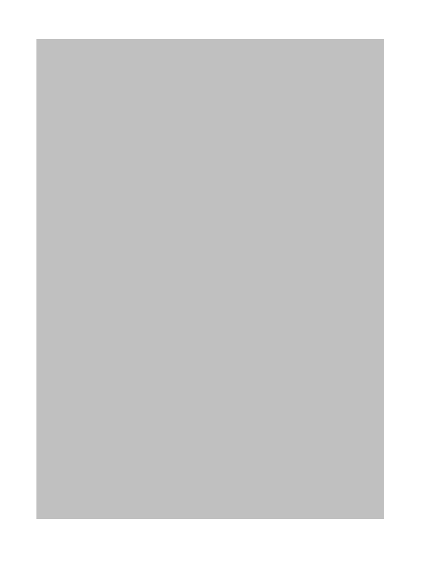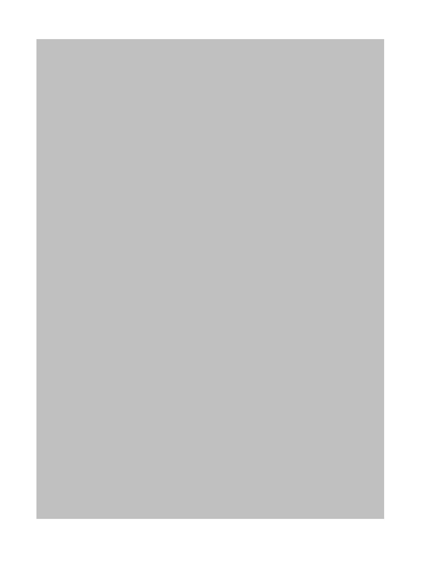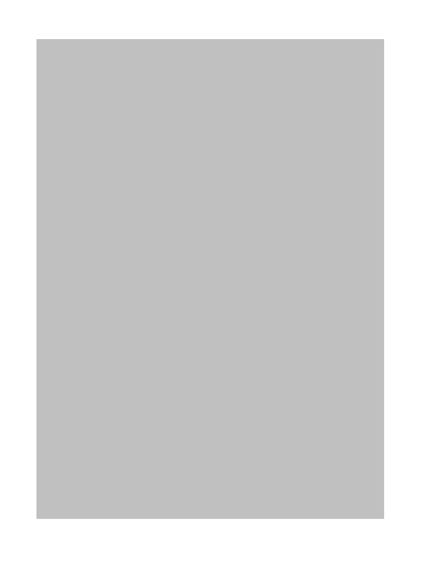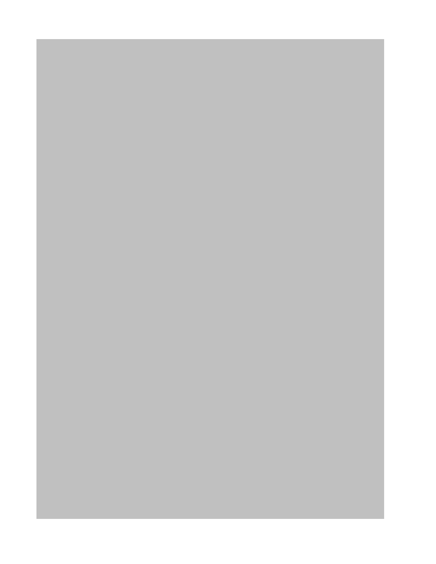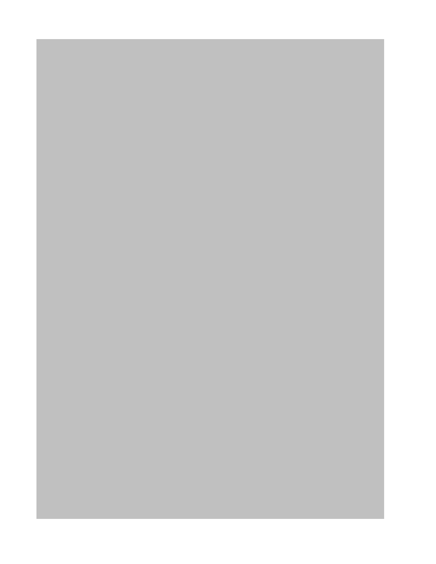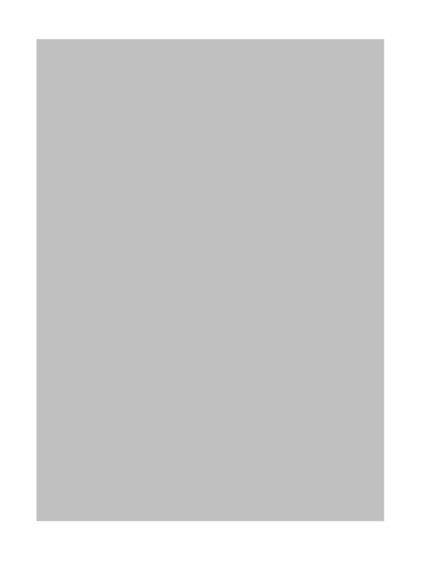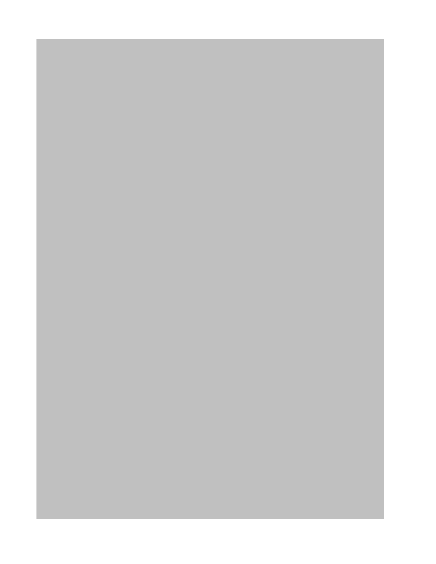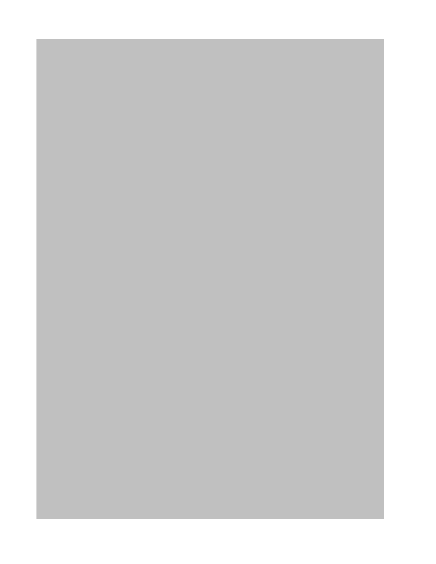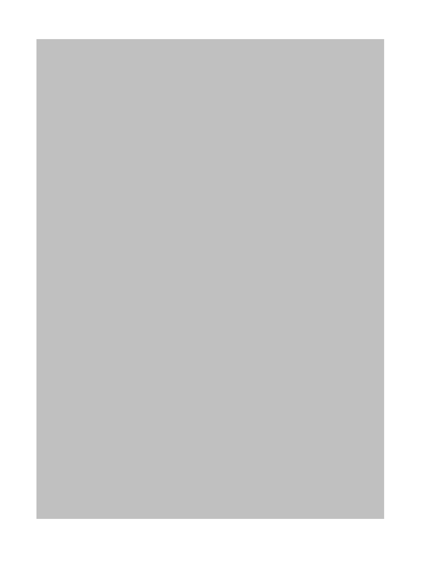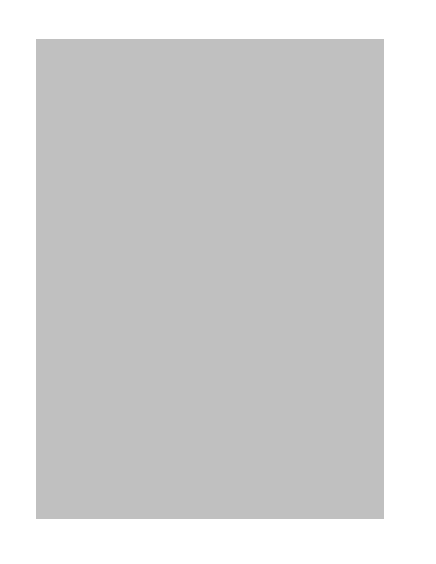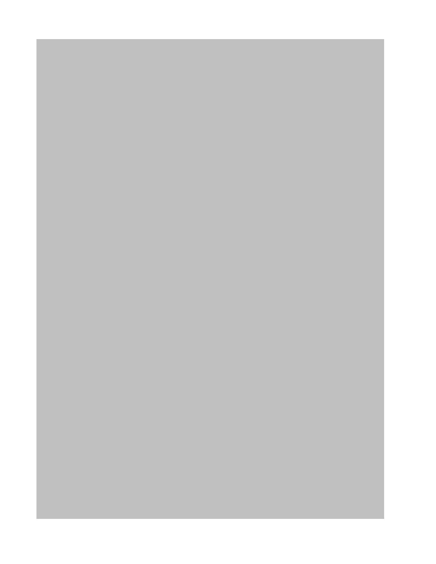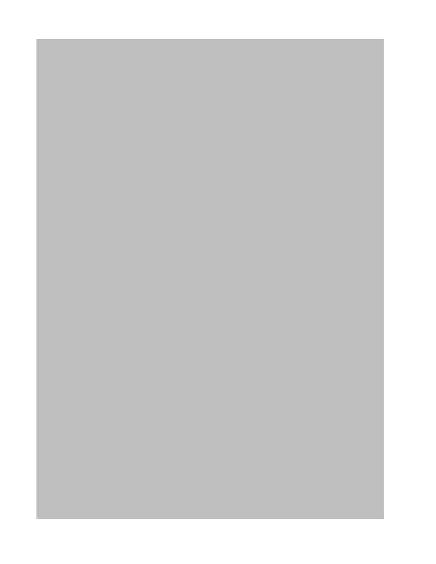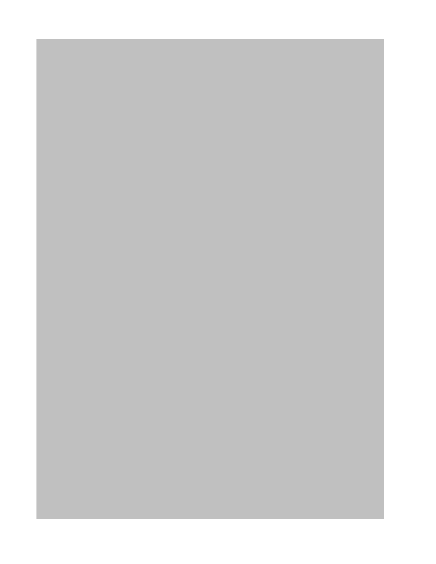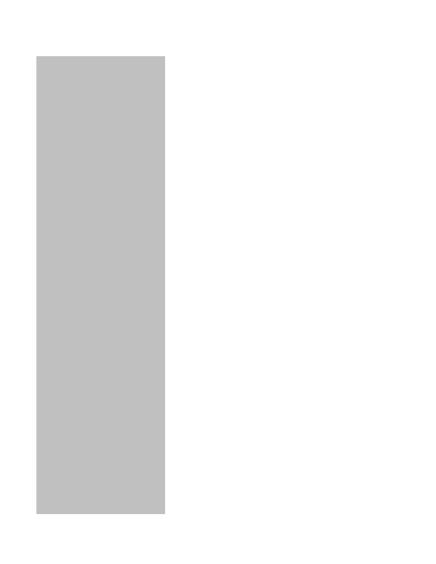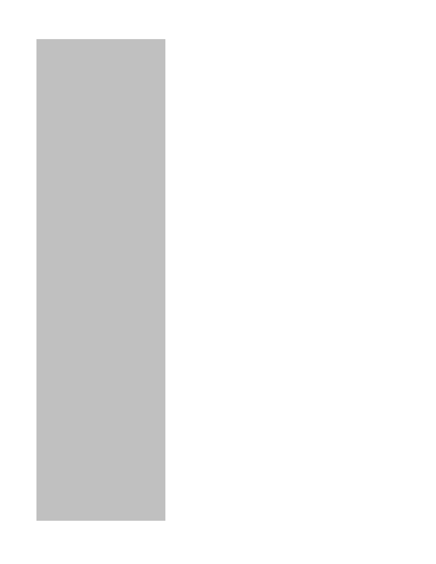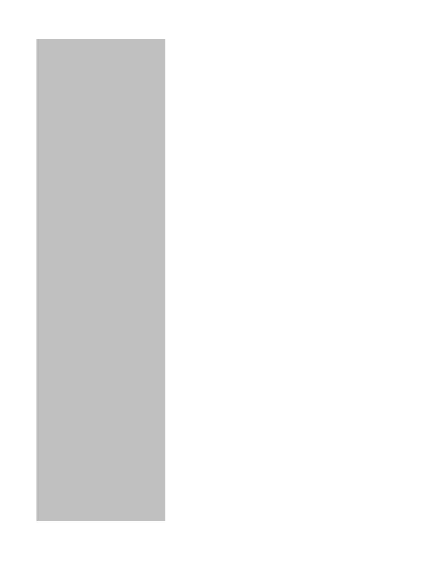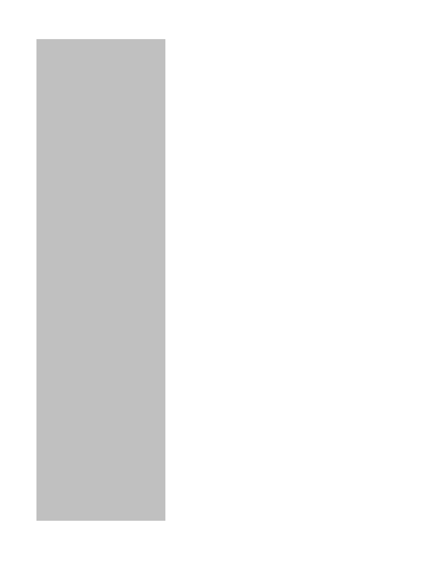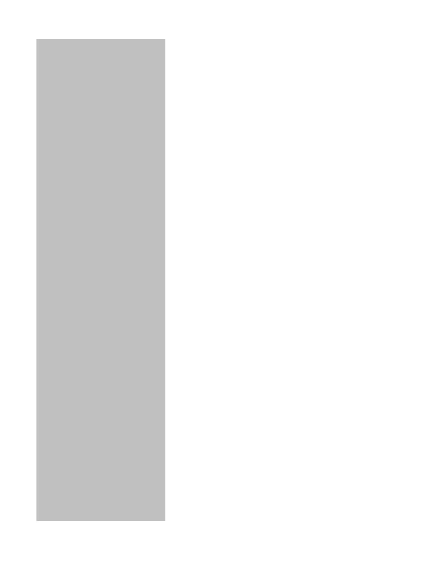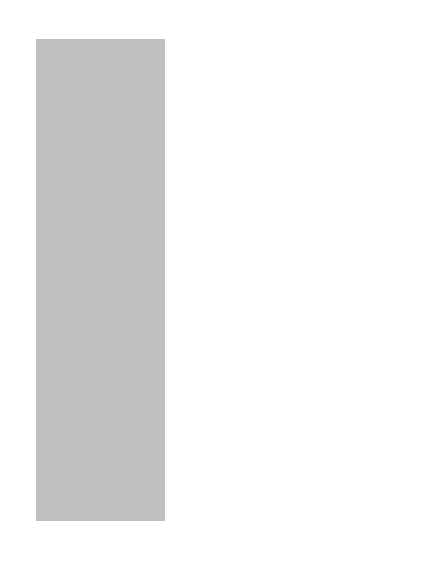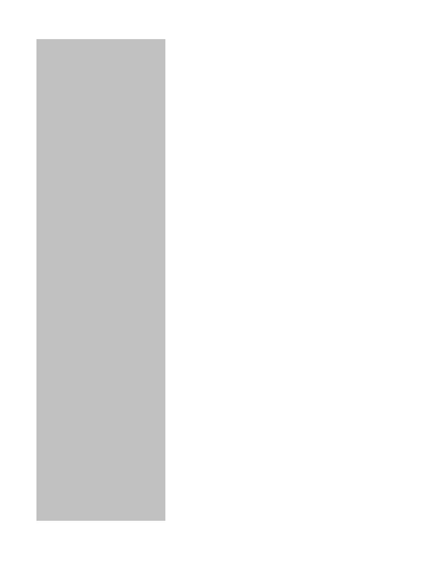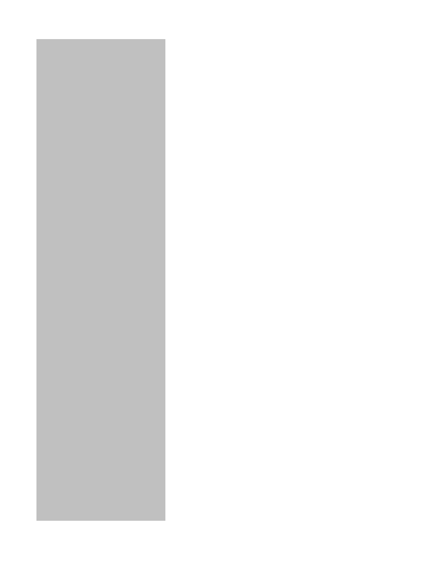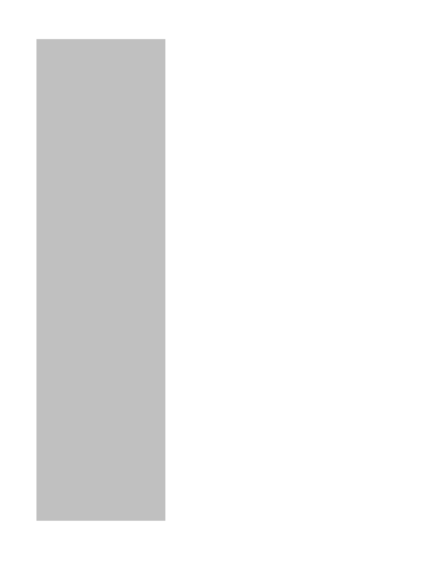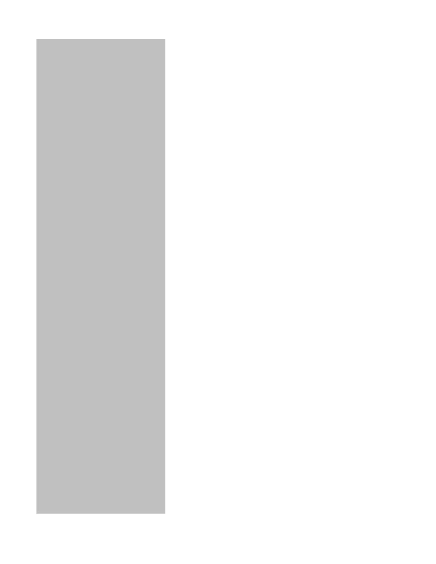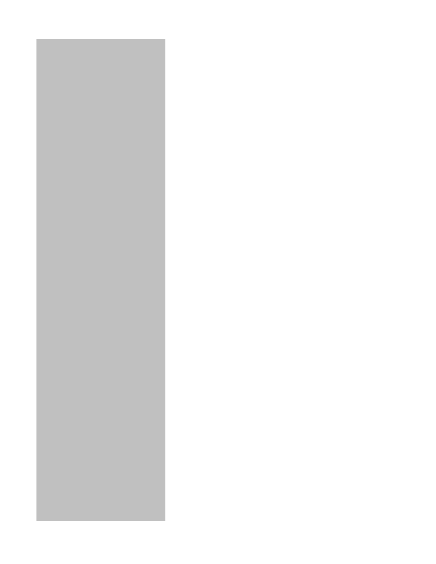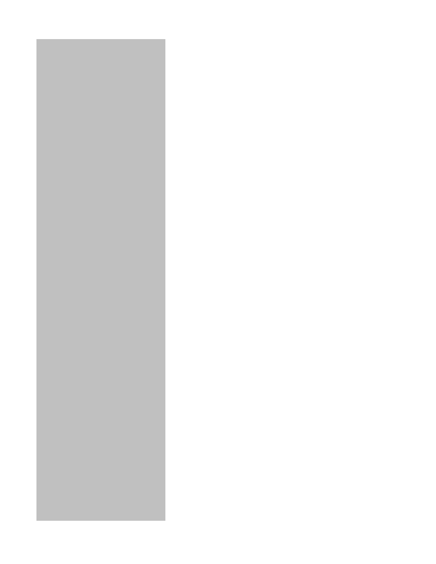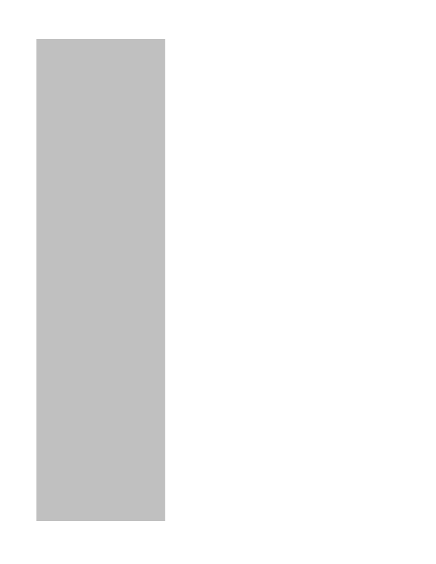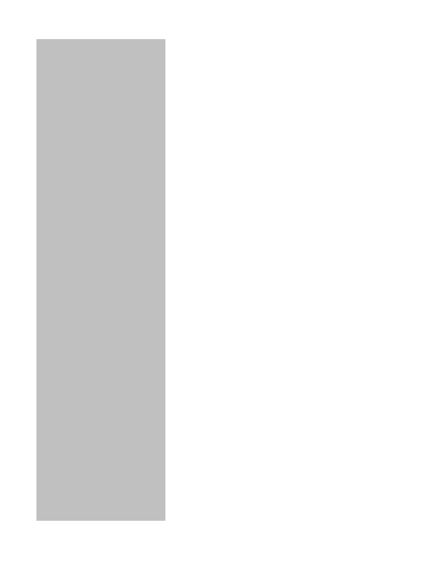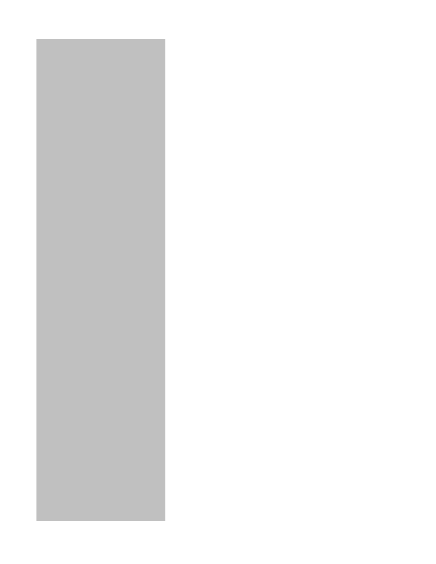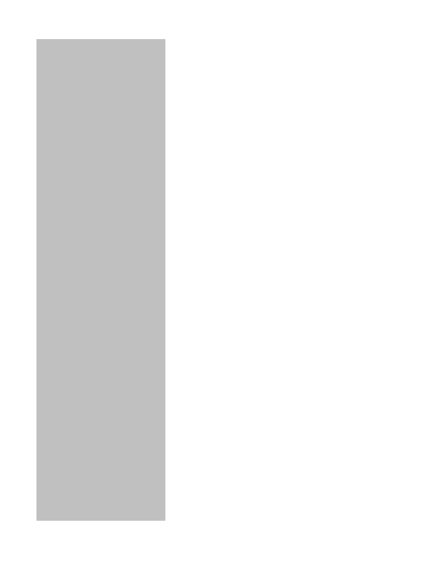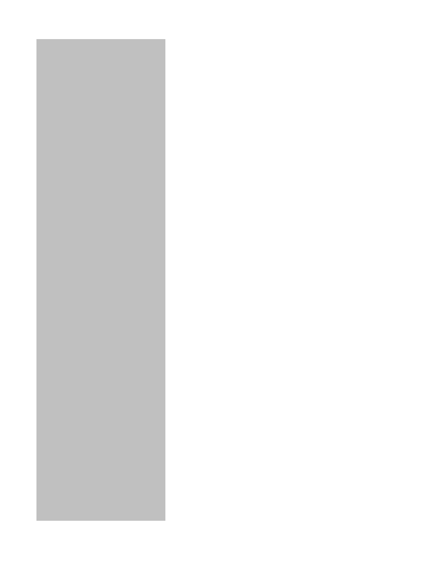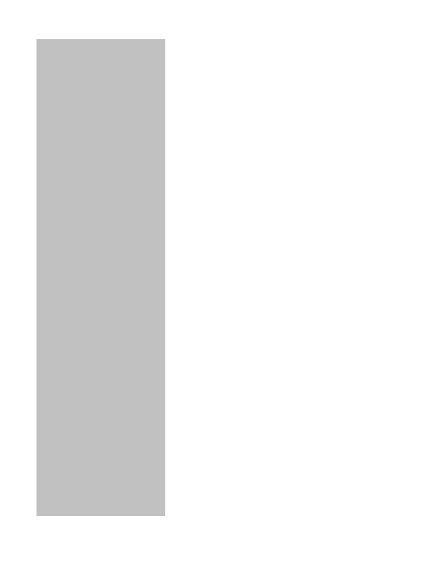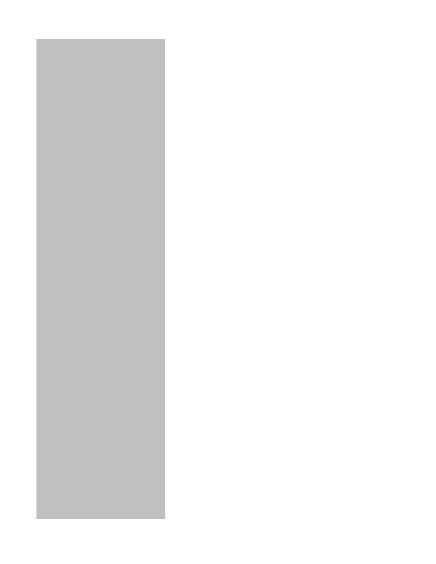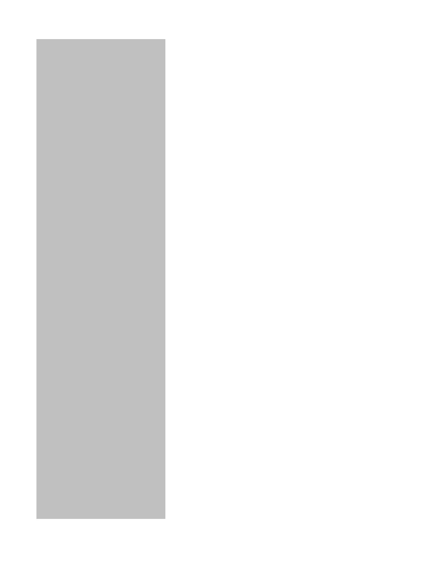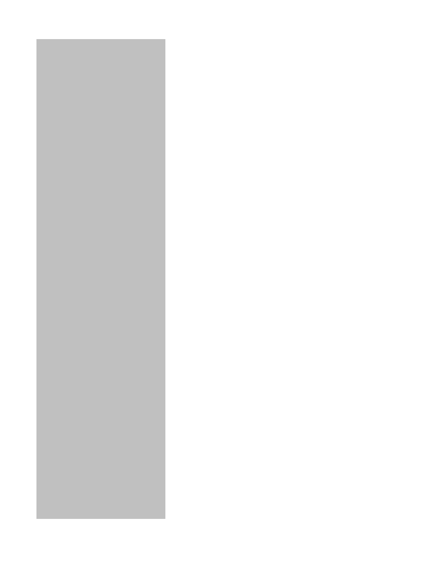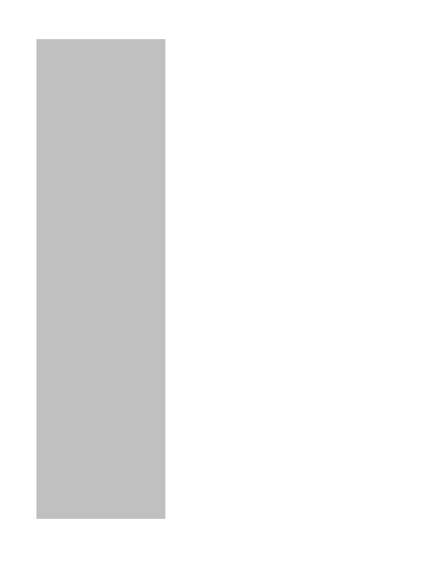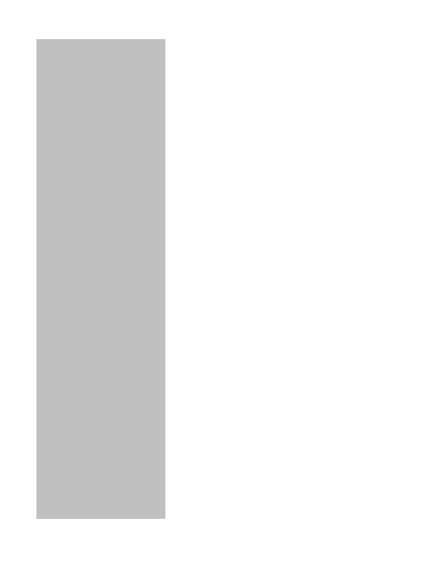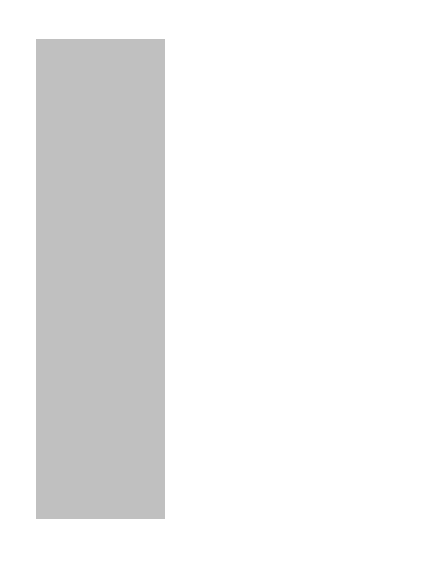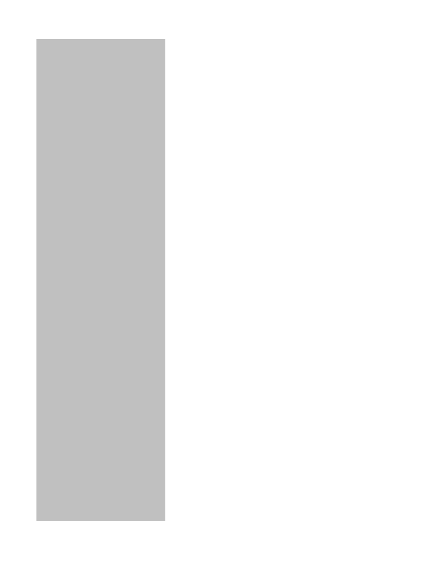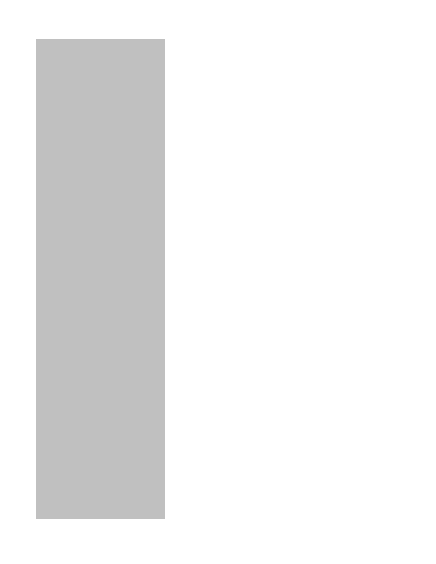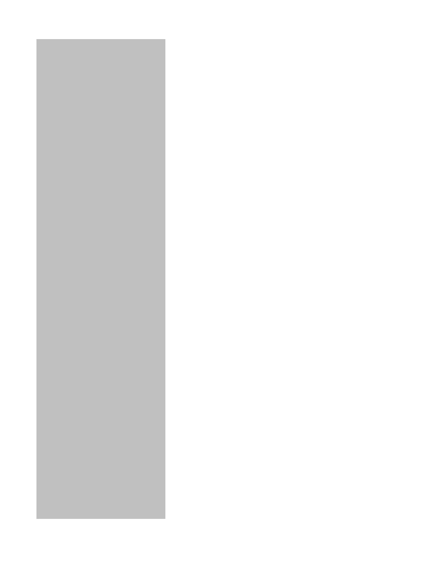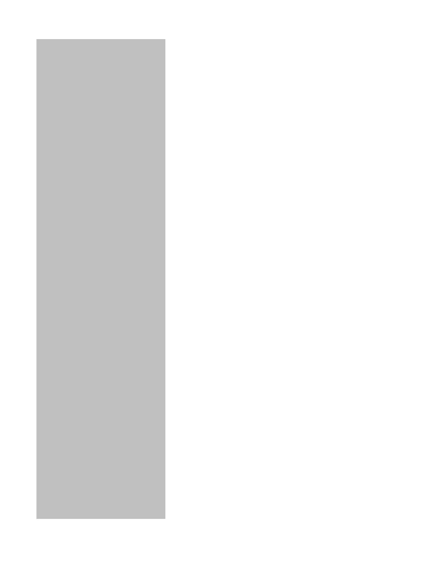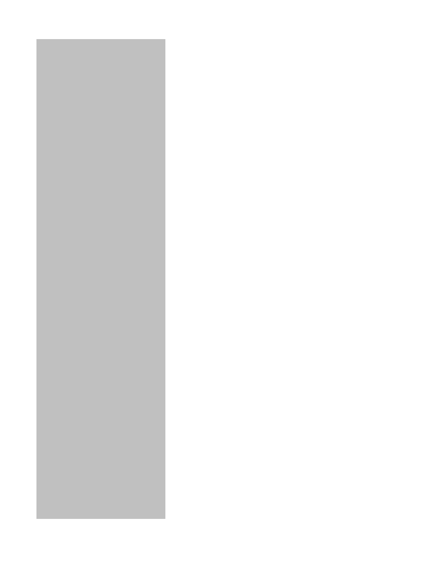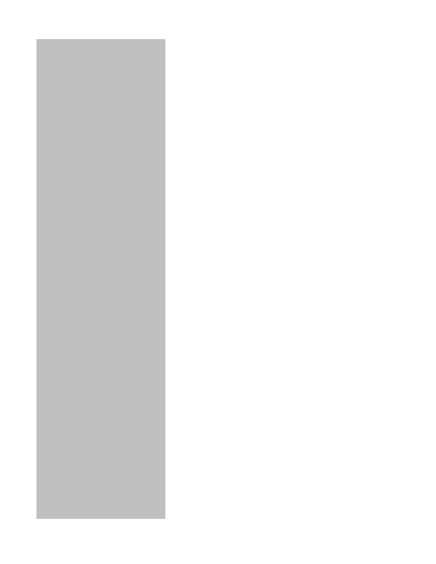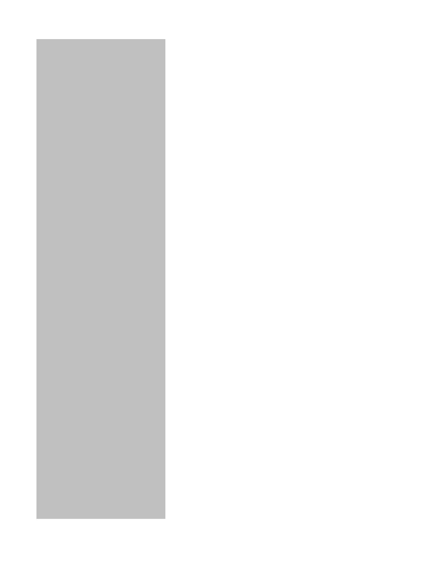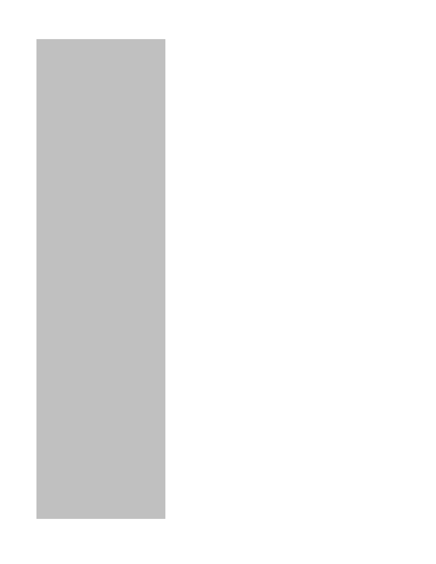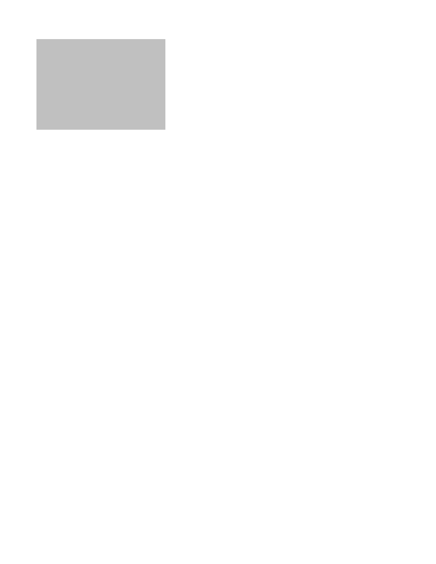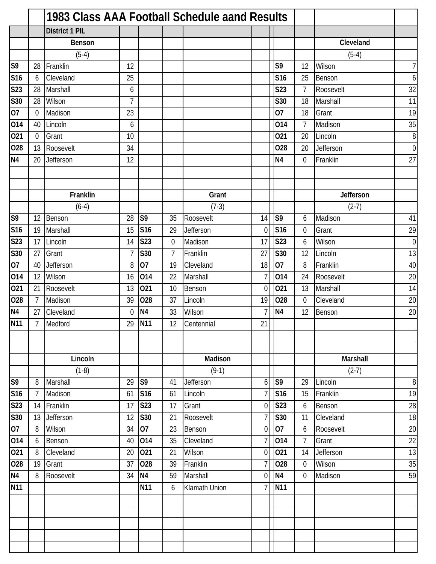|                                   |                       | 1983 Class AAA Football Schedule aand Results |                |                          |                                  |                        |                  |                 |                |                       |                |
|-----------------------------------|-----------------------|-----------------------------------------------|----------------|--------------------------|----------------------------------|------------------------|------------------|-----------------|----------------|-----------------------|----------------|
|                                   |                       | <b>District 1 PIL</b>                         |                |                          |                                  |                        |                  |                 |                |                       |                |
|                                   |                       | Benson                                        |                |                          |                                  |                        |                  |                 |                | Cleveland             |                |
|                                   |                       | $(5-4)$                                       |                |                          |                                  |                        |                  |                 |                | $(5-4)$               |                |
| S <sub>9</sub>                    | 28                    | Franklin                                      | 12             |                          |                                  |                        |                  | S9              | 12             | Wilson                | 7              |
| S <sub>16</sub>                   | 6                     | Cleveland                                     | 25             |                          |                                  |                        |                  | S <sub>16</sub> | 25             | Benson                | $6 \mid$       |
| <b>S23</b>                        | 28                    | Marshall                                      | 6              |                          |                                  |                        |                  | S23             | 7              | Roosevelt             | 32             |
| S30                               | 28                    | Wilson                                        | $\overline{7}$ |                          |                                  |                        |                  | S30             | 18             | Marshall              | 11             |
| 07                                | $\overline{0}$        | Madison                                       | 23             |                          |                                  |                        |                  | 07              | 18             | Grant                 | 19             |
| 014                               | 40                    | Lincoln                                       | 6              |                          |                                  |                        |                  | 014             | $\overline{7}$ | Madison               | 35             |
| 021                               | $\overline{0}$        | Grant                                         | 10             |                          |                                  |                        |                  | 021             | 20             | Lincoln               | 8              |
| 028                               | 13                    | Roosevelt                                     | 34             |                          |                                  |                        |                  | 028             | 20             | Jefferson             | $\overline{0}$ |
| N <sub>4</sub>                    | 20                    | Jefferson                                     | 12             |                          |                                  |                        |                  | <b>N4</b>       | $\mathbf 0$    | Franklin              | 27             |
|                                   |                       |                                               |                |                          |                                  |                        |                  |                 |                |                       |                |
|                                   |                       | Franklin                                      |                |                          |                                  | Grant                  |                  |                 |                | Jefferson             |                |
| S <sub>9</sub>                    | 12                    | $(6-4)$                                       |                | S9                       |                                  | $(7-3)$                | 14               | S <sub>9</sub>  |                | $(2-7)$               |                |
| S <sub>16</sub>                   | 19                    | Benson                                        | 28<br>15       |                          | 35<br>29                         | Roosevelt<br>Jefferson |                  | S <sub>16</sub> | 6              | Madison               | 41<br>29       |
| <b>S23</b>                        | 17                    | Marshall                                      | 14             | S16<br>S23               |                                  | Madison                | 0<br>17          | <b>S23</b>      | 0              | Grant<br>Wilson       | $\mathbf 0$    |
| S30                               | 27                    | Lincoln<br>Grant                              | 7              | <b>S30</b>               | $\overline{0}$<br>$\overline{7}$ | Franklin               | 27               | S30             | 6<br>12        | Lincoln               | 13             |
| 07                                |                       |                                               |                | 07                       |                                  |                        |                  | 07              |                | Franklin              |                |
| 014                               | 40<br>12              | <b>Jefferson</b>                              | 8              | 014                      | 19                               | Cleveland              | 18<br>7          | 014             | 8              |                       | 40             |
| 021                               | 21                    | Wilson                                        | 16<br>13       | 021                      | 22<br>10                         | Marshall<br>Benson     | $\overline{0}$   | 021             | 24<br>13       | Roosevelt<br>Marshall | 20<br>14       |
|                                   | $\overline{7}$        | Roosevelt<br>Madison                          | 39             | 028                      |                                  |                        |                  | 028             |                |                       |                |
| 028                               |                       |                                               |                |                          | 37                               | Lincoln                | 19<br>7          |                 | $\mathbf 0$    | Cleveland             | 20             |
| N <sub>4</sub><br>N <sub>11</sub> | 27<br>$7\overline{ }$ | Cleveland<br>Medford                          | $\Omega$       | N <sub>4</sub><br>29 N11 | 33                               | Wilson                 | 21               | N4              | 12             | Benson                | 20             |
|                                   |                       |                                               |                |                          | 12                               | Centennial             |                  |                 |                |                       |                |
|                                   |                       |                                               |                |                          |                                  |                        |                  |                 |                |                       |                |
|                                   |                       | Lincoln                                       |                |                          |                                  | Madison                |                  |                 |                | Marshall              |                |
|                                   |                       | $(1-8)$                                       |                |                          |                                  | $(9-1)$                |                  |                 |                | $(2-7)$               |                |
| S <sub>9</sub>                    | 8                     | Marshall                                      | 29             | S <sub>9</sub>           | 41                               | Jefferson              | $6 \overline{6}$ | S9              | 29             | Lincoln               | 8              |
| S16                               | $\overline{7}$        | Madison                                       | 61             | S <sub>16</sub>          | 61                               | Lincoln                | $\overline{7}$   | S16             | 15             | Franklin              | 19             |
| S23                               | 14                    | Franklin                                      | 17             | S23                      | 17                               | Grant                  | $\overline{0}$   | <b>S23</b>      | 6              | Benson                | 28             |
| <b>S30</b>                        | 13                    | Jefferson                                     | 12             | S30                      | 21                               | Roosevelt              | 7                | S30             | 11             | Cleveland             | 18             |
| 07                                | 8                     | Wilson                                        | 34             | 07                       | 23                               | Benson                 | $\overline{0}$   | 07              | 6              | Roosevelt             | 20             |
| 014                               | 6                     | Benson                                        | 40             | 014                      | 35                               | Cleveland              | $\overline{7}$   | 014             | $\overline{7}$ | Grant                 | 22             |
| 021                               | 8                     | Cleveland                                     | 20             | 021                      | 21                               | Wilson                 | $\overline{0}$   | 021             | 14             | Jefferson             | 13             |
| 028                               | 19                    | Grant                                         | 37             | 028                      | 39                               | Franklin               | 7                | 028             | $\mathbf 0$    | Wilson                | 35             |
| N <sub>4</sub>                    | 8                     | Roosevelt                                     | 34             | N <sub>4</sub>           | 59                               | Marshall               | $\overline{0}$   | N <sub>4</sub>  | 0              | Madison               | 59             |
| N <sub>11</sub>                   |                       |                                               |                | <b>N11</b>               | 6                                | <b>Klamath Union</b>   | 7                | N <sub>11</sub> |                |                       |                |
|                                   |                       |                                               |                |                          |                                  |                        |                  |                 |                |                       |                |
|                                   |                       |                                               |                |                          |                                  |                        |                  |                 |                |                       |                |
|                                   |                       |                                               |                |                          |                                  |                        |                  |                 |                |                       |                |
|                                   |                       |                                               |                |                          |                                  |                        |                  |                 |                |                       |                |
|                                   |                       |                                               |                |                          |                                  |                        |                  |                 |                |                       |                |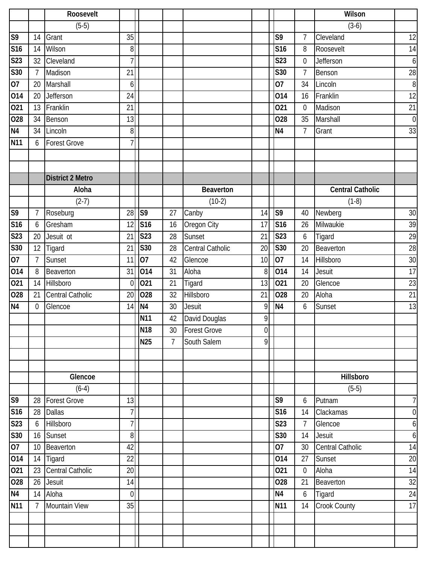|                |                 | Roosevelt               |                |                |                |                     |    |                |                  | Wilson                  |                  |
|----------------|-----------------|-------------------------|----------------|----------------|----------------|---------------------|----|----------------|------------------|-------------------------|------------------|
|                |                 | $(5-5)$                 |                |                |                |                     |    |                |                  | $(3-6)$                 |                  |
| S9             | 14              | Grant                   | 35             |                |                |                     |    | S9             | $\overline{7}$   | Cleveland               | 12               |
| S16            | 14              | Wilson                  | 8              |                |                |                     |    | S16            | 8                | Roosevelt               | 14               |
| S23            | 32              | Cleveland               | $\overline{1}$ |                |                |                     |    | <b>S23</b>     | $\mathbf 0$      | Jefferson               | $6 \overline{6}$ |
| S30            | $\overline{7}$  | Madison                 | 21             |                |                |                     |    | <b>S30</b>     | $\overline{7}$   | Benson                  | 28               |
| 07             | 20              | Marshall                | 6              |                |                |                     |    | 07             | 34               | Lincoln                 | $\boldsymbol{8}$ |
| 014            | 20              | Jefferson               | 24             |                |                |                     |    | 014            | 16               | Franklin                | 12               |
| 021            | 13              | Franklin                | 21             |                |                |                     |    | 021            | $\boldsymbol{0}$ | Madison                 | 21               |
| 028            | 34              | Benson                  | 13             |                |                |                     |    | 028            | 35               | Marshall                | $\overline{0}$   |
| N <sub>4</sub> | 34              | Lincoln                 | 8              |                |                |                     |    | N <sub>4</sub> | $\overline{7}$   | Grant                   | 33               |
| <b>N11</b>     | 6               | <b>Forest Grove</b>     | $\overline{1}$ |                |                |                     |    |                |                  |                         |                  |
|                |                 |                         |                |                |                |                     |    |                |                  |                         |                  |
|                |                 |                         |                |                |                |                     |    |                |                  |                         |                  |
|                |                 | <b>District 2 Metro</b> |                |                |                |                     |    |                |                  |                         |                  |
|                |                 | Aloha                   |                |                |                | <b>Beaverton</b>    |    |                |                  | <b>Central Catholic</b> |                  |
|                |                 | $(2-7)$                 |                |                |                | $(10-2)$            |    |                |                  | $(1-8)$                 |                  |
| S <sub>9</sub> | $\overline{7}$  | Roseburg                | 28             | S9             | 27             | Canby               | 14 | S <sub>9</sub> | 40               | Newberg                 | 30               |
| S16            | 6               | Gresham                 | 12             | S16            | 16             | Oregon City         | 17 | S16            | 26               | Milwaukie               | 39               |
| S23            | 20              | Jesuit ot               | 21             | <b>S23</b>     | 28             | Sunset              | 21 | <b>S23</b>     | 6                | Tigard                  | 29               |
| S30            | 12              | Tigard                  | 21             | S30            | 28             | Central Catholic    | 20 | <b>S30</b>     | 20               | Beaverton               | 28               |
| 07             | $\overline{7}$  | Sunset                  | 11             | 07             | 42             | Glencoe             | 10 | 07             | 14               | Hillsboro               | $30\,$           |
| 014            | 8               | Beaverton               | 31             | 014            | 31             | Aloha               | 8  | 014            | 14               | <b>Jesuit</b>           | 17               |
| 021            | 14              | Hillsboro               | $\overline{0}$ | 021            | 21             | Tigard              | 13 | 021            | 20               | Glencoe                 | 23               |
| 028            | 21              | <b>Central Catholic</b> | 20             | 028            | 32             | Hillsboro           | 21 | 028            | 20               | Aloha                   | 21               |
| N <sub>4</sub> | $\mathbf 0$     | Glencoe                 | 14             | N <sub>4</sub> | 30             | <b>Jesuit</b>       | 9  | N <sub>4</sub> | 6                | Sunset                  | 13               |
|                |                 |                         |                | <b>N11</b>     | 42             | David Douglas       | 9  |                |                  |                         |                  |
|                |                 |                         |                | <b>N18</b>     | 30             | <b>Forest Grove</b> | 0  |                |                  |                         |                  |
|                |                 |                         |                | <b>N25</b>     | 7 <sup>1</sup> | South Salem         | 9  |                |                  |                         |                  |
|                |                 |                         |                |                |                |                     |    |                |                  |                         |                  |
|                |                 |                         |                |                |                |                     |    |                |                  |                         |                  |
|                |                 | Glencoe                 |                |                |                |                     |    |                |                  | Hillsboro               |                  |
|                |                 | $(6-4)$                 |                |                |                |                     |    |                |                  | $(5-5)$                 |                  |
| S <sub>9</sub> | 28              | <b>Forest Grove</b>     | 13             |                |                |                     |    | S9             | 6                | Putnam                  | 7 <sup>1</sup>   |
| <b>S16</b>     | 28              | <b>Dallas</b>           | $\overline{7}$ |                |                |                     |    | S16            | 14               | Clackamas               | $\overline{0}$   |
| <b>S23</b>     | 6               | Hillsboro               | $\overline{7}$ |                |                |                     |    | S23            | $\overline{7}$   | Glencoe                 | $6 \overline{6}$ |
| <b>S30</b>     | 16              | Sunset                  | 8              |                |                |                     |    | S30            | 14               | <b>Jesuit</b>           | $6 \overline{6}$ |
| 07             | 10 <sup>°</sup> | Beaverton               | 42             |                |                |                     |    | 07             | 30               | Central Catholic        | 14               |
| 014            | 14              | <b>Tigard</b>           | 22             |                |                |                     |    | 014            | 27               | Sunset                  | 20               |
| 021            | 23              | <b>Central Catholic</b> | 20             |                |                |                     |    | 021            | $\overline{0}$   | Aloha                   | 14               |
| 028            |                 | 26 Jesuit               | 14             |                |                |                     |    | 028            | 21               | Beaverton               | 32               |
| N <sub>4</sub> |                 | 14 Aloha                | $\mathbf 0$    |                |                |                     |    | N <sub>4</sub> | 6                | Tigard                  | 24               |
| <b>N11</b>     | $\overline{7}$  | Mountain View           | 35             |                |                |                     |    | <b>N11</b>     | 14               | Crook County            | 17               |
|                |                 |                         |                |                |                |                     |    |                |                  |                         |                  |
|                |                 |                         |                |                |                |                     |    |                |                  |                         |                  |
|                |                 |                         |                |                |                |                     |    |                |                  |                         |                  |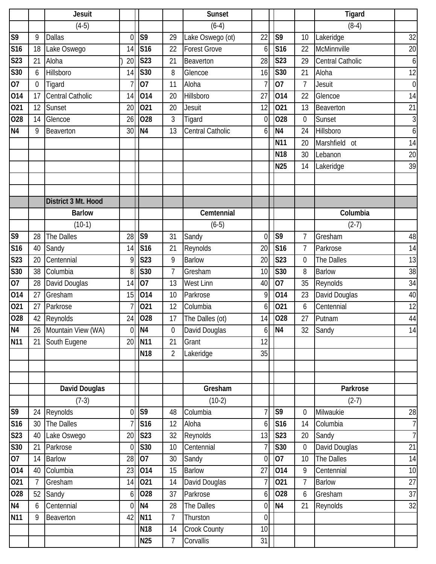|                |                | <b>Jesuit</b>           |                |                 |                | Sunset              |                |                 |                | <b>Tigard</b>    |                  |
|----------------|----------------|-------------------------|----------------|-----------------|----------------|---------------------|----------------|-----------------|----------------|------------------|------------------|
|                |                | $(4-5)$                 |                |                 |                | $(6-4)$             |                |                 |                | $(8-4)$          |                  |
| S <sub>9</sub> | 9              | <b>Dallas</b>           | $\Omega$       | S <sub>9</sub>  | 29             | Lake Oswego (ot)    | 22             | S <sub>9</sub>  | 10             | Lakeridge        | 32               |
| S16            | 18             | Lake Oswego             | 14             | S <sub>16</sub> | 22             | <b>Forest Grove</b> | 6              | S16             | 22             | McMinnville      | 20               |
| <b>S23</b>     | 21             | Aloha                   | 20             | S23             | 21             | Beaverton           | 28             | <b>S23</b>      | 29             | Central Catholic | $6 \mid$         |
| S30            | 6              | Hillsboro               | 14             | <b>S30</b>      | 8              | Glencoe             | 16             | S30             | 21             | Aloha            | 12               |
| 07             | $\mathbf 0$    | Tigard                  | 7              | 07              | 11             | Aloha               |                | 07              | $\overline{7}$ | Jesuit           | $\overline{0}$   |
| 014            | 17             | <b>Central Catholic</b> | 14             | 014             | 20             | Hillsboro           | 27             | 014             | 22             | Glencoe          | 14               |
| 021            | 12             | Sunset                  | 20             | 021             | 20             | Jesuit              | 12             | 021             | 13             | Beaverton        | 21               |
| 028            | 14             | Glencoe                 | 26             | 028             | 3              | Tigard              | $\overline{0}$ | 028             | $\mathbf 0$    | Sunset           | 3                |
| N <sub>4</sub> | 9              | Beaverton               | 30             | N <sub>4</sub>  | 13             | Central Catholic    | 6              | N <sub>4</sub>  | 24             | Hillsboro        | $\boldsymbol{6}$ |
|                |                |                         |                |                 |                |                     |                | N11             | 20             | Marshfield ot    | 14               |
|                |                |                         |                |                 |                |                     |                | <b>N18</b>      | 30             | Lebanon          | 20               |
|                |                |                         |                |                 |                |                     |                | N <sub>25</sub> | 14             | Lakeridge        | 39               |
|                |                |                         |                |                 |                |                     |                |                 |                |                  |                  |
|                |                |                         |                |                 |                |                     |                |                 |                |                  |                  |
|                |                | District 3 Mt. Hood     |                |                 |                |                     |                |                 |                |                  |                  |
|                |                | <b>Barlow</b>           |                |                 |                | Cemtennial          |                |                 |                | Columbia         |                  |
|                |                | $(10-1)$                |                |                 |                | $(6-5)$             |                |                 |                | $(2-7)$          |                  |
| S9             | 28             | The Dalles              | 28             | S <sub>9</sub>  | 31             | Sandy               | $\overline{0}$ | S9              | 7              | Gresham          | 48               |
| <b>S16</b>     | 40             | Sandy                   | 14             | S <sub>16</sub> | 21             | Reynolds            | 20             | <b>S16</b>      | 7              | Parkrose         | 14               |
| <b>S23</b>     | 20             | Centennial              | 9              | <b>S23</b>      | 9              | <b>Barlow</b>       | 20             | <b>S23</b>      | 0              | The Dalles       | 13               |
| S30            | 38             | Columbia                | 8              | S30             | $\overline{7}$ | Gresham             | 10             | S30             | 8              | <b>Barlow</b>    | 38               |
| 07             | 28             | David Douglas           | 14             | 07              | 13             | <b>West Linn</b>    | 40             | 07              | 35             | Reynolds         | 34               |
| 014            | 27             | Gresham                 | 15             | 014             | 10             | Parkrose            | 9              | 014             | 23             | David Douglas    | 40               |
| 021            | 27             | Parkrose                | $\overline{7}$ | 021             | 12             | Columbia            | 6              | 021             | 6              | Centennial       | 12               |
| 028            | 42             | Reynolds                | 24             | 028             | 17             | The Dalles (ot)     | 14             | 028             | 27             | Putnam           | 44               |
| N4             |                | 26 Mountain View (WA)   |                | $0$ N4          | $\overline{0}$ | David Douglas       | $6 \mid$       | N4              | 32             | Sandy            | 14               |
| <b>N11</b>     | 21             | South Eugene            | 20             | <b>N11</b>      | 21             | Grant               | 12             |                 |                |                  |                  |
|                |                |                         |                | N <sub>18</sub> | $\overline{2}$ | Lakeridge           | 35             |                 |                |                  |                  |
|                |                |                         |                |                 |                |                     |                |                 |                |                  |                  |
|                |                |                         |                |                 |                |                     |                |                 |                |                  |                  |
|                |                | David Douglas           |                |                 |                | Gresham             |                |                 |                | Parkrose         |                  |
|                |                | $(7-3)$                 |                |                 |                | $(10-2)$            |                |                 |                | $(2-7)$          |                  |
| S9             | 24             | Reynolds                | $\overline{0}$ | S9              | 48             | Columbia            | 7              | S9              | 0              | Milwaukie        | 28               |
| S16            | 30             | The Dalles              | $\overline{1}$ | S <sub>16</sub> | 12             | Aloha               | 6              | S <sub>16</sub> | 14             | Columbia         | $\overline{7}$   |
| <b>S23</b>     | 40             | Lake Oswego             | 20             | <b>S23</b>      | 32             | Reynolds            | 13             | <b>S23</b>      | 20             | Sandy            | 7                |
| <b>S30</b>     | 21             | Parkrose                | $\theta$       | S30             | 10             | Centennial          | 7              | S30             | $\mathbf 0$    | David Douglas    | 21               |
| 07             | 14             | <b>Barlow</b>           | 28             | 07              | 30             | Sandy               | 0              | 07              | 10             | The Dalles       | 14               |
| 014            | 40             | Columbia                | 23             | 014             | 15             | <b>Barlow</b>       | 27             | 014             | 9              | Centennial       | 10               |
| 021            | $\overline{7}$ | Gresham                 | 14             | 021             | 14             | David Douglas       | $\overline{7}$ | 021             | $\overline{7}$ | <b>Barlow</b>    | 27               |
| 028            | 52             | Sandy                   | 6              | 028             | 37             | Parkrose            | 6              | 028             | 6              | Gresham          | 37               |
| N <sub>4</sub> | 6              | Centennial              | $\theta$       | N <sub>4</sub>  | 28             | The Dalles          | $\overline{0}$ | N <sub>4</sub>  | 21             | Reynolds         | 32               |
| <b>N11</b>     | 9              | Beaverton               | 42             | N <sub>11</sub> | $\overline{7}$ | Thurston            | $\overline{0}$ |                 |                |                  |                  |
|                |                |                         |                | <b>N18</b>      | 14             | Crook County        | 10             |                 |                |                  |                  |
|                |                |                         |                | <b>N25</b>      | $\overline{7}$ | Corvallis           | 31             |                 |                |                  |                  |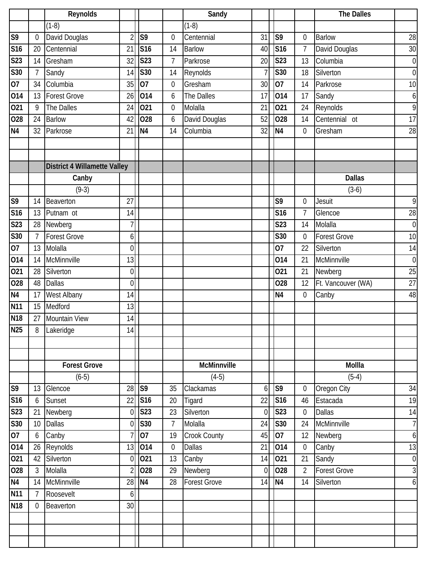|                 |                  | Reynolds                            |                  |                 |                  | Sandy               |                |                 |                  | <b>The Dalles</b>   |                  |
|-----------------|------------------|-------------------------------------|------------------|-----------------|------------------|---------------------|----------------|-----------------|------------------|---------------------|------------------|
|                 |                  | $(1-8)$                             |                  |                 |                  | $(1-8)$             |                |                 |                  |                     |                  |
| S9              | $\boldsymbol{0}$ | David Douglas                       | $\overline{2}$   | S9              | 0                | Centennial          | 31             | S9              | 0                | <b>Barlow</b>       | 28               |
| S16             | 20               | Centennial                          | 21               | S <sub>16</sub> | 14               | <b>Barlow</b>       | 40             | <b>S16</b>      | $\overline{7}$   | David Douglas       | $30\,$           |
| S23             | 14               | Gresham                             | 32               | <b>S23</b>      | $\overline{7}$   | Parkrose            | 20             | <b>S23</b>      | 13               | Columbia            | $\overline{0}$   |
| S30             | $\overline{7}$   | Sandy                               | 14               | <b>S30</b>      | 14               | Reynolds            | 7              | S30             | 18               | Silverton           | $\overline{0}$   |
| 07              | 34               | Columbia                            | 35               | 07              | 0                | Gresham             | 30             | 07              | 14               | Parkrose            | 10               |
| 014             | 13               | <b>Forest Grove</b>                 | 26               | 014             | 6                | The Dalles          | 17             | 014             | 17               | Sandy               | $\boldsymbol{6}$ |
| 021             | 9                | The Dalles                          | 24               | 021             | 0                | Molalla             | 21             | 021             | 24               | Reynolds            | 9                |
| 028             | 24               | <b>Barlow</b>                       | 42               | 028             | 6                | David Douglas       | 52             | 028             | 14               | Centennial ot       | 17               |
| N <sub>4</sub>  | 32               | Parkrose                            | 21               | N <sub>4</sub>  | 14               | Columbia            | 32             | N <sub>4</sub>  | 0                | Gresham             | 28               |
|                 |                  |                                     |                  |                 |                  |                     |                |                 |                  |                     |                  |
|                 |                  |                                     |                  |                 |                  |                     |                |                 |                  |                     |                  |
|                 |                  | <b>District 4 Willamette Valley</b> |                  |                 |                  |                     |                |                 |                  |                     |                  |
|                 |                  | Canby                               |                  |                 |                  |                     |                |                 |                  | <b>Dallas</b>       |                  |
|                 |                  | $(9-3)$                             |                  |                 |                  |                     |                |                 |                  | $(3-6)$             |                  |
| S <sub>9</sub>  | 14               | Beaverton                           | 27               |                 |                  |                     |                | S9              | $\boldsymbol{0}$ | Jesuit              | 9                |
| <b>S16</b>      | 13               | Putnam ot                           | 14               |                 |                  |                     |                | <b>S16</b>      | $\overline{7}$   | Glencoe             | 28               |
| S23             | 28               | Newberg                             | 7                |                 |                  |                     |                | <b>S23</b>      | 14               | Molalla             | $\overline{0}$   |
| S30             | $\overline{7}$   | <b>Forest Grove</b>                 | 6                |                 |                  |                     |                | S30             | $\overline{0}$   | <b>Forest Grove</b> | 10               |
| 07              | 13               | Molalla                             | $\mathbf 0$      |                 |                  |                     |                | 07              | 22               | Silverton           | 14               |
| 014             | 14               | McMinnville                         | 13               |                 |                  |                     |                | 014             | 21               | McMinnville         | $\overline{0}$   |
| 021             | 28               | Silverton                           | $\mathbf 0$      |                 |                  |                     |                | 021             | 21               | Newberg             | 25               |
| 028             | 48               | <b>Dallas</b>                       | $\mathbf 0$      |                 |                  |                     |                | 028             | 12               | Ft. Vancouver (WA)  | $\overline{27}$  |
| <b>N4</b>       | 17               | West Albany                         | 14               |                 |                  |                     |                | N <sub>4</sub>  | $\mathbf 0$      | Canby               | 48               |
| <b>N11</b>      | 15               | Medford                             | 13               |                 |                  |                     |                |                 |                  |                     |                  |
| <b>N18</b>      | 27               | <b>Mountain View</b>                | 14               |                 |                  |                     |                |                 |                  |                     |                  |
| N25             |                  | 8 Lakeridge                         | 14               |                 |                  |                     |                |                 |                  |                     |                  |
|                 |                  |                                     |                  |                 |                  |                     |                |                 |                  |                     |                  |
|                 |                  |                                     |                  |                 |                  |                     |                |                 |                  |                     |                  |
|                 |                  | <b>Forest Grove</b>                 |                  |                 |                  | McMinnville         |                |                 |                  | Mollla              |                  |
|                 |                  | $(6-5)$                             |                  |                 |                  | $(4-5)$             |                |                 |                  | $(5-4)$             |                  |
| S <sub>9</sub>  | 13               | Glencoe                             | 28               | S9              | 35               | Clackamas           | 6              | S <sub>9</sub>  | $\overline{0}$   | Oregon City         | 34               |
| S16             | 6                | Sunset                              | 22               | S <sub>16</sub> | 20               | Tigard              | 22             | S16             | 46               | Estacada            | 19               |
| S <sub>23</sub> | 21               | Newberg                             | $\mathbf 0$      | <b>S23</b>      | 23               | Silverton           | $\overline{0}$ | <b>S23</b>      | $\boldsymbol{0}$ | <b>Dallas</b>       | 14               |
| S30             | 10               | <b>Dallas</b>                       | $\overline{0}$   | S30             | $\overline{7}$   | Molalla             | 24             | S30             | 24               | McMinnville         | 7                |
| 07              | 6                | Canby                               | $\overline{7}$   | $\overline{07}$ | 19               | Crook County        | 45             | $\overline{07}$ | 12               | Newberg             | $\overline{6}$   |
| 014             | 26               | Reynolds                            | 13               | 014             | $\boldsymbol{0}$ | <b>Dallas</b>       | 21             | 014             | $\boldsymbol{0}$ | Canby               | 13               |
| 021             | 42               | Silverton                           | $\boldsymbol{0}$ | 021             | 13               | Canby               | 14             | 021             | 21               | Sandy               | $\overline{0}$   |
| 028             | $\mathfrak{Z}$   | Molalla                             | $\overline{2}$   | 028             | 29               | Newberg             | $\overline{0}$ | 028             | $\overline{2}$   | <b>Forest Grove</b> | $\overline{3}$   |
| N <sub>4</sub>  | 14               | McMinnville                         | 28               | N <sub>4</sub>  | 28               | <b>Forest Grove</b> | 14             | N <sub>4</sub>  | 14               | Silverton           | $6 \mid$         |
| <b>N11</b>      | $\overline{7}$   | Roosevelt                           | 6                |                 |                  |                     |                |                 |                  |                     |                  |
| <b>N18</b>      | $\overline{0}$   | Beaverton                           | 30               |                 |                  |                     |                |                 |                  |                     |                  |
|                 |                  |                                     |                  |                 |                  |                     |                |                 |                  |                     |                  |
|                 |                  |                                     |                  |                 |                  |                     |                |                 |                  |                     |                  |
|                 |                  |                                     |                  |                 |                  |                     |                |                 |                  |                     |                  |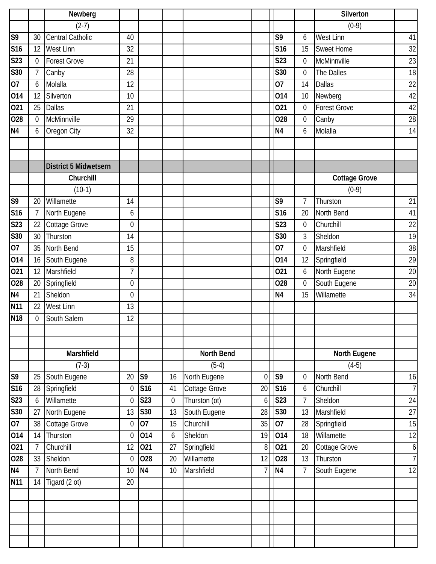|                |                  | Newberg                      |                  |                 |                  |                   |              |                |                  | Silverton            |                |
|----------------|------------------|------------------------------|------------------|-----------------|------------------|-------------------|--------------|----------------|------------------|----------------------|----------------|
|                |                  | $(2-7)$                      |                  |                 |                  |                   |              |                |                  | $(0-9)$              |                |
| S9             | 30               | <b>Central Catholic</b>      | 40               |                 |                  |                   |              | S9             | 6                | <b>West Linn</b>     | 41             |
| <b>S16</b>     | 12               | <b>West Linn</b>             | 32               |                 |                  |                   |              | <b>S16</b>     | 15               | <b>Sweet Home</b>    | 32             |
| S23            | $\overline{0}$   | <b>Forest Grove</b>          | 21               |                 |                  |                   |              | <b>S23</b>     | $\mathbf 0$      | McMinnville          | 23             |
| S30            | $\overline{7}$   | Canby                        | 28               |                 |                  |                   |              | <b>S30</b>     | $\boldsymbol{0}$ | The Dalles           | 18             |
| 07             | 6                | Molalla                      | 12               |                 |                  |                   |              | 07             | 14               | <b>Dallas</b>        | 22             |
| 014            | 12               | Silverton                    | 10               |                 |                  |                   |              | 014            | 10               | Newberg              | 42             |
| 021            | 25               | <b>Dallas</b>                | 21               |                 |                  |                   |              | 021            | 0                | <b>Forest Grove</b>  | 42             |
| 028            | $\overline{0}$   | McMinnville                  | 29               |                 |                  |                   |              | 028            | $\boldsymbol{0}$ | Canby                | 28             |
| N <sub>4</sub> | 6                | Oregon City                  | 32               |                 |                  |                   |              | N <sub>4</sub> | 6                | Molalla              | 14             |
|                |                  |                              |                  |                 |                  |                   |              |                |                  |                      |                |
|                |                  |                              |                  |                 |                  |                   |              |                |                  |                      |                |
|                |                  | <b>District 5 Midwetsern</b> |                  |                 |                  |                   |              |                |                  |                      |                |
|                |                  | Churchill                    |                  |                 |                  |                   |              |                |                  | <b>Cottage Grove</b> |                |
|                |                  | $(10-1)$                     |                  |                 |                  |                   |              |                |                  | $(0-9)$              |                |
| S9             | 20               | Willamette                   | 14               |                 |                  |                   |              | S9             | $\overline{7}$   | Thurston             | 21             |
| <b>S16</b>     | $\overline{7}$   | North Eugene                 | 6                |                 |                  |                   |              | S16            | 20               | North Bend           | 41             |
| S23            | 22               | Cottage Grove                | $\mathbf 0$      |                 |                  |                   |              | <b>S23</b>     | $\boldsymbol{0}$ | Churchill            | 22             |
| <b>S30</b>     | 30               | Thurston                     | 14               |                 |                  |                   |              | S30            | $\mathfrak{Z}$   | Sheldon              | 19             |
| 07             | 35               | North Bend                   | 15               |                 |                  |                   |              | 07             | $\boldsymbol{0}$ | Marshfield           | 38             |
| 014            | 16               | South Eugene                 | 8                |                 |                  |                   |              | 014            | 12               | Springfield          | 29             |
| 021            | 12               | Marshfield                   | $\overline{1}$   |                 |                  |                   |              | 021            | $\boldsymbol{6}$ | North Eugene         | 20             |
| 028            | 20               | Springfield                  | $\mathbf 0$      |                 |                  |                   |              | 028            | $\boldsymbol{0}$ | South Eugene         | 20             |
| <b>N4</b>      | 21               | Sheldon                      | $\boldsymbol{0}$ |                 |                  |                   |              | N <sub>4</sub> | 15               | Willamette           | 34             |
| <b>N11</b>     | 22               | <b>West Linn</b>             | 13               |                 |                  |                   |              |                |                  |                      |                |
| <b>N18</b>     | $\boldsymbol{0}$ | South Salem                  | 12               |                 |                  |                   |              |                |                  |                      |                |
|                |                  |                              |                  |                 |                  |                   |              |                |                  |                      |                |
|                |                  |                              |                  |                 |                  |                   |              |                |                  |                      |                |
|                |                  | Marshfield                   |                  |                 |                  | <b>North Bend</b> |              |                |                  | North Eugene         |                |
|                |                  | $(7-3)$                      |                  |                 |                  | $(5-4)$           |              |                |                  | $(4-5)$              |                |
| S9             | 25               | South Eugene                 | 20               | S9              | 16               | North Eugene      | $\mathbf{0}$ | S <sub>9</sub> | 0                | North Bend           | 16             |
| <b>S16</b>     | 28               | Springfield                  | $\boldsymbol{0}$ | S <sub>16</sub> | 41               | Cottage Grove     | 20           | <b>S16</b>     | 6                | Churchill            | 7              |
| <b>S23</b>     | 6                | Willamette                   | $\mathbf 0$      | S23             | $\boldsymbol{0}$ | Thurston (ot)     | 6            | <b>S23</b>     | $\overline{7}$   | Sheldon              | 24             |
| S30            | 27               | North Eugene                 | 13               | <b>S30</b>      | 13               | South Eugene      | 28           | S30            | 13               | Marshfield           | 27             |
| 07             | 38               | Cottage Grove                | $\mathbf 0$      | 07              | 15               | Churchill         | 35           | 07             | 28               | Springfield          | 15             |
| 014            | 14               | Thurston                     | $\overline{0}$   | 014             | 6                | Sheldon           | 19           | 014            | 18               | Willamette           | 12             |
| 021            | $\overline{7}$   | Churchill                    | 12               | 021             | 27               | Springfield       | 8            | 021            | 20               | Cottage Grove        | $6 \mid$       |
| 028            | 33               | Sheldon                      | $\mathbf 0$      | 028             | 20               | Willamette        | 12           | 028            | 13               | Thurston             | $\overline{7}$ |
| N <sub>4</sub> | $\overline{7}$   | North Bend                   | 10               | N <sub>4</sub>  | 10               | Marshfield        | 7            | N <sub>4</sub> | $\overline{7}$   | South Eugene         | 12             |
| <b>N11</b>     | 14               | Tigard (2 ot)                | 20               |                 |                  |                   |              |                |                  |                      |                |
|                |                  |                              |                  |                 |                  |                   |              |                |                  |                      |                |
|                |                  |                              |                  |                 |                  |                   |              |                |                  |                      |                |
|                |                  |                              |                  |                 |                  |                   |              |                |                  |                      |                |
|                |                  |                              |                  |                 |                  |                   |              |                |                  |                      |                |
|                |                  |                              |                  |                 |                  |                   |              |                |                  |                      |                |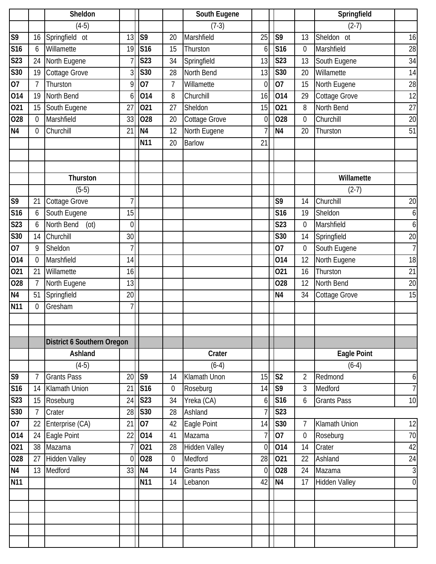|                |                | Sheldon                           |                |                 |                  | South Eugene       |                |                |                  | Springfield          |                 |
|----------------|----------------|-----------------------------------|----------------|-----------------|------------------|--------------------|----------------|----------------|------------------|----------------------|-----------------|
|                |                | $(4-5)$                           |                |                 |                  | $(7-3)$            |                |                |                  | $(2-7)$              |                 |
| S <sub>9</sub> | 16             | Springfield ot                    | 13             | S <sub>9</sub>  | 20               | Marshfield         | 25             | S <sub>9</sub> | 13               | Sheldon ot           | 16              |
| <b>S16</b>     | 6              | Willamette                        | 19             | <b>S16</b>      | 15               | Thurston           | 6              | S16            | $\boldsymbol{0}$ | Marshfield           | 28              |
| <b>S23</b>     | 24             | North Eugene                      | $\overline{1}$ | S23             | 34               | Springfield        | 13             | <b>S23</b>     | 13               | South Eugene         | 34              |
| S30            | 19             | Cottage Grove                     | 3              | S30             | 28               | North Bend         | 13             | <b>S30</b>     | 20               | Willamette           | 14              |
| 07             | 7              | Thurston                          | 9              | 07              | 7                | Willamette         | 0              | 07             | 15               | North Eugene         | 28              |
| 014            | 19             | North Bend                        | 6              | 014             | 8                | Churchill          | 16             | 014            | 29               | Cottage Grove        | 12              |
| 021            | 15             | South Eugene                      | 27             | 021             | 27               | Sheldon            | 15             | 021            | 8                | North Bend           | 27              |
| 028            | $\overline{0}$ | Marshfield                        | 33             | 028             | 20               | Cottage Grove      | 0              | 028            | $\boldsymbol{0}$ | Churchill            | 20              |
| N <sub>4</sub> | 0              | Churchill                         | 21             | N <sub>4</sub>  | 12               | North Eugene       |                | N <sub>4</sub> | 20               | Thurston             | 51              |
|                |                |                                   |                | N <sub>11</sub> | 20               | <b>Barlow</b>      | 21             |                |                  |                      |                 |
|                |                |                                   |                |                 |                  |                    |                |                |                  |                      |                 |
|                |                |                                   |                |                 |                  |                    |                |                |                  |                      |                 |
|                |                | Thurston                          |                |                 |                  |                    |                |                |                  | Willamette           |                 |
|                |                | $(5-5)$                           |                |                 |                  |                    |                |                |                  | $(2-7)$              |                 |
| S <sub>9</sub> | 21             | Cottage Grove                     | 7              |                 |                  |                    |                | S9             | 14               | Churchill            | 20              |
| <b>S16</b>     | 6              | South Eugene                      | 15             |                 |                  |                    |                | <b>S16</b>     | 19               | Sheldon              | 6               |
| S23            | 6              | North Bend<br>(ot)                | $\overline{0}$ |                 |                  |                    |                | S23            | $\boldsymbol{0}$ | Marshfield           | $6 \mid$        |
| <b>S30</b>     | 14             | Churchill                         | 30             |                 |                  |                    |                | S30            | 14               | Springfield          | 20              |
| 07             | 9              | Sheldon                           | $\overline{1}$ |                 |                  |                    |                | 07             | $\boldsymbol{0}$ | South Eugene         | 7               |
| 014            | 0              | Marshfield                        | 14             |                 |                  |                    |                | 014            | 12               | North Eugene         | 18              |
| 021            | 21             | Willamette                        | 16             |                 |                  |                    |                | 021            | 16               | Thurston             | $\overline{21}$ |
| 028            | $\overline{7}$ | North Eugene                      | 13             |                 |                  |                    |                | 028            | 12               | North Bend           | 20              |
| N <sub>4</sub> | 51             | Springfield                       | 20             |                 |                  |                    |                | N <sub>4</sub> | 34               | <b>Cottage Grove</b> | 15              |
| <b>N11</b>     | 0              | Gresham                           | 7              |                 |                  |                    |                |                |                  |                      |                 |
|                |                |                                   |                |                 |                  |                    |                |                |                  |                      |                 |
|                |                |                                   |                |                 |                  |                    |                |                |                  |                      |                 |
|                |                | <b>District 6 Southern Oregon</b> |                |                 |                  |                    |                |                |                  |                      |                 |
|                |                | Ashland                           |                |                 |                  | Crater             |                |                |                  | <b>Eagle Point</b>   |                 |
|                |                | $(4-5)$                           |                |                 |                  | $(6-4)$            |                |                |                  | $(6-4)$              |                 |
| S9             | $\overline{7}$ | <b>Grants Pass</b>                | 20             | S9              | 14               | Klamath Unon       | 15             | S <sub>2</sub> | $\overline{2}$   | Redmond              | 6               |
| <b>S16</b>     | 14             | Klamath Union                     | 21             | <b>S16</b>      | $\boldsymbol{0}$ | Roseburg           | 14             | S <sub>9</sub> | 3                | Medford              | 7               |
| <b>S23</b>     | 15             | Roseburg                          | 24             | <b>S23</b>      | 34               | Yreka (CA)         | 6              | S16            | 6                | <b>Grants Pass</b>   | 10              |
| <b>S30</b>     | $\overline{7}$ | Crater                            | 28             | S30             | 28               | Ashland            | 7              | <b>S23</b>     |                  |                      |                 |
| 07             | 22             | Enterprise (CA)                   | 21             | 07              | 42               | Eagle Point        | 14             | S30            | $\overline{7}$   | Klamath Union        | 12              |
| 014            | 24             | Eagle Point                       | 22             | 014             | 41               | Mazama             | 7              | 07             | 0                | Roseburg             | 70              |
| 021            | 38             | Mazama                            | 7              | 021             | 28               | Hidden Valley      | $\overline{0}$ | 014            | 14               | Crater               | 42              |
| 028            | 27             | <b>Hidden Valley</b>              | $\overline{0}$ | 028             | $\mathbf 0$      | Medford            | 28             | 021            | 22               | Ashland              | 24              |
| N4             | 13             | Medford                           | 33             | N <sub>4</sub>  | 14               | <b>Grants Pass</b> | $\overline{0}$ | 028            | 24               | Mazama               | 3               |
| <b>N11</b>     |                |                                   |                | N <sub>11</sub> | 14               | Lebanon            | 42             | N <sub>4</sub> | 17               | <b>Hidden Valley</b> | $\overline{0}$  |
|                |                |                                   |                |                 |                  |                    |                |                |                  |                      |                 |
|                |                |                                   |                |                 |                  |                    |                |                |                  |                      |                 |
|                |                |                                   |                |                 |                  |                    |                |                |                  |                      |                 |
|                |                |                                   |                |                 |                  |                    |                |                |                  |                      |                 |
|                |                |                                   |                |                 |                  |                    |                |                |                  |                      |                 |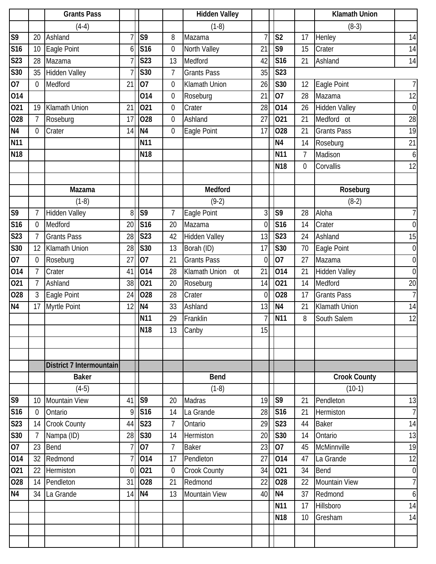|                 |                 | <b>Grants Pass</b>       |                |                 |                  | <b>Hidden Valley</b>     |                |                 |                  | <b>Klamath Union</b> |                  |
|-----------------|-----------------|--------------------------|----------------|-----------------|------------------|--------------------------|----------------|-----------------|------------------|----------------------|------------------|
|                 |                 | $(4-4)$                  |                |                 |                  | $(1-8)$                  |                |                 |                  | $(8-3)$              |                  |
| S <sub>9</sub>  | 20              | Ashland                  | $\overline{1}$ | S <sub>9</sub>  | 8                | Mazama                   | $\overline{7}$ | S <sub>2</sub>  | 17               | Henley               | 14               |
| <b>S16</b>      | 10 <sup>°</sup> | Eagle Point              | 6              | <b>S16</b>      | $\mathbf 0$      | North Valley             | 21             | S9              | 15               | Crater               | 14               |
| S <sub>23</sub> | 28              | Mazama                   | $\overline{1}$ | <b>S23</b>      | 13               | Medford                  | 42             | <b>S16</b>      | 21               | Ashland              | 14               |
| S30             | 35              | <b>Hidden Valley</b>     | $\overline{7}$ | S30             | $\overline{7}$   | <b>Grants Pass</b>       | 35             | <b>S23</b>      |                  |                      |                  |
| 07              | $\overline{0}$  | Medford                  | 21             | 07              | $\overline{0}$   | Klamath Union            | 26             | S30             | 12               | Eagle Point          | 7 <sup>1</sup>   |
| 014             |                 |                          |                | 014             | $\boldsymbol{0}$ | Roseburg                 | 21             | 07              | 28               | Mazama               | 12               |
| 021             | 19              | <b>Klamath Union</b>     | 21             | 021             | $\mathbf 0$      | Crater                   | 28             | 014             | 26               | <b>Hidden Valley</b> | $\overline{0}$   |
| 028             | $\overline{7}$  | Roseburg                 | 17             | 028             | $\mathbf 0$      | Ashland                  | 27             | 021             | 21               | Medford ot           | 28               |
| N <sub>4</sub>  | $\overline{0}$  | Crater                   | 14             | N <sub>4</sub>  | $\overline{0}$   | Eagle Point              | 17             | 028             | 21               | <b>Grants Pass</b>   | 19               |
| <b>N11</b>      |                 |                          |                | N <sub>11</sub> |                  |                          |                | N4              | 14               | Roseburg             | 21               |
| <b>N18</b>      |                 |                          |                | <b>N18</b>      |                  |                          |                | <b>N11</b>      | $\overline{7}$   | Madison              | $6 \mid$         |
|                 |                 |                          |                |                 |                  |                          |                | <b>N18</b>      | $\boldsymbol{0}$ | Corvallis            | 12               |
|                 |                 |                          |                |                 |                  |                          |                |                 |                  |                      |                  |
|                 |                 | Mazama                   |                |                 |                  | Medford                  |                |                 |                  | Roseburg             |                  |
|                 |                 | $(1-8)$                  |                |                 |                  | $(9-2)$                  |                |                 |                  | $(8-2)$              |                  |
| S9              | $\overline{7}$  | <b>Hidden Valley</b>     | 8              | S <sub>9</sub>  | $\overline{7}$   | Eagle Point              | 3              | S <sub>9</sub>  | 28               | Aloha                | $\overline{7}$   |
| S16             | $\overline{0}$  | Medford                  | 20             | <b>S16</b>      | 20               | Mazama                   | 0              | <b>S16</b>      | 14               | Crater               | $\overline{0}$   |
| <b>S23</b>      | 7               | <b>Grants Pass</b>       | 28             | <b>S23</b>      | 42               | Hidden Valley            | 13             | S23             | 24               | Ashland              | 15               |
| S30             | 12              | Klamath Union            | 28             | <b>S30</b>      | 13               | $\overline{B}$ orah (ID) | 17             | <b>S30</b>      | 70               | Eagle Point          | $\overline{0}$   |
| 07              | 0               | Roseburg                 | 27             | 07              | 21               | <b>Grants Pass</b>       | $\mathbf 0$    | 07              | 27               | Mazama               | $\boldsymbol{0}$ |
| 014             | $\overline{7}$  | Crater                   | 41             | 014             | 28               | Klamath Union<br>0t      | 21             | 014             | 21               | <b>Hidden Valley</b> | $\overline{0}$   |
| 021             | 7               | Ashland                  | 38             | 021             | 20               | Roseburg                 | 14             | 021             | 14               | Medford              | 20               |
| 028             | 3               | Eagle Point              | 24             | 028             | 28               | Crater                   | $\overline{0}$ | 028             | 17               | <b>Grants Pass</b>   | 7                |
| N <sub>4</sub>  | 17              | Myrtle Point             | 12             | N <sub>4</sub>  | 33               | Ashland                  | 13             | N <sub>4</sub>  | 21               | Klamath Union        | 14               |
|                 |                 |                          |                | N <sub>11</sub> | 29               | Franklin                 |                | <b>N11</b>      | 8                | South Salem          | 12               |
|                 |                 |                          |                | <b>N18</b>      |                  | 13 Canby                 | 15             |                 |                  |                      |                  |
|                 |                 |                          |                |                 |                  |                          |                |                 |                  |                      |                  |
|                 |                 |                          |                |                 |                  |                          |                |                 |                  |                      |                  |
|                 |                 | District 7 Intermountain |                |                 |                  |                          |                |                 |                  |                      |                  |
|                 |                 | <b>Baker</b>             |                |                 |                  | <b>Bend</b>              |                |                 |                  | <b>Crook County</b>  |                  |
|                 |                 | $(4-5)$                  |                |                 |                  | $(1-8)$                  |                |                 |                  | $(10-1)$             |                  |
| S <sub>9</sub>  | 10              | Mountain View            | 41             | S <sub>9</sub>  | 20               | Madras                   | 19             | S <sub>9</sub>  | 21               | Pendleton            | 13               |
| <b>S16</b>      | $\overline{0}$  | Ontario                  | 9              | S <sub>16</sub> | 14               | La Grande                | 28             | S16             | 21               | Hermiston            | 7 <sup>1</sup>   |
| S23             | 14              | <b>Crook County</b>      | 44             | <b>S23</b>      | $\overline{7}$   | Ontario                  | 29             | S23             | 44               | <b>Baker</b>         | 14               |
| S30             | $7\overline{ }$ | Nampa (ID)               | 28             | S30             | 14               | Hermiston                | 20             | S30             | 14               | Ontario              | 13               |
| 07              | 23              | Bend                     | $\overline{7}$ | 07              | $\overline{7}$   | <b>Baker</b>             | 23             | $\overline{07}$ | 45               | McMinnville          | 19               |
| 014             | 32              | Redmond                  | 7              | 014             | 17               | Pendleton                | 27             | 014             | 47               | La Grande            | 12               |
| 021             | 22              | Hermiston                | 0              | 021             | $\mathbf 0$      | Crook County             | 34             | 021             | 34               | Bend                 | $\overline{0}$   |
| 028             | 14              | Pendleton                | 31             | 028             | 21               | Redmond                  | 22             | 028             | 22               | Mountain View        | 7                |
| N <sub>4</sub>  | 34              | La Grande                | 14             | N <sub>4</sub>  | 13               | Mountain View            | 40             | N <sub>4</sub>  | 37               | Redmond              | 6 <sup>1</sup>   |
|                 |                 |                          |                |                 |                  |                          |                | <b>N11</b>      | 17               | Hillsboro            | 14               |
|                 |                 |                          |                |                 |                  |                          |                | <b>N18</b>      | 10               | Gresham              | 14               |
|                 |                 |                          |                |                 |                  |                          |                |                 |                  |                      |                  |
|                 |                 |                          |                |                 |                  |                          |                |                 |                  |                      |                  |
|                 |                 |                          |                |                 |                  |                          |                |                 |                  |                      |                  |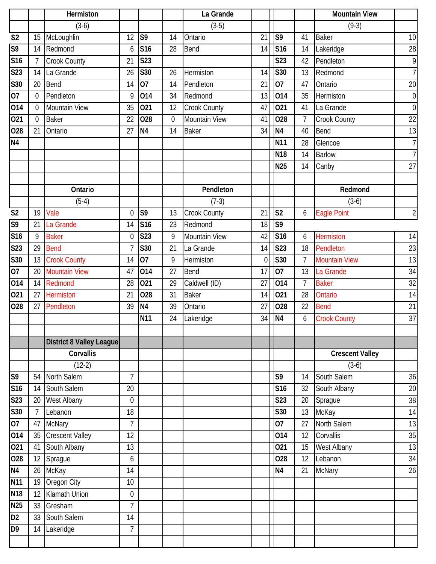|                 |                | Hermiston                       |                |                 |             | La Grande            |    |                |                | <b>Mountain View</b>   |                 |
|-----------------|----------------|---------------------------------|----------------|-----------------|-------------|----------------------|----|----------------|----------------|------------------------|-----------------|
|                 |                | $(3-6)$                         |                |                 |             | $(3-5)$              |    |                |                | $(9-3)$                |                 |
| <b>S2</b>       | 15             | McLoughlin                      | 12             | S <sub>9</sub>  | 14          | Ontario              | 21 | S9             | 41             | <b>Baker</b>           | 10              |
| S9              | 14             | Redmond                         | 6              | <b>S16</b>      | 28          | Bend                 | 14 | <b>S16</b>     | 14             | Lakeridge              | 28              |
| S16             | $\overline{7}$ | Crook County                    | 21             | S23             |             |                      |    | <b>S23</b>     | 42             | Pendleton              | $\overline{9}$  |
| S23             | 14             | La Grande                       | 26             | S30             | 26          | Hermiston            | 14 | S30            | 13             | Redmond                | $\overline{7}$  |
| <b>S30</b>      | 20             | Bend                            | 14             | 07              | 14          | Pendleton            | 21 | 07             | 47             | Ontario                | 20              |
| 07              | $\overline{0}$ | Pendleton                       | 9              | 014             | 34          | Redmond              | 13 | 014            | 35             | Hermiston              | $\overline{0}$  |
| 014             | $\overline{0}$ | <b>Mountain View</b>            | 35             | 021             | 12          | Crook County         | 47 | 021            | 41             | La Grande              | $\overline{0}$  |
| 021             | $\overline{0}$ | <b>Baker</b>                    | 22             | 028             | $\mathbf 0$ | <b>Mountain View</b> | 41 | 028            | $\overline{7}$ | Crook County           | $\overline{22}$ |
| 028             | 21             | Ontario                         | 27             | N <sub>4</sub>  | 14          | <b>Baker</b>         | 34 | N <sub>4</sub> | 40             | Bend                   | 13              |
| N <sub>4</sub>  |                |                                 |                |                 |             |                      |    | N11            | 28             | Glencoe                | 7 <sup>1</sup>  |
|                 |                |                                 |                |                 |             |                      |    | <b>N18</b>     | 14             | <b>Barlow</b>          | 7               |
|                 |                |                                 |                |                 |             |                      |    | N25            | 14             | Canby                  | 27              |
|                 |                |                                 |                |                 |             |                      |    |                |                |                        |                 |
|                 |                | Ontario                         |                |                 |             | Pendleton            |    |                |                | Redmond                |                 |
|                 |                | $(5-4)$                         |                |                 |             | $(7-3)$              |    |                |                | $(3-6)$                |                 |
| S <sub>2</sub>  | 19             | Vale                            | $\theta$       | S <sub>9</sub>  | 13          | Crook County         | 21 | S <sub>2</sub> | 6              | <b>Eagle Point</b>     | $\overline{2}$  |
| S9              | 21             | La Grande                       | 14             | S <sub>16</sub> | 23          | Redmond              | 18 | S <sub>9</sub> |                |                        |                 |
| <b>S16</b>      | 9              | <b>Baker</b>                    | $\overline{0}$ | <b>S23</b>      | 9           | <b>Mountain View</b> | 42 | S16            | 6              | <b>Hermiston</b>       | 14              |
| <b>S23</b>      | 29             | <b>Bend</b>                     | $\overline{7}$ | S30             | 21          | La Grande            | 14 | <b>S23</b>     | 18             | Pendleton              | 23              |
| S30             | 13             | <b>Crook County</b>             | 14             | 07              | 9           | Hermiston            | 0  | <b>S30</b>     | $\overline{7}$ | <b>Mountain View</b>   | 13              |
| 07              | 20             | <b>Mountain View</b>            | 47             | 014             | 27          | Bend                 | 17 | 07             | 13             | La Grande              | 34              |
| 014             | 14             | Redmond                         | 28             | 021             | 29          | Caldwell (ID)        | 27 | 014            | $\overline{7}$ | <b>Baker</b>           | 32              |
| 021             | 27             | <b>Hermiston</b>                | 21             | 028             | 31          | <b>Baker</b>         | 14 | 021            | 28             | Ontario                | 14              |
| 028             | 27             | Pendleton                       | 39             | N <sub>4</sub>  | 39          | Ontario              | 27 | 028            | 22             | <b>Bend</b>            | 21              |
|                 |                |                                 |                | N <sub>11</sub> | 24          | Lakeridge            | 34 | N <sub>4</sub> | 6              | <b>Crook County</b>    | 37              |
|                 |                |                                 |                |                 |             |                      |    |                |                |                        |                 |
|                 |                | <b>District 8 Valley League</b> |                |                 |             |                      |    |                |                |                        |                 |
|                 |                | Corvallis                       |                |                 |             |                      |    |                |                | <b>Crescent Valley</b> |                 |
|                 |                | $(12-2)$                        |                |                 |             |                      |    |                |                | $(3-6)$                |                 |
| S <sub>9</sub>  | 54             | North Salem                     | $\overline{1}$ |                 |             |                      |    | S9             | 14             | South Salem            | 36              |
| S16             | 14             | South Salem                     | 20             |                 |             |                      |    | S16            | 32             | South Albany           | 20              |
| S <sub>23</sub> | 20             | <b>West Albany</b>              | $\mathbf 0$    |                 |             |                      |    | <b>S23</b>     | 20             | Sprague                | 38              |
| S30             | $\overline{7}$ | Lebanon                         | 18             |                 |             |                      |    | S30            | 13             | McKay                  | 14              |
| 07              | 47             | <b>McNary</b>                   | $\overline{1}$ |                 |             |                      |    | 07             | 27             | North Salem            | 13              |
| 014             | 35             | <b>Crescent Valley</b>          | 12             |                 |             |                      |    | 014            | 12             | Corvallis              | 35              |
| 021             | 41             | South Albany                    | 13             |                 |             |                      |    | 021            | 15             | West Albany            | 13              |
| 028             | 12             | Sprague                         | 6              |                 |             |                      |    | 028            | 12             | Lebanon                | 34              |
| N <sub>4</sub>  | 26             | McKay                           | 14             |                 |             |                      |    | N <sub>4</sub> | 21             | <b>McNary</b>          | 26              |
| <b>N11</b>      | 19             | Oregon City                     | 10             |                 |             |                      |    |                |                |                        |                 |
| <b>N18</b>      | 12             | Klamath Union                   | $\mathbf 0$    |                 |             |                      |    |                |                |                        |                 |
| <b>N25</b>      | 33             | Gresham                         | $\overline{1}$ |                 |             |                      |    |                |                |                        |                 |
| D <sub>2</sub>  | 33             | South Salem                     | 14             |                 |             |                      |    |                |                |                        |                 |
| D <sub>9</sub>  | 14             | Lakeridge                       | 7              |                 |             |                      |    |                |                |                        |                 |
|                 |                |                                 |                |                 |             |                      |    |                |                |                        |                 |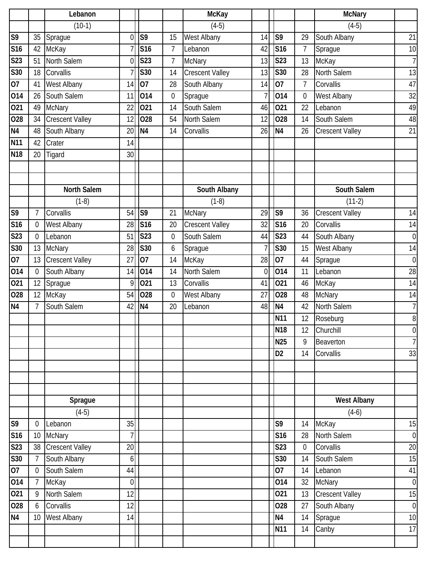|                 |                 | Lebanon                |                |                 |                | <b>McKay</b>           |    |                 |                 | <b>McNary</b>          |                |
|-----------------|-----------------|------------------------|----------------|-----------------|----------------|------------------------|----|-----------------|-----------------|------------------------|----------------|
|                 |                 | $(10-1)$               |                |                 |                | $(4-5)$                |    |                 |                 | $(4-5)$                |                |
| S <sub>9</sub>  | 35              | Sprague                | $\mathbf{0}$   | S <sub>9</sub>  | 15             | West Albany            | 14 | S9              | 29              | South Albany           | 21             |
| <b>S16</b>      | 42              | McKay                  | 7              | <b>S16</b>      | $\overline{7}$ | Lebanon                | 42 | <b>S16</b>      | $\overline{7}$  | Sprague                | 10             |
| <b>S23</b>      | 51              | North Salem            | $\mathbf{0}$   | <b>S23</b>      | $\overline{7}$ | <b>McNary</b>          | 13 | S23             | 13              | McKay                  | $\overline{7}$ |
| S30             | 18              | Corvallis              | $\overline{7}$ | <b>S30</b>      | 14             | <b>Crescent Valley</b> | 13 | S30             | 28              | North Salem            | 13             |
| 07              | 41              | <b>West Albany</b>     | 14             | 07              | 28             | South Albany           | 14 | 07              | $\overline{7}$  | Corvallis              | 47             |
| 014             | 26              | South Salem            | 11             | 014             | $\mathbf 0$    | Sprague                |    | 014             | 0               | West Albany            | 32             |
| 021             | 49              | <b>McNary</b>          | 22             | 021             | 14             | South Salem            | 46 | 021             | 22              | Lebanon                | 49             |
| 028             | 34              | <b>Crescent Valley</b> | 12             | 028             | 54             | North Salem            | 12 | 028             | 14              | South Salem            | 48             |
| N <sub>4</sub>  | 48              | South Albany           | 20             | N <sub>4</sub>  | 14             | Corvallis              | 26 | <b>N4</b>       | 26              | <b>Crescent Valley</b> | 21             |
| <b>N11</b>      | 42              | Crater                 | 14             |                 |                |                        |    |                 |                 |                        |                |
| <b>N18</b>      | 20              | Tigard                 | 30             |                 |                |                        |    |                 |                 |                        |                |
|                 |                 |                        |                |                 |                |                        |    |                 |                 |                        |                |
|                 |                 |                        |                |                 |                |                        |    |                 |                 |                        |                |
|                 |                 | <b>North Salem</b>     |                |                 |                | South Albany           |    |                 |                 | South Salem            |                |
|                 |                 | $(1-8)$                |                |                 |                | $(1-8)$                |    |                 |                 | $(11-2)$               |                |
| S <sub>9</sub>  | $\overline{7}$  | Corvallis              | 54             | S <sub>9</sub>  | 21             | <b>McNary</b>          | 29 | S9              | 36              | <b>Crescent Valley</b> | 14             |
| <b>S16</b>      | 0               | West Albany            | 28             | S <sub>16</sub> | 20             | <b>Crescent Valley</b> | 32 | S <sub>16</sub> | 20              | Corvallis              | 14             |
| <b>S23</b>      | 0               | Lebanon                | 51             | <b>S23</b>      | $\mathbf 0$    | South Salem            | 44 | <b>S23</b>      | 44              | South Albany           | $\overline{0}$ |
| S30             | 13              | <b>McNary</b>          | 28             | S30             | 6              | Sprague                | 7  | S30             | 15              | <b>West Albany</b>     | 14             |
| 07              | 13              | <b>Crescent Valley</b> | 27             | 07              | 14             | McKay                  | 28 | 07              | 44              | Sprague                | $\overline{0}$ |
| 014             | 0               | South Albany           | 14             | 014             | 14             | North Salem            | 0  | 014             | 11              | Lebanon                | 28             |
| 021             | 12              | Sprague                | 9              | 021             | 13             | Corvallis              | 41 | 021             | 46              | McKay                  | 14             |
| 028             | 12              | McKay                  | 54             | 028             | $\mathbf 0$    | West Albany            | 27 | 028             | 48              | <b>McNary</b>          | 14             |
| N <sub>4</sub>  | $\overline{7}$  | South Salem            | 42             | N <sub>4</sub>  | 20             | Lebanon                | 48 | N <sub>4</sub>  | 42              | North Salem            | $\overline{7}$ |
|                 |                 |                        |                |                 |                |                        |    | N11             | 12              | Roseburg               | $\, 8$         |
|                 |                 |                        |                |                 |                |                        |    | <b>N18</b>      | $\overline{12}$ | Churchill              | $\overline{0}$ |
|                 |                 |                        |                |                 |                |                        |    | <b>N25</b>      | 9               | Beaverton              | $\overline{7}$ |
|                 |                 |                        |                |                 |                |                        |    | D <sub>2</sub>  | 14              | Corvallis              | 33             |
|                 |                 |                        |                |                 |                |                        |    |                 |                 |                        |                |
|                 |                 |                        |                |                 |                |                        |    |                 |                 |                        |                |
|                 |                 |                        |                |                 |                |                        |    |                 |                 |                        |                |
|                 |                 | Sprague                |                |                 |                |                        |    |                 |                 | <b>West Albany</b>     |                |
|                 |                 | $(4-5)$                |                |                 |                |                        |    |                 |                 | $(4-6)$                |                |
| S <sub>9</sub>  | $\mathbf 0$     | Lebanon                | 35             |                 |                |                        |    | S9              | 14              | McKay                  | 15             |
| S16             | 10 <sup>°</sup> | McNary                 | $\overline{7}$ |                 |                |                        |    | <b>S16</b>      | 28              | North Salem            | $\overline{0}$ |
| S <sub>23</sub> | 38              | <b>Crescent Valley</b> | 20             |                 |                |                        |    | S23             | $\mathbf 0$     | Corvallis              | 20             |
| S30             | $\overline{7}$  | South Albany           | 6              |                 |                |                        |    | S30             | 14              | South Salem            | 15             |
| 07              | $\mathbf 0$     | South Salem            | 44             |                 |                |                        |    | 07              | 14              | Lebanon                | 41             |
| 014             | $7\overline{ }$ | McKay                  | $\mathbf 0$    |                 |                |                        |    | 014             | 32              | <b>McNary</b>          | $\overline{0}$ |
| 021             | 9               | North Salem            | 12             |                 |                |                        |    | 021             | 13              | <b>Crescent Valley</b> | 15             |
| 028             | 6               | Corvallis              | 12             |                 |                |                        |    | 028             | 27              | South Albany           | $\overline{0}$ |
| N <sub>4</sub>  | 10 <sup>1</sup> | <b>West Albany</b>     | 14             |                 |                |                        |    | N <sub>4</sub>  | 14              | Sprague                | 10             |
|                 |                 |                        |                |                 |                |                        |    | <b>N11</b>      | 14              | Canby                  | 17             |
|                 |                 |                        |                |                 |                |                        |    |                 |                 |                        |                |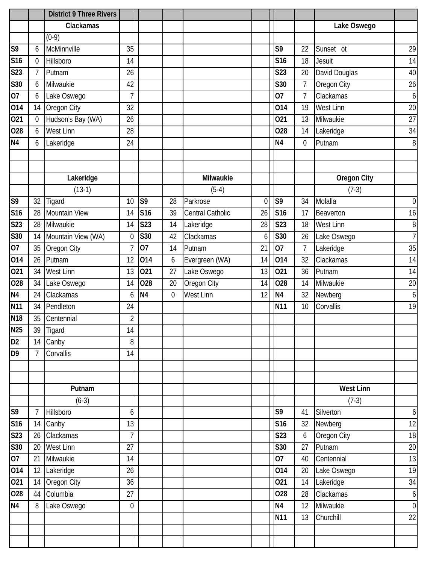|                 |                  | <b>District 9 Three Rivers</b> |                  |                        |    |                  |                |                |                  |                    |                  |
|-----------------|------------------|--------------------------------|------------------|------------------------|----|------------------|----------------|----------------|------------------|--------------------|------------------|
|                 |                  | Clackamas                      |                  |                        |    |                  |                |                |                  | Lake Oswego        |                  |
|                 |                  | $(0-9)$                        |                  |                        |    |                  |                |                |                  |                    |                  |
| S <sub>9</sub>  | 6                | McMinnville                    | 35               |                        |    |                  |                | S9             | 22               | Sunset ot          | 29               |
| <b>S16</b>      | 0                | Hillsboro                      | 14               |                        |    |                  |                | S16            | 18               | Jesuit             | 14               |
| S23             | 7                | Putnam                         | 26               |                        |    |                  |                | S23            | 20               | David Douglas      | 40               |
| S30             | 6                | Milwaukie                      | 42               |                        |    |                  |                | S30            | $\overline{7}$   | Oregon City        | 26               |
| $\overline{07}$ | 6                | Lake Oswego                    | $\overline{7}$   |                        |    |                  |                | 07             | $\overline{7}$   | Clackamas          | $\boldsymbol{6}$ |
| 014             | 14               | Oregon City                    | 32               |                        |    |                  |                | 014            | 19               | <b>West Linn</b>   | 20               |
| 021             | $\boldsymbol{0}$ | Hudson's Bay (WA)              | 26               |                        |    |                  |                | 021            | 13               | Milwaukie          | 27               |
| 028             | 6                | <b>West Linn</b>               | 28               |                        |    |                  |                | 028            | 14               | Lakeridge          | 34               |
| N <sub>4</sub>  | 6                | Lakeridge                      | 24               |                        |    |                  |                | N <sub>4</sub> | $\boldsymbol{0}$ | Putnam             | 8                |
|                 |                  |                                |                  |                        |    |                  |                |                |                  |                    |                  |
|                 |                  |                                |                  |                        |    |                  |                |                |                  |                    |                  |
|                 |                  | Lakeridge                      |                  |                        |    | <b>Milwaukie</b> |                |                |                  | <b>Oregon City</b> |                  |
|                 |                  | $(13-1)$                       |                  |                        |    | $(5-4)$          |                |                |                  | $(7-3)$            |                  |
| S <sub>9</sub>  | 32               | Tigard                         | 10               | $\overline{\text{S9}}$ | 28 | Parkrose         | $\overline{0}$ | S <sub>9</sub> | 34               | Molalla            | $\overline{0}$   |
| <b>S16</b>      | 28               | Mountain View                  | 14               | S <sub>16</sub>        | 39 | Central Catholic | 26             | <b>S16</b>     | 17               | Beaverton          | 16               |
| <b>S23</b>      | 28               | Milwaukie                      | 14               | <b>S23</b>             | 14 | Lakeridge        | 28             | <b>S23</b>     | 18               | <b>West Linn</b>   | $\, 8$           |
| S30             | 14               | Mountain View (WA)             | $\overline{0}$   | S30                    | 42 | Clackamas        | 6              | S30            | 26               | Lake Oswego        | $\overline{7}$   |
| $\overline{07}$ | 35               | Oregon City                    | 7                | 07                     | 14 | Putnam           | 21             | 07             | $\overline{7}$   | Lakeridge          | 35               |
| 014             | 26               | Putnam                         | 12               | 014                    | 6  | Evergreen (WA)   | 14             | 014            | 32               | Clackamas          | 14               |
| 021             | 34               | <b>West Linn</b>               | 13               | 021                    | 27 | Lake Oswego      | 13             | 021            | 36               | Putnam             | 14               |
| 028             | 34               | Lake Oswego                    | 14               | 028                    | 20 | Oregon City      | 14             | 028            | 14               | Milwaukie          | 20               |
| N <sub>4</sub>  | 24               | Clackamas                      | 6                | N <sub>4</sub>         | 0  | West Linn        | 12             | N <sub>4</sub> | 32               | Newberg            | 6                |
| <b>N11</b>      | 34               | Pendleton                      | 24               |                        |    |                  |                | <b>N11</b>     | 10               | Corvallis          | 19               |
| <b>N18</b>      | 35               | Centennial                     | $\sqrt{2}$       |                        |    |                  |                |                |                  |                    |                  |
| <b>N25</b>      |                  | 39 Tigard                      | $14$             |                        |    |                  |                |                |                  |                    |                  |
| $\overline{D2}$ | 14               | Canby                          | 8                |                        |    |                  |                |                |                  |                    |                  |
| D <sub>9</sub>  | $7\overline{ }$  | Corvallis                      | 14               |                        |    |                  |                |                |                  |                    |                  |
|                 |                  |                                |                  |                        |    |                  |                |                |                  |                    |                  |
|                 |                  |                                |                  |                        |    |                  |                |                |                  |                    |                  |
|                 |                  | Putnam                         |                  |                        |    |                  |                |                |                  | <b>West Linn</b>   |                  |
|                 |                  | $(6-3)$                        |                  |                        |    |                  |                |                |                  | $(7-3)$            |                  |
| S <sub>9</sub>  | $\overline{7}$   | Hillsboro                      | 6                |                        |    |                  |                | S9             | 41               | Silverton          | $\boldsymbol{6}$ |
| S16             | 14               | Canby                          | 13               |                        |    |                  |                | S16            | 32               | Newberg            | 12               |
| S <sub>23</sub> | 26               | Clackamas                      | $\overline{7}$   |                        |    |                  |                | S23            | 6                | Oregon City        | 18               |
| S30             | 20               | <b>West Linn</b>               | 27               |                        |    |                  |                | S30            | 27               | Putnam             | $20\,$           |
| $\overline{07}$ | 21               | Milwaukie                      | 14               |                        |    |                  |                | 07             | 40               | Centennial         | 13               |
| 014             | 12               | Lakeridge                      | 26               |                        |    |                  |                | 014            | 20               | Lake Oswego        | 19               |
| 021             | 14               | Oregon City                    | 36               |                        |    |                  |                | 021            | 14               | Lakeridge          | 34               |
| 028             | 44               | Columbia                       | 27               |                        |    |                  |                | 028            | 28               | Clackamas          | $\boldsymbol{6}$ |
| N4              | 8                | Lake Oswego                    | $\boldsymbol{0}$ |                        |    |                  |                | N <sub>4</sub> | 12               | Milwaukie          | $\boldsymbol{0}$ |
|                 |                  |                                |                  |                        |    |                  |                | <b>N11</b>     | 13               | Churchill          | 22               |
|                 |                  |                                |                  |                        |    |                  |                |                |                  |                    |                  |
|                 |                  |                                |                  |                        |    |                  |                |                |                  |                    |                  |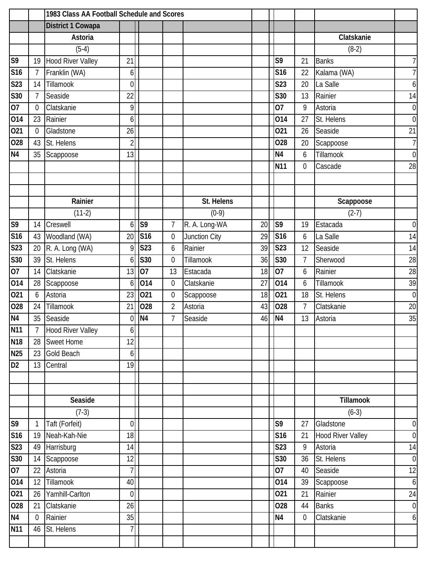|                | 1983 Class AA Football Schedule and Scores |                          |                |                |                |               |    |                 |                  |                          |                  |
|----------------|--------------------------------------------|--------------------------|----------------|----------------|----------------|---------------|----|-----------------|------------------|--------------------------|------------------|
|                |                                            | <b>District 1 Cowapa</b> |                |                |                |               |    |                 |                  |                          |                  |
|                |                                            | Astoria                  |                |                |                |               |    |                 |                  | Clatskanie               |                  |
|                |                                            | $(5-4)$                  |                |                |                |               |    |                 |                  | $(8-2)$                  |                  |
| S <sub>9</sub> | 19                                         | <b>Hood River Valley</b> | 21             |                |                |               |    | S9              | 21               | <b>Banks</b>             | 7                |
| S16            | $\overline{7}$                             | Franklin (WA)            | 6              |                |                |               |    | S16             | 22               | Kalama (WA)              | $\overline{7}$   |
| <b>S23</b>     | 14                                         | Tillamook                | $\mathbf 0$    |                |                |               |    | S23             | 20               | La Salle                 | $6 \mid$         |
| S30            | $\overline{7}$                             | Seaside                  | 22             |                |                |               |    | S30             | 13               | Rainier                  | 14               |
| 07             | $\overline{0}$                             | Clatskanie               | 9              |                |                |               |    | 07              | 9                | Astoria                  | $\overline{0}$   |
| 014            | 23                                         | Rainier                  | 6              |                |                |               |    | 014             | 27               | St. Helens               | $\overline{0}$   |
| 021            | $\overline{0}$                             | Gladstone                | 26             |                |                |               |    | 021             | 26               | Seaside                  | 21               |
| 028            | 43                                         | St. Helens               | $\overline{2}$ |                |                |               |    | 028             | 20               | Scappoose                | 7                |
| N <sub>4</sub> | 35                                         | Scappoose                | 13             |                |                |               |    | <b>N4</b>       | $\boldsymbol{6}$ | Tillamook                | $\overline{0}$   |
|                |                                            |                          |                |                |                |               |    | <b>N11</b>      | $\boldsymbol{0}$ | Cascade                  | 28               |
|                |                                            |                          |                |                |                |               |    |                 |                  |                          |                  |
|                |                                            |                          |                |                |                |               |    |                 |                  |                          |                  |
|                |                                            | Rainier                  |                |                |                | St. Helens    |    |                 |                  | Scappoose                |                  |
|                |                                            | $(11-2)$                 |                |                |                | $(0-9)$       |    |                 |                  | $(2-7)$                  |                  |
| S9             | 14                                         | Creswell                 | 6              | S <sub>9</sub> | $\overline{7}$ | R. A. Long-WA | 20 | S <sub>9</sub>  | 19               | Estacada                 | $\overline{0}$   |
| S16            | 43                                         | Woodland (WA)            | 20             | S16            | $\mathbf 0$    | Junction City | 29 | S <sub>16</sub> | 6                | La Salle                 | 14               |
| S23            | 20                                         | R. A. Long (WA)          | 9              | <b>S23</b>     | 6              | Rainier       | 39 | <b>S23</b>      | 12               | Seaside                  | 14               |
| S30            | 39                                         | St. Helens               | 6              | S30            | $\mathbf 0$    | Tillamook     | 36 | S30             | $\overline{7}$   | Sherwood                 | 28               |
| 07             | 14                                         | Clatskanie               | 13             | 07             | 13             | Estacada      | 18 | 07              | 6                | Rainier                  | 28               |
| 014            | 28                                         | Scappoose                | 6              | 014            | $\mathbf 0$    | Clatskanie    | 27 | 014             | 6                | Tillamook                | 39               |
| 021            | 6                                          | Astoria                  | 23             | 021            | $\mathbf 0$    | Scappoose     | 18 | 021             | 18               | St. Helens               | $\overline{0}$   |
| 028            | 24                                         | Tillamook                | 21             | 028            | $\overline{2}$ | Astoria       | 43 | 028             | $\overline{7}$   | Clatskanie               | 20               |
| N4             | 35                                         | Seaside                  | $\mathbf 0$    | N <sub>4</sub> | $\overline{7}$ | Seaside       | 46 | N <sub>4</sub>  | 13               | Astoria                  | 35               |
| <b>N11</b>     |                                            | 7 Hood River Valley      | 6              |                |                |               |    |                 |                  |                          |                  |
| <b>N18</b>     | 28                                         | Sweet Home               | 12             |                |                |               |    |                 |                  |                          |                  |
| <b>N25</b>     | 23                                         | <b>Gold Beach</b>        | 6              |                |                |               |    |                 |                  |                          |                  |
| D2             | 13                                         | Central                  | 19             |                |                |               |    |                 |                  |                          |                  |
|                |                                            |                          |                |                |                |               |    |                 |                  |                          |                  |
|                |                                            |                          |                |                |                |               |    |                 |                  |                          |                  |
|                |                                            | Seaside                  |                |                |                |               |    |                 |                  | Tillamook                |                  |
|                |                                            | $(7-3)$                  |                |                |                |               |    |                 |                  | $(6-3)$                  |                  |
| S9             | $\mathbf{1}$                               | Taft (Forfeit)           | $\mathbf 0$    |                |                |               |    | S9              | 27               | Gladstone                | $\overline{0}$   |
| S16            | 19                                         | Neah-Kah-Nie             | 18             |                |                |               |    | S16             | 21               | <b>Hood River Valley</b> | $\overline{0}$   |
| <b>S23</b>     | 49                                         | Harrisburg               | 14             |                |                |               |    | S23             | 9                | Astoria                  | 14               |
| S30            | 14                                         | Scappoose                | 12             |                |                |               |    | S30             | 36               | St. Helens               | $\overline{0}$   |
| 07             | 22                                         | Astoria                  | $\overline{7}$ |                |                |               |    | 07              | 40               | Seaside                  | 12               |
| 014            | 12                                         | Tillamook                | 40             |                |                |               |    | 014             | 39               | Scappoose                | $6 \overline{6}$ |
| 021            | 26                                         | Yamhill-Carlton          | $\mathbf 0$    |                |                |               |    | 021             | 21               | Rainier                  | 24               |
| 028            | 21                                         | Clatskanie               | 26             |                |                |               |    | 028             | 44               | <b>Banks</b>             | $\overline{0}$   |
| N4             | $\overline{0}$                             | Rainier                  | 35             |                |                |               |    | N <sub>4</sub>  | $\mathbf 0$      | Clatskanie               | 6                |
| <b>N11</b>     | 46                                         | St. Helens               | $\overline{1}$ |                |                |               |    |                 |                  |                          |                  |
|                |                                            |                          |                |                |                |               |    |                 |                  |                          |                  |
|                |                                            |                          |                |                |                |               |    |                 |                  |                          |                  |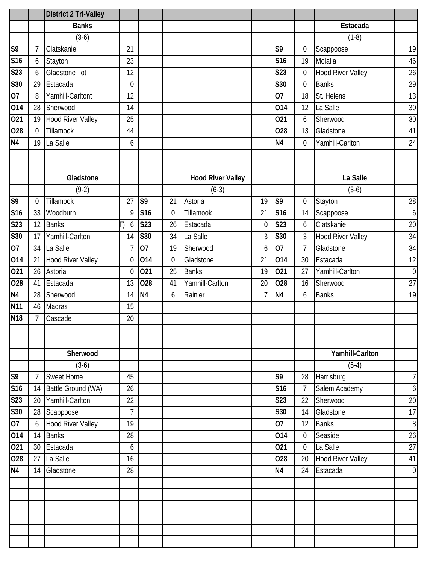|                 |                | <b>District 2 Tri-Valley</b> |                  |                  |             |                          |             |                |                  |                          |                  |
|-----------------|----------------|------------------------------|------------------|------------------|-------------|--------------------------|-------------|----------------|------------------|--------------------------|------------------|
|                 |                | <b>Banks</b>                 |                  |                  |             |                          |             |                |                  | Estacada                 |                  |
|                 |                | $(3-6)$                      |                  |                  |             |                          |             |                |                  | $(1-8)$                  |                  |
| S <sub>9</sub>  | $\overline{7}$ | Clatskanie                   | 21               |                  |             |                          |             | S9             | $\boldsymbol{0}$ | Scappoose                | 19               |
| <b>S16</b>      | 6              | Stayton                      | 23               |                  |             |                          |             | S16            | 19               | Molalla                  | 46               |
| S23             | 6              | Gladstone ot                 | 12               |                  |             |                          |             | <b>S23</b>     | $\mathbf 0$      | <b>Hood River Valley</b> | 26               |
| S30             | 29             | Estacada                     | $\boldsymbol{0}$ |                  |             |                          |             | S30            | $\boldsymbol{0}$ | <b>Banks</b>             | 29               |
| 07              | 8              | Yamhill-Carltont             | 12               |                  |             |                          |             | 07             | 18               | St. Helens               | 13               |
| 014             | 28             | Sherwood                     | 14               |                  |             |                          |             | 014            | 12               | La Salle                 | 30               |
| 021             | 19             | <b>Hood River Valley</b>     | 25               |                  |             |                          |             | 021            | 6                | Sherwood                 | $30\,$           |
| 028             | $\mathbf 0$    | Tillamook                    | 44               |                  |             |                          |             | 028            | 13               | Gladstone                | 41               |
| N <sub>4</sub>  | 19             | La Salle                     | 6                |                  |             |                          |             | N <sub>4</sub> | $\mathbf 0$      | Yamhill-Carlton          | 24               |
|                 |                |                              |                  |                  |             |                          |             |                |                  |                          |                  |
|                 |                |                              |                  |                  |             |                          |             |                |                  |                          |                  |
|                 |                | Gladstone                    |                  |                  |             | <b>Hood River Valley</b> |             |                |                  | La Salle                 |                  |
|                 |                | $(9-2)$                      |                  |                  |             | $(6-3)$                  |             |                |                  | $(3-6)$                  |                  |
| S <sub>9</sub>  | $\overline{0}$ | Tillamook                    | 27               | S <sub>9</sub>   | 21          | Astoria                  | 19          | S <sub>9</sub> | 0                | Stayton                  | 28               |
| S <sub>16</sub> | 33             | Woodburn                     | 9                | <b>S16</b>       | 0           | Tillamook                | 21          | <b>S16</b>     | 14               | Scappoose                | $\boldsymbol{6}$ |
| S23             | 12             | <b>Banks</b>                 | 6                | <b>S23</b>       | 26          | Estacada                 | $\mathbf 0$ | <b>S23</b>     | 6                | Clatskanie               | 20               |
| S30             | 17             | Yamhill-Carlton              | 14               | S30              | 34          | La Salle                 | 3           | S30            | $\mathfrak{Z}$   | <b>Hood River Valley</b> | 34               |
| 07              | 34             | La Salle                     | $\overline{1}$   | 07               | 19          | Sherwood                 | 6           | 07             | $\overline{7}$   | Gladstone                | 34               |
| 014             | 21             | <b>Hood River Valley</b>     | $\mathbf{0}$     | 014              | $\mathbf 0$ | Gladstone                | 21          | 014            | 30               | Estacada                 | 12               |
| 021             | 26             | Astoria                      | $\Omega$         | $\overline{021}$ | 25          | <b>Banks</b>             | 19          | 021            | 27               | Yamhill-Carlton          | $\overline{0}$   |
| 028             | 41             | Estacada                     | 13               | 028              | 41          | Yamhill-Carlton          | 20          | 028            | 16               | Sherwood                 | 27               |
| N <sub>4</sub>  | 28             | Sherwood                     | 14               | N <sub>4</sub>   | 6           | Rainier                  | 7           | N <sub>4</sub> | 6                | <b>Banks</b>             | 19               |
| <b>N11</b>      | 46             | Madras                       | 15               |                  |             |                          |             |                |                  |                          |                  |
| <b>N18</b>      | $\overline{7}$ | Cascade                      | 20               |                  |             |                          |             |                |                  |                          |                  |
|                 |                |                              |                  |                  |             |                          |             |                |                  |                          |                  |
|                 |                |                              |                  |                  |             |                          |             |                |                  |                          |                  |
|                 |                | Sherwood                     |                  |                  |             |                          |             |                |                  | Yamhill-Carlton          |                  |
|                 |                | $(3-6)$                      |                  |                  |             |                          |             |                |                  | $(5-4)$                  |                  |
| S9              | $\overline{7}$ | <b>Sweet Home</b>            | 45               |                  |             |                          |             | S9             | 28               | Harrisburg               | $\overline{7}$   |
| S16             | 14             | Battle Ground (WA)           | 26               |                  |             |                          |             | <b>S16</b>     | $\overline{7}$   | Salem Academy            | $\boldsymbol{6}$ |
| <b>S23</b>      | 20             | Yamhill-Carlton              | 22               |                  |             |                          |             | <b>S23</b>     | 22               | Sherwood                 | $20\,$           |
| S30             | 28             | Scappoose                    | $\overline{1}$   |                  |             |                          |             | S30            | 14               | Gladstone                | 17               |
| 07              | 6              | <b>Hood River Valley</b>     | 19               |                  |             |                          |             | 07             | 12               | <b>Banks</b>             | $\, 8$           |
| 014             | 14             | <b>Banks</b>                 | 28               |                  |             |                          |             | 014            | $\mathbf 0$      | Seaside                  | 26               |
| 021             | 30             | Estacada                     | 6                |                  |             |                          |             | 021            | $\boldsymbol{0}$ | La Salle                 | 27               |
| 028             | 27             | La Salle                     | 16               |                  |             |                          |             | 028            | 20               | <b>Hood River Valley</b> | 41               |
| N <sub>4</sub>  | 14             | Gladstone                    | 28               |                  |             |                          |             | N <sub>4</sub> | 24               | Estacada                 | $\overline{0}$   |
|                 |                |                              |                  |                  |             |                          |             |                |                  |                          |                  |
|                 |                |                              |                  |                  |             |                          |             |                |                  |                          |                  |
|                 |                |                              |                  |                  |             |                          |             |                |                  |                          |                  |
|                 |                |                              |                  |                  |             |                          |             |                |                  |                          |                  |
|                 |                |                              |                  |                  |             |                          |             |                |                  |                          |                  |
|                 |                |                              |                  |                  |             |                          |             |                |                  |                          |                  |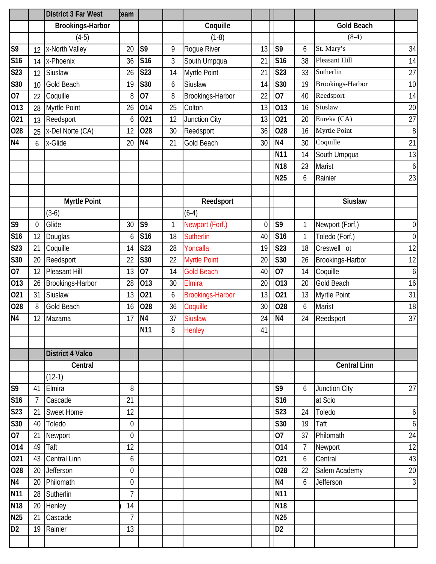|                |                  | <b>District 3 Far West</b> | teaml            |                 |              |                         |    |                 |                |                         |                  |
|----------------|------------------|----------------------------|------------------|-----------------|--------------|-------------------------|----|-----------------|----------------|-------------------------|------------------|
|                |                  | <b>Brookings-Harbor</b>    |                  |                 |              | Coquille                |    |                 |                | <b>Gold Beach</b>       |                  |
|                |                  | $(4-5)$                    |                  |                 |              | $(1-8)$                 |    |                 |                | $(8-4)$                 |                  |
| S <sub>9</sub> | 12               | x-North Valley             | 20               | S <sub>9</sub>  | 9            | Rogue River             | 13 | S9              | 6              | St. Mary's              | 34               |
| S16            | 14               | x-Phoenix                  | 36               | S <sub>16</sub> | 3            | South Umpqua            | 21 | <b>S16</b>      | 38             | Pleasant Hill           | 14               |
| <b>S23</b>     | 12               | Siuslaw                    | 26               | <b>S23</b>      | 14           | Myrtle Point            | 21 | <b>S23</b>      | 33             | Sutherlin               | 27               |
| S30            | 10               | <b>Gold Beach</b>          | 19               | S30             | 6            | Siuslaw                 | 14 | S30             | 19             | <b>Brookings-Harbor</b> | 10               |
| 07             | 22               | Coquille                   | 8                | 07              | 8            | Brookings-Harbor        | 22 | 07              | 40             | Reedsport               | 14               |
| 013            | 28               | Myrtle Point               | 26               | 014             | 25           | Colton                  | 13 | 013             | 16             | Siuslaw                 | 20               |
| 021            | 13               | Reedsport                  | 6                | 021             | 12           | Junction City           | 13 | 021             | 20             | Eureka (CA)             | 27               |
| 028            | 25               | x-Del Norte (CA)           | 12               | 028             | 30           | Reedsport               | 36 | 028             | 16             | Myrtle Point            | $\, 8$           |
| N <sub>4</sub> | 6                | x-Glide                    | 20               | N <sub>4</sub>  | 21           | Gold Beach              | 30 | N <sub>4</sub>  | 30             | Coquille                | 21               |
|                |                  |                            |                  |                 |              |                         |    | <b>N11</b>      | 14             | South Umpqua            | 13               |
|                |                  |                            |                  |                 |              |                         |    | N18             | 23             | <b>Marist</b>           | 6                |
|                |                  |                            |                  |                 |              |                         |    | N25             | 6              | Rainier                 | 23               |
|                |                  |                            |                  |                 |              |                         |    |                 |                |                         |                  |
|                |                  | <b>Myrtle Point</b>        |                  |                 |              | Reedsport               |    |                 |                | <b>Siuslaw</b>          |                  |
|                |                  | $(3-6)$                    |                  |                 |              | $(6-4)$                 |    |                 |                |                         |                  |
| S <sub>9</sub> | $\boldsymbol{0}$ | Glide                      | 30               | S <sub>9</sub>  | $\mathbf{1}$ | Newport (Forf.)         | 0  | S <sub>9</sub>  | 1              | Newport (Forf.)         | $\boldsymbol{0}$ |
| <b>S16</b>     | 12               | Douglas                    | 6                | <b>S16</b>      | 18           | <b>Sutherlin</b>        | 40 | <b>S16</b>      | 1              | Toledo (Forf.)          | $\mathbf 0$      |
| <b>S23</b>     | 21               | Coquille                   | 14               | S23             | 28           | Yoncalla                | 19 | <b>S23</b>      | 18             | Creswell ot             | 12               |
| S30            | 20               | Reedsport                  | 22               | <b>S30</b>      | 22           | <b>Myrtle Point</b>     | 20 | S30             | 26             | Brookings-Harbor        | 12               |
| 07             | 12               | <b>Pleasant Hill</b>       | 13               | 07              | 14           | <b>Gold Beach</b>       | 40 | 07              | 14             | Coquille                | $\boldsymbol{6}$ |
| 013            | 26               | Brookings-Harbor           | 28               | 013             | 30           | <b>Elmira</b>           | 20 | 013             | 20             | <b>Gold Beach</b>       | 16               |
| 021            | 31               | Siuslaw                    | 13               | 021             | 6            | <b>Brookings-Harbor</b> | 13 | 021             | 13             | Myrtle Point            | 31               |
| 028            | 8                | <b>Gold Beach</b>          | 16               | 028             | 36           | Coquille                | 30 | 028             | 6              | <b>Marist</b>           | 18               |
| N <sub>4</sub> | 12               | Mazama                     | 17               | N <sub>4</sub>  | 37           | <b>Siuslaw</b>          | 24 | N <sub>4</sub>  | 24             | Reedsport               | 37               |
|                |                  |                            |                  | <b>N11</b>      | 8            | Henley                  | 41 |                 |                |                         |                  |
|                |                  |                            |                  |                 |              |                         |    |                 |                |                         |                  |
|                |                  | <b>District 4 Valco</b>    |                  |                 |              |                         |    |                 |                |                         |                  |
|                |                  | Central                    |                  |                 |              |                         |    |                 |                | <b>Central Linn</b>     |                  |
|                |                  | $(12-1)$                   |                  |                 |              |                         |    |                 |                |                         |                  |
| S9             | 41               | Elmira                     | $\, 8$           |                 |              |                         |    | S9              | 6              | Junction City           | 27               |
| <b>S16</b>     | $\overline{7}$   | Cascade                    | 21               |                 |              |                         |    | <b>S16</b>      |                | at Scio                 |                  |
| <b>S23</b>     | 21               | <b>Sweet Home</b>          | 12               |                 |              |                         |    | S23             | 24             | Toledo                  | $\boldsymbol{6}$ |
| S30            | 40               | Toledo                     | $\overline{0}$   |                 |              |                         |    | S30             | 19             | Taft                    | $\boldsymbol{6}$ |
| 07             | 21               | Newport                    | $\overline{0}$   |                 |              |                         |    | 07              | 37             | Philomath               | 24               |
| 014            | 49               | Taft                       | 12               |                 |              |                         |    | 014             | $\overline{7}$ | Newport                 | 12               |
| 021            | 43               | <b>Central Linn</b>        | 6                |                 |              |                         |    | 021             | 6              | Central                 | 43               |
| 028            | 20               | Jefferson                  | $\overline{0}$   |                 |              |                         |    | 028             | 22             | Salem Academy           | 20               |
| N4             | 20               | Philomath                  | $\boldsymbol{0}$ |                 |              |                         |    | N <sub>4</sub>  | 6              | Jefferson               | $\overline{3}$   |
| <b>N11</b>     | 28               | Sutherlin                  | $\overline{1}$   |                 |              |                         |    | <b>N11</b>      |                |                         |                  |
| <b>N18</b>     | 20               | Henley                     | 14               |                 |              |                         |    | <b>N18</b>      |                |                         |                  |
| N25            | 21               | Cascade                    | $\overline{7}$   |                 |              |                         |    | N <sub>25</sub> |                |                         |                  |
| D2             | 19               | Rainier                    | 13               |                 |              |                         |    | $\overline{D2}$ |                |                         |                  |
|                |                  |                            |                  |                 |              |                         |    |                 |                |                         |                  |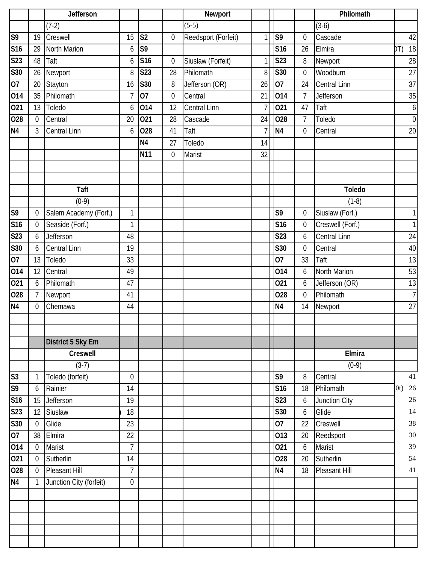|                |                  | Jefferson               |                |                |                  | Newport             |                |                |                  | Philomath           |      |                  |
|----------------|------------------|-------------------------|----------------|----------------|------------------|---------------------|----------------|----------------|------------------|---------------------|------|------------------|
|                |                  | $(7-2)$                 |                |                |                  | $(5-5)$             |                |                |                  | $(3-6)$             |      |                  |
| S9             | 19               | Creswell                | 15             | S <sub>2</sub> | $\mathbf 0$      | Reedsport (Forfeit) |                | S9             | $\boldsymbol{0}$ | Cascade             |      | 42               |
| <b>S16</b>     | 29               | North Marion            | 6              | S9             |                  |                     |                | S16            | 26               | Elmira              | DT)  | 18               |
| <b>S23</b>     | 48               | Taft                    | 6              | <b>S16</b>     | $\boldsymbol{0}$ | Siuslaw (Forfeit)   | 1              | <b>S23</b>     | 8                | Newport             |      | 28               |
| <b>S30</b>     | 26               | Newport                 | 8              | <b>S23</b>     | 28               | Philomath           | 8              | S30            | $\boldsymbol{0}$ | Woodburn            |      | 27               |
| 07             | 20               | Stayton                 | 16             | <b>S30</b>     | 8                | Jefferson (OR)      | 26             | 07             | 24               | Central Linn        |      | 37               |
| 014            | 35               | Philomath               | $\overline{1}$ | 07             | $\mathbf 0$      | Central             | 21             | 014            | $\overline{7}$   | Jefferson           |      | 35               |
| 021            | 13               | Toledo                  | 6              | 014            | 12               | <b>Central Linn</b> | $\overline{1}$ | 021            | 47               | Taft                |      | $\boldsymbol{6}$ |
| 028            | $\overline{0}$   | Central                 | 20             | 021            | 28               | Cascade             | 24             | 028            | $\overline{7}$   | Toledo              |      | $\overline{0}$   |
| N4             | 3                | <b>Central Linn</b>     | 6              | 028            | 41               | Taft                |                | N <sub>4</sub> | 0                | Central             |      | 20               |
|                |                  |                         |                | N <sub>4</sub> | 27               | Toledo              | 14             |                |                  |                     |      |                  |
|                |                  |                         |                | <b>N11</b>     | $\mathbf 0$      | Marist              | 32             |                |                  |                     |      |                  |
|                |                  |                         |                |                |                  |                     |                |                |                  |                     |      |                  |
|                |                  |                         |                |                |                  |                     |                |                |                  |                     |      |                  |
|                |                  | <b>Taft</b>             |                |                |                  |                     |                |                |                  | <b>Toledo</b>       |      |                  |
|                |                  | $(0-9)$                 |                |                |                  |                     |                |                |                  | $(1-8)$             |      |                  |
| S9             | $\boldsymbol{0}$ | Salem Academy (Forf.)   | 1              |                |                  |                     |                | S9             | $\boldsymbol{0}$ | Siuslaw (Forf.)     |      | $\mathbf{1}$     |
| <b>S16</b>     | 0                | Seaside (Forf.)         | 1              |                |                  |                     |                | S16            | 0                | Creswell (Forf.)    |      | $\mathbf{1}$     |
| <b>S23</b>     | 6                | Jefferson               | 48             |                |                  |                     |                | S23            | 6                | <b>Central Linn</b> |      | 24               |
| <b>S30</b>     | 6                | <b>Central Linn</b>     | 19             |                |                  |                     |                | S30            | $\boldsymbol{0}$ | Central             |      | 40               |
| 07             | 13               | Toledo                  | 33             |                |                  |                     |                | 07             | 33               | Taft                |      | 13               |
| 014            | 12               | Central                 | 49             |                |                  |                     |                | 014            | 6                | North Marion        |      | 53               |
| 021            | 6                | Philomath               | 47             |                |                  |                     |                | 021            | 6                | Jefferson (OR)      |      | 13               |
| 028            | $\overline{7}$   | Newport                 | 41             |                |                  |                     |                | 028            | $\mathbf 0$      | Philomath           |      | $\overline{7}$   |
| N <sub>4</sub> | $\boldsymbol{0}$ | Chemawa                 | 44             |                |                  |                     |                | N <sub>4</sub> | 14               | Newport             |      | 27               |
|                |                  |                         |                |                |                  |                     |                |                |                  |                     |      |                  |
|                |                  |                         |                |                |                  |                     |                |                |                  |                     |      |                  |
|                |                  | District 5 Sky Em       |                |                |                  |                     |                |                |                  |                     |      |                  |
|                |                  | Creswell                |                |                |                  |                     |                |                |                  | Elmira              |      |                  |
|                |                  | $(3-7)$                 |                |                |                  |                     |                |                |                  | $(0-9)$             |      |                  |
| S <sub>3</sub> | $\mathbf{1}$     | Toledo (forfeit)        | $\mathbf 0$    |                |                  |                     |                | S9             | 8                | Central             |      | 41               |
| S <sub>9</sub> | 6                | Rainier                 | 14             |                |                  |                     |                | S16            | 18               | Philomath           | (0t) | 26               |
| <b>S16</b>     | 15               | Jefferson               | 19             |                |                  |                     |                | S23            | 6                | Junction City       |      | $26\,$           |
| <b>S23</b>     | 12               | Siuslaw                 | 18             |                |                  |                     |                | S30            | 6                | Glide               |      | $14$             |
| S30            | $\mathbf 0$      | Glide                   | 23             |                |                  |                     |                | 07             | 22               | Creswell            |      | $38\,$           |
| 07             | 38               | Elmira                  | 22             |                |                  |                     |                | 013            | 20               | Reedsport           |      | 30               |
| 014            | $\mathbf 0$      | Marist                  | $\overline{1}$ |                |                  |                     |                | 021            | 6                | Marist              |      | 39               |
| 021            | $\overline{0}$   | Sutherlin               | 14             |                |                  |                     |                | 028            | 20               | Sutherlin           |      | 54               |
| 028            | $\mathbf 0$      | Pleasant Hill           | $\overline{7}$ |                |                  |                     |                | N <sub>4</sub> | 18               | Pleasant Hill       |      | 41               |
| N <sub>4</sub> | $\mathbf{1}$     | Junction City (forfeit) | $\mathbf 0$    |                |                  |                     |                |                |                  |                     |      |                  |
|                |                  |                         |                |                |                  |                     |                |                |                  |                     |      |                  |
|                |                  |                         |                |                |                  |                     |                |                |                  |                     |      |                  |
|                |                  |                         |                |                |                  |                     |                |                |                  |                     |      |                  |
|                |                  |                         |                |                |                  |                     |                |                |                  |                     |      |                  |
|                |                  |                         |                |                |                  |                     |                |                |                  |                     |      |                  |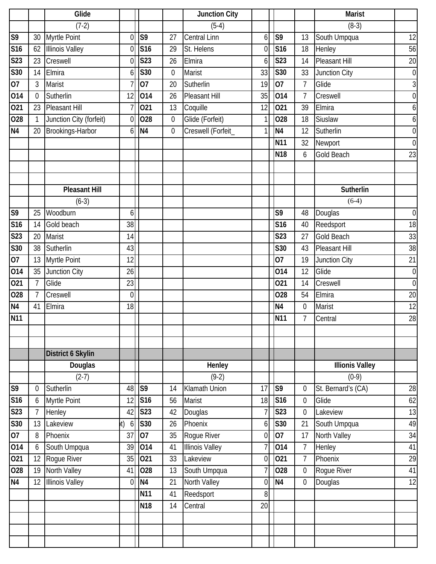|                 |                  | Glide                   |                |                |                  | <b>Junction City</b>   |                |                 |                  | <b>Marist</b>          |                  |
|-----------------|------------------|-------------------------|----------------|----------------|------------------|------------------------|----------------|-----------------|------------------|------------------------|------------------|
|                 |                  | $(7-2)$                 |                |                |                  | $(5-4)$                |                |                 |                  | $(8-3)$                |                  |
| S9              | 30               | Myrtle Point            | $\overline{0}$ | S <sub>9</sub> | 27               | <b>Central Linn</b>    | 6              | S <sub>9</sub>  | 13               | South Umpqua           | 12               |
| <b>S16</b>      | 62               | <b>Illinois Valley</b>  | 0              | <b>S16</b>     | 29               | St. Helens             | 0              | S16             | 18               | Henley                 | 56               |
| <b>S23</b>      | 23               | Creswell                | $\overline{0}$ | S23            | 26               | Elmira                 | 6              | <b>S23</b>      | 14               | Pleasant Hill          | 20               |
| <b>S30</b>      | 14               | Elmira                  | 6              | S30            | $\mathbf 0$      | Marist                 | 33             | S30             | 33               | Junction City          | $\boldsymbol{0}$ |
| 07              | 3                | Marist                  | 7              | 07             | 20               | Sutherlin              | 19             | 07              | $\overline{7}$   | Glide                  | 3                |
| 014             | 0                | Sutherlin               | 12             | 014            | 26               | <b>Pleasant Hill</b>   | 35             | 014             | 7                | Creswell               | $\overline{0}$   |
| 021             | 23               | Pleasant Hill           | $\overline{7}$ | 021            | 13               | Coquille               | 12             | 021             | 39               | Elmira                 | $\boldsymbol{6}$ |
| 028             | $\mathbf{1}$     | Junction City (forfeit) | $\overline{0}$ | 028            | $\mathbf 0$      | Glide (Forfeit)        | 1              | 028             | 18               | Siuslaw                | $\boldsymbol{6}$ |
| N <sub>4</sub>  | 20               | Brookings-Harbor        | 6              | N <sub>4</sub> | $\boldsymbol{0}$ | Creswell (Forfeit_     |                | N <sub>4</sub>  | 12               | Sutherlin              | $\boldsymbol{0}$ |
|                 |                  |                         |                |                |                  |                        |                | N11             | 32               | Newport                | $\overline{0}$   |
|                 |                  |                         |                |                |                  |                        |                | <b>N18</b>      | 6                | <b>Gold Beach</b>      | 23               |
|                 |                  |                         |                |                |                  |                        |                |                 |                  |                        |                  |
|                 |                  |                         |                |                |                  |                        |                |                 |                  |                        |                  |
|                 |                  | <b>Pleasant Hill</b>    |                |                |                  |                        |                |                 |                  | Sutherlin              |                  |
|                 |                  | $(6-3)$                 |                |                |                  |                        |                |                 |                  | $(6-4)$                |                  |
| S9              | 25               | Woodburn                | 6              |                |                  |                        |                | S9              | 48               | Douglas                | $\overline{0}$   |
| <b>S16</b>      | 14               | Gold beach              | 38             |                |                  |                        |                | <b>S16</b>      | 40               | Reedsport              | 18               |
| <b>S23</b>      | 20               | Marist                  | 14             |                |                  |                        |                | <b>S23</b>      | 27               | <b>Gold Beach</b>      | 33               |
| S30             | 38               | Sutherlin               | 43             |                |                  |                        |                | S30             | 43               | Pleasant Hill          | 38               |
| 07              | 13               | Myrtle Point            | 12             |                |                  |                        |                | 07              | 19               | Junction City          | 21               |
| 014             | 35               | Junction City           | 26             |                |                  |                        |                | 014             | 12               | Glide                  | $\boldsymbol{0}$ |
| 021             | $\overline{7}$   | Glide                   | 23             |                |                  |                        |                | 021             | 14               | Creswell               | $\overline{0}$   |
| 028             | $\overline{7}$   | Creswell                | $\overline{0}$ |                |                  |                        |                | 028             | 54               | Elmira                 | 20               |
| N <sub>4</sub>  | 41               | Elmira                  | 18             |                |                  |                        |                | N <sub>4</sub>  | $\boldsymbol{0}$ | Marist                 | 12               |
| N <sub>11</sub> |                  |                         |                |                |                  |                        |                | N11             | 7                | Central                | 28               |
|                 |                  |                         |                |                |                  |                        |                |                 |                  |                        |                  |
|                 |                  |                         |                |                |                  |                        |                |                 |                  |                        |                  |
|                 |                  | District 6 Skylin       |                |                |                  |                        |                |                 |                  |                        |                  |
|                 |                  | Douglas                 |                |                |                  | Henley                 |                |                 |                  | <b>Illionis Valley</b> |                  |
|                 |                  | $(2-7)$                 |                |                |                  | $(9-2)$                |                |                 |                  | $(0-9)$                |                  |
| S <sub>9</sub>  | $\boldsymbol{0}$ | Sutherlin               | 48             | S9             | 14               | Klamath Union          | 17             | S <sub>9</sub>  | $\boldsymbol{0}$ | St. Bernard's (CA)     | 28               |
| <b>S16</b>      | 6                | Myrtle Point            | 12             | S16            | 56               | Marist                 | 18             | S <sub>16</sub> | $\boldsymbol{0}$ | Glide                  | 62               |
| S23             | $\overline{7}$   | Henley                  | 42             | <b>S23</b>     | 42               | Douglas                |                | S23             | 0                | Lakeview               | 13               |
| S30             | 13               | Lakeview                | 6<br>It)       | S30            | 26               | Phoenix                | 6              | S30             | 21               | South Umpqua           | 49               |
| 07              | 8                | Phoenix                 | 37             | 07             | 35               | Rogue River            | $\mathbf 0$    | $\overline{07}$ | 17               | North Valley           | 34               |
| 014             | 6                | South Umpqua            | 39             | 014            | 41               | <b>Illinois Valley</b> | 7              | 014             | $\overline{7}$   | Henley                 | 41               |
| 021             | 12               | Rogue River             | 35             | 021            | 33               | Lakeview               | $\overline{0}$ | 021             | $\overline{7}$   | Phoenix                | 29               |
| 028             | 19               | North Valley            | 41             | 028            | 13               | South Umpqua           | 7 <sub>1</sub> | 028             | $\boldsymbol{0}$ | Rogue River            | 41               |
| N <sub>4</sub>  | 12               | <b>Illinois Valley</b>  | $\overline{0}$ | N <sub>4</sub> | 21               | North Valley           | $\overline{0}$ | N <sub>4</sub>  | 0                | Douglas                | 12               |
|                 |                  |                         |                | <b>N11</b>     | 41               | Reedsport              | 8              |                 |                  |                        |                  |
|                 |                  |                         |                | <b>N18</b>     | 14               | Central                | 20             |                 |                  |                        |                  |
|                 |                  |                         |                |                |                  |                        |                |                 |                  |                        |                  |
|                 |                  |                         |                |                |                  |                        |                |                 |                  |                        |                  |
|                 |                  |                         |                |                |                  |                        |                |                 |                  |                        |                  |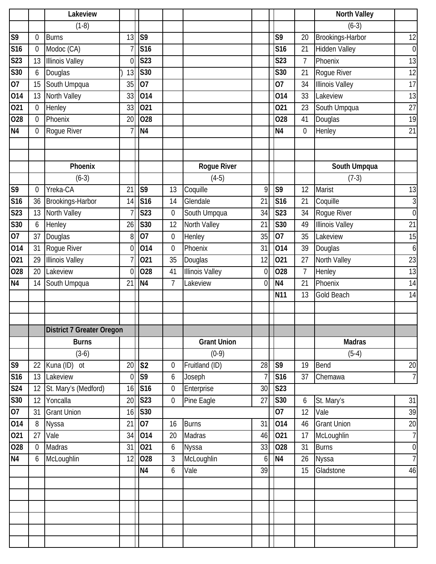|                  |                  | Lakeview                         |                |                |                  |                        |                |                           |                  | <b>North Valley</b>    |                |
|------------------|------------------|----------------------------------|----------------|----------------|------------------|------------------------|----------------|---------------------------|------------------|------------------------|----------------|
|                  |                  | $(1-8)$                          |                |                |                  |                        |                |                           |                  | $(6-3)$                |                |
| S <sub>9</sub>   | 0                | <b>Burns</b>                     | 13             | S <sub>9</sub> |                  |                        |                | S9                        | 20               | Brookings-Harbor       | 12             |
| <b>S16</b>       | $\boldsymbol{0}$ | Modoc (CA)                       | $\overline{7}$ | S16            |                  |                        |                | <b>S16</b>                | 21               | Hidden Valley          | $\overline{0}$ |
| <b>S23</b>       | 13               | <b>Illinois Valley</b>           | $\overline{0}$ | <b>S23</b>     |                  |                        |                | <b>S23</b>                | $\overline{7}$   | Phoenix                | 13             |
| <b>S30</b>       | 6                | Douglas                          | 13             | S30            |                  |                        |                | S30                       | 21               | Rogue River            | 12             |
| 07               | 15               | South Umpqua                     | 35             | 07             |                  |                        |                | 07                        | 34               | <b>Illinois Valley</b> | 17             |
| $01\overline{4}$ | 13               | North Valley                     | 33             | 014            |                  |                        |                | 014                       | 33               | Lakeview               | 13             |
| 021              | $\mathbf 0$      | Henley                           | 33             | 021            |                  |                        |                | 021                       | 23               | South Umpqua           | 27             |
| 028              | 0                | Phoenix                          | 20             | 028            |                  |                        |                | 028                       | 41               | Douglas                | 19             |
| N <sub>4</sub>   | 0                | Rogue River                      | $\overline{1}$ | N <sub>4</sub> |                  |                        |                | N <sub>4</sub>            | $\boldsymbol{0}$ | Henley                 | 21             |
|                  |                  |                                  |                |                |                  |                        |                |                           |                  |                        |                |
|                  |                  |                                  |                |                |                  |                        |                |                           |                  |                        |                |
|                  |                  | Phoenix                          |                |                |                  | <b>Rogue River</b>     |                |                           |                  | South Umpqua           |                |
|                  |                  | $(6-3)$                          |                |                |                  | $(4-5)$                |                |                           |                  | $(7-3)$                |                |
| S <sub>9</sub>   | $\boldsymbol{0}$ | Yreka-CA                         | 21             | S9             | 13               | Coquille               | 9              | S9                        | 12               | Marist                 | 13             |
| S16              | 36               | Brookings-Harbor                 | 14             | <b>S16</b>     | 14               | Glendale               | 21             | <b>S16</b>                | 21               | Coquille               | 3              |
| <b>S23</b>       | 13               | North Valley                     | 7              | S23            | $\mathbf 0$      | South Umpqua           | 34             | S23                       | 34               | Rogue River            | $\overline{0}$ |
| <b>S30</b>       | 6                | Henley                           | 26             | S30            | 12               | North Valley           | 21             | S30                       | 49               | <b>Illinois Valley</b> | 21             |
| 07               | 37               | Douglas                          | 8              | 07             | $\mathbf 0$      | Henley                 | 35             | 07                        | 35               | Lakeview               | 15             |
| 014              | 31               | Rogue River                      | $\overline{0}$ | 014            | $\boldsymbol{0}$ | Phoenix                | 31             | 014                       | 39               | Douglas                | $6 \mid$       |
| 021              | 29               | <b>Illinois Valley</b>           | $\overline{1}$ | 021            | 35               | Douglas                | 12             | 021                       | 27               | North Valley           | 23             |
| 028              | 20               | Lakeview                         | $\theta$       | 028            | 41               | <b>Illinois Valley</b> | 0              | 028                       | $\overline{7}$   | Henley                 | 13             |
| N <sub>4</sub>   | 14               | South Umpqua                     | 21             | N <sub>4</sub> | $\overline{7}$   | Lakeview               | $\overline{0}$ | N <sub>4</sub>            | 21               | Phoenix                | 14             |
|                  |                  |                                  |                |                |                  |                        |                | N11                       | 13               | Gold Beach             | 14             |
|                  |                  |                                  |                |                |                  |                        |                |                           |                  |                        |                |
|                  |                  |                                  |                |                |                  |                        |                |                           |                  |                        |                |
|                  |                  | <b>District 7 Greater Oregon</b> |                |                |                  |                        |                |                           |                  |                        |                |
|                  |                  | <b>Burns</b>                     |                |                |                  | <b>Grant Union</b>     |                |                           |                  | Madras                 |                |
|                  |                  | $(3-6)$                          |                |                |                  | $(0-9)$                |                |                           |                  | $(5-4)$                |                |
| S <sub>9</sub>   | 22               | Kuna (ID)<br>ot                  | 20             | s <sub>2</sub> | $\boldsymbol{0}$ | Fruitland (ID)         | 28             | $\overline{\mathsf{S}^9}$ | 19               | Bend                   | $20\,$         |
| <b>S16</b>       | 13               | Lakeview                         | $\overline{0}$ | S <sub>9</sub> | 6                | Joseph                 | $\overline{7}$ | S16                       | 37               | Chemawa                | $\overline{7}$ |
| <b>S24</b>       | 12               | St. Mary's (Medford)             | 16             | S16            | $\boldsymbol{0}$ | Enterprise             | 30             | S23                       |                  |                        |                |
| S30              | 12               | Yoncalla                         | 20             | <b>S23</b>     | $\mathbf 0$      | Pine Eagle             | 27             | S30                       | 6                | St. Mary's             | 31             |
| 07               | 31               | <b>Grant Union</b>               | 16             | S30            |                  |                        |                | 07                        | 12               | Vale                   | 39             |
| 014              | 8                | <b>Nyssa</b>                     | 21             | 07             | 16               | <b>Burns</b>           | 31             | 014                       | 46               | <b>Grant Union</b>     | 20             |
| 021              | 27               | Vale                             | 34             | 014            | 20               | Madras                 | 46             | 021                       | 17               | McLoughlin             | $7\vert$       |
| 028              | $\overline{0}$   | <b>Madras</b>                    | 31             | 021            | 6                | Nyssa                  | 33             | 028                       | 31               | <b>Burns</b>           | $\overline{0}$ |
| N4               | 6                | McLoughlin                       | 12             | 028            | 3                | McLoughlin             | $6 \mid$       | N <sub>4</sub>            | 26               | Nyssa                  | 7              |
|                  |                  |                                  |                | N <sub>4</sub> | 6                | Vale                   | 39             |                           | 15               | Gladstone              | 46             |
|                  |                  |                                  |                |                |                  |                        |                |                           |                  |                        |                |
|                  |                  |                                  |                |                |                  |                        |                |                           |                  |                        |                |
|                  |                  |                                  |                |                |                  |                        |                |                           |                  |                        |                |
|                  |                  |                                  |                |                |                  |                        |                |                           |                  |                        |                |
|                  |                  |                                  |                |                |                  |                        |                |                           |                  |                        |                |
|                  |                  |                                  |                |                |                  |                        |                |                           |                  |                        |                |
|                  |                  |                                  |                |                |                  |                        |                |                           |                  |                        |                |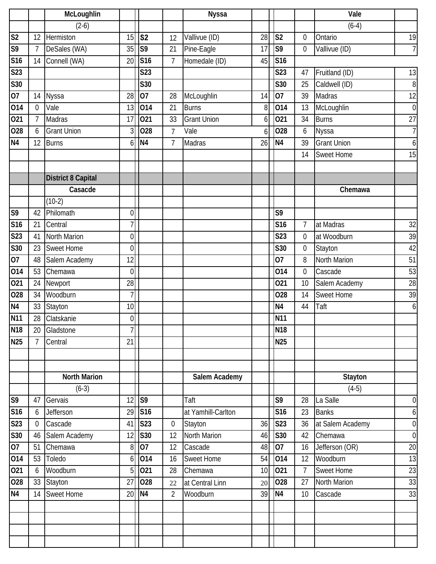|                        |                | McLoughlin                |                  |                 |                | <b>Nyssa</b>       |    |                 |                  | Vale               |                  |
|------------------------|----------------|---------------------------|------------------|-----------------|----------------|--------------------|----|-----------------|------------------|--------------------|------------------|
|                        |                | $(2-6)$                   |                  |                 |                |                    |    |                 |                  | $(6-4)$            |                  |
| $\overline{\text{S2}}$ | 12             | Hermiston                 | 15               | s <sub>2</sub>  | 12             | Vallivue (ID)      | 28 | S <sub>2</sub>  | $\overline{0}$   | Ontario            | 19               |
| S <sub>9</sub>         | $\overline{7}$ | DeSales (WA)              | 35               | S <sub>9</sub>  | 21             | Pine-Eagle         | 17 | S9              | $\boldsymbol{0}$ | Vallivue (ID)      | 7                |
| S16                    | 14             | Connell (WA)              | 20               | <b>S16</b>      | $\overline{7}$ | Homedale (ID)      | 45 | S16             |                  |                    |                  |
| S <sub>23</sub>        |                |                           |                  | <b>S23</b>      |                |                    |    | S23             | 47               | Fruitland (ID)     | 13               |
| S30                    |                |                           |                  | S30             |                |                    |    | S30             | 25               | Caldwell (ID)      | $\boldsymbol{8}$ |
| 07                     | 14             | <b>Nyssa</b>              | 28               | 07              | 28             | McLoughlin         | 14 | 07              | 39               | <b>Madras</b>      | 12               |
| 014                    | $\overline{0}$ | Vale                      | 13               | 014             | 21             | <b>Burns</b>       | 8  | 014             | 13               | McLoughlin         | $\mathbf 0$      |
| 021                    | $\overline{7}$ | <b>Madras</b>             | 17               | 021             | 33             | <b>Grant Union</b> | 6  | 021             | 34               | <b>Burns</b>       | $\overline{27}$  |
| 028                    | 6              | <b>Grant Union</b>        | 3                | 028             | $\overline{7}$ | Vale               | 6  | 028             | 6                | Nyssa              | $\overline{7}$   |
| N <sub>4</sub>         | 12             | <b>Burns</b>              | 6                | N <sub>4</sub>  | $\overline{7}$ | Madras             | 26 | N <sub>4</sub>  | 39               | <b>Grant Union</b> | 6                |
|                        |                |                           |                  |                 |                |                    |    |                 | 14               | Sweet Home         | 15               |
|                        |                |                           |                  |                 |                |                    |    |                 |                  |                    |                  |
|                        |                | <b>District 8 Capital</b> |                  |                 |                |                    |    |                 |                  |                    |                  |
|                        |                | Casacde                   |                  |                 |                |                    |    |                 |                  | Chemawa            |                  |
|                        |                | $(10-2)$                  |                  |                 |                |                    |    |                 |                  |                    |                  |
| S9                     | 42             | Philomath                 | $\boldsymbol{0}$ |                 |                |                    |    | S9              |                  |                    |                  |
| S <sub>16</sub>        | 21             | Central                   | 7                |                 |                |                    |    | <b>S16</b>      | $\overline{7}$   | at Madras          | 32               |
| <b>S23</b>             | 41             | North Marion              | $\boldsymbol{0}$ |                 |                |                    |    | <b>S23</b>      | 0                | at Woodburn        | 39               |
| S30                    | 23             | <b>Sweet Home</b>         | $\mathbf 0$      |                 |                |                    |    | S30             | $\boldsymbol{0}$ | Stayton            | 42               |
| 07                     | 48             | Salem Academy             | 12               |                 |                |                    |    | 07              | 8                | North Marion       | 51               |
| 014                    | 53             | Chemawa                   | $\mathbf 0$      |                 |                |                    |    | 014             | $\mathbf 0$      | Cascade            | 53               |
| 021                    | 24             | Newport                   | 28               |                 |                |                    |    | 021             | 10               | Salem Academy      | 28               |
| 028                    | 34             | Woodburn                  | $\overline{1}$   |                 |                |                    |    | 028             | 14               | Sweet Home         | 39               |
| N <sub>4</sub>         | 33             | Stayton                   | 10               |                 |                |                    |    | N <sub>4</sub>  | 44               | Taft               | 6                |
| <b>N11</b>             | 28             | Clatskanie                | $\boldsymbol{0}$ |                 |                |                    |    | N11             |                  |                    |                  |
| N <sub>18</sub>        |                | 20 Gladstone              |                  |                 |                |                    |    | <b>N18</b>      |                  |                    |                  |
| <b>N25</b>             | $7^{\circ}$    | Central                   | 21               |                 |                |                    |    | <b>N25</b>      |                  |                    |                  |
|                        |                |                           |                  |                 |                |                    |    |                 |                  |                    |                  |
|                        |                |                           |                  |                 |                |                    |    |                 |                  |                    |                  |
|                        |                | <b>North Marion</b>       |                  |                 |                | Salem Academy      |    |                 |                  | Stayton            |                  |
|                        |                | $(6-3)$                   |                  |                 |                |                    |    |                 |                  | $(4-5)$            |                  |
| S <sub>9</sub>         | 47             | Gervais                   | 12               | S9              |                | Taft               |    | S9              | 28               | La Salle           | $\overline{0}$   |
| <b>S16</b>             | 6              | Jefferson                 | 29               | S16             |                | at Yamhill-Carlton |    | S16             | 23               | <b>Banks</b>       | $6 \mid$         |
| S23                    | $\mathbf 0$    | Cascade                   | 41               | <b>S23</b>      | $\overline{0}$ | Stayton            | 36 | <b>S23</b>      | 36               | at Salem Academy   | $\overline{0}$   |
| S30                    | 46             | Salem Academy             | 12               | S30             | 12             | North Marion       | 46 | S30             | 42               | Chemawa            | $\overline{0}$   |
| 07                     | 51             | Chemawa                   | 8                | $\overline{07}$ | 12             | Cascade            | 48 | $\overline{07}$ | 16               | Jefferson (OR)     | 20               |
| 014                    | 53             | Toledo                    | 6                | 014             | 16             | <b>Sweet Home</b>  | 54 | 014             | 12               | Woodburn           | 13               |
| 021                    | 6              | Woodburn                  | 5                | 021             | 28             | Chemawa            | 10 | 021             | $\overline{7}$   | Sweet Home         | 23               |
| 028                    | 33             | Stayton                   | 27               | 028             | 22             | at Central Linn    | 20 | 028             | 27               | North Marion       | 33               |
| N <sub>4</sub>         | 14             | <b>Sweet Home</b>         | 20               | N <sub>4</sub>  | $\overline{2}$ | Woodburn           | 39 | N <sub>4</sub>  | 10               | Cascade            | 33               |
|                        |                |                           |                  |                 |                |                    |    |                 |                  |                    |                  |
|                        |                |                           |                  |                 |                |                    |    |                 |                  |                    |                  |
|                        |                |                           |                  |                 |                |                    |    |                 |                  |                    |                  |
|                        |                |                           |                  |                 |                |                    |    |                 |                  |                    |                  |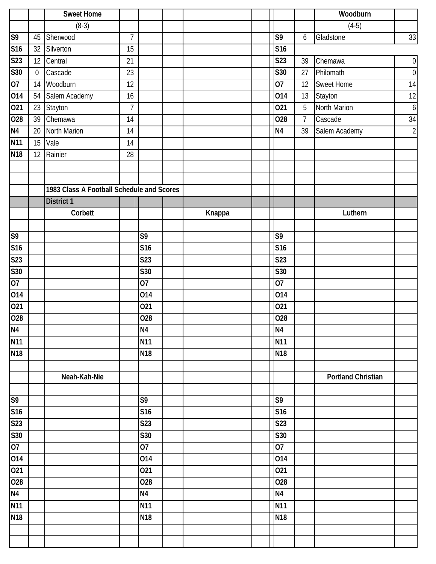|                           |                  | <b>Sweet Home</b>                         |                |                 |        |                 |                | Woodburn                  |                  |
|---------------------------|------------------|-------------------------------------------|----------------|-----------------|--------|-----------------|----------------|---------------------------|------------------|
|                           |                  | $(8-3)$                                   |                |                 |        |                 |                | $(4-5)$                   |                  |
| S <sub>9</sub>            | 45               | Sherwood                                  | 7              |                 |        | S <sub>9</sub>  | 6              | Gladstone                 | $33\,$           |
| S16                       | 32               | Silverton                                 | 15             |                 |        | <b>S16</b>      |                |                           |                  |
| S <sub>23</sub>           | 12               | Central                                   | 21             |                 |        | S23             | 39             | Chemawa                   | $\boldsymbol{0}$ |
| S30                       | $\boldsymbol{0}$ | Cascade                                   | 23             |                 |        | S30             | 27             | Philomath                 | $\boldsymbol{0}$ |
| 07                        | 14               | Woodburn                                  | 12             |                 |        | 07              | 12             | Sweet Home                | 14               |
| 014                       | 54               | Salem Academy                             | 16             |                 |        | 014             | 13             | Stayton                   | $\overline{12}$  |
| 021                       | 23               | Stayton                                   | $\overline{1}$ |                 |        | 021             | 5              | North Marion              | $\boldsymbol{6}$ |
| 028                       | 39               | Chemawa                                   | 14             |                 |        | 028             | $\overline{7}$ | Cascade                   | 34               |
| $\overline{\mathsf{N}}$ 4 | 20               | North Marion                              | 14             |                 |        | N <sub>4</sub>  | 39             | Salem Academy             | $\overline{2}$   |
| N <sub>11</sub>           | 15               | Vale                                      | 14             |                 |        |                 |                |                           |                  |
| <b>N18</b>                | 12               | Rainier                                   | 28             |                 |        |                 |                |                           |                  |
|                           |                  |                                           |                |                 |        |                 |                |                           |                  |
|                           |                  |                                           |                |                 |        |                 |                |                           |                  |
|                           |                  | 1983 Class A Football Schedule and Scores |                |                 |        |                 |                |                           |                  |
|                           |                  | <b>District 1</b>                         |                |                 |        |                 |                |                           |                  |
|                           |                  | Corbett                                   |                |                 | Knappa |                 |                | Luthern                   |                  |
|                           |                  |                                           |                |                 |        |                 |                |                           |                  |
| S <sub>9</sub>            |                  |                                           |                | S9              |        | S9              |                |                           |                  |
| S16                       |                  |                                           |                | S16             |        | <b>S16</b>      |                |                           |                  |
| S <sub>23</sub>           |                  |                                           |                | <b>S23</b>      |        | S23             |                |                           |                  |
| S30                       |                  |                                           |                | S30             |        | S30             |                |                           |                  |
| 07                        |                  |                                           |                | $\overline{07}$ |        | $\overline{07}$ |                |                           |                  |
| 014                       |                  |                                           |                | 014             |        | 014             |                |                           |                  |
| 021                       |                  |                                           |                | 021             |        | 021             |                |                           |                  |
| 028                       |                  |                                           |                | 028             |        | 028             |                |                           |                  |
| N <sub>4</sub>            |                  |                                           |                | N4              |        | N4              |                |                           |                  |
| <b>N11</b>                |                  |                                           |                | <b>N11</b>      |        | <b>N11</b>      |                |                           |                  |
| N <sub>18</sub>           |                  |                                           |                | <b>N18</b>      |        | <b>N18</b>      |                |                           |                  |
|                           |                  |                                           |                |                 |        |                 |                |                           |                  |
|                           |                  | Neah-Kah-Nie                              |                |                 |        |                 |                | <b>Portland Christian</b> |                  |
|                           |                  |                                           |                |                 |        |                 |                |                           |                  |
| S <sub>9</sub>            |                  |                                           |                | S9              |        | S <sub>9</sub>  |                |                           |                  |
| <b>S16</b>                |                  |                                           |                | <b>S16</b>      |        | <b>S16</b>      |                |                           |                  |
| S23                       |                  |                                           |                | <b>S23</b>      |        | S23             |                |                           |                  |
| S30                       |                  |                                           |                | <b>S30</b>      |        | <b>S30</b>      |                |                           |                  |
| 07                        |                  |                                           |                | 07              |        | 07              |                |                           |                  |
| 014                       |                  |                                           |                | 014             |        | 014             |                |                           |                  |
| 021                       |                  |                                           |                | 021             |        | 021             |                |                           |                  |
| 028                       |                  |                                           |                | 028             |        | 028             |                |                           |                  |
| N <sub>4</sub>            |                  |                                           |                | N <sub>4</sub>  |        | N <sub>4</sub>  |                |                           |                  |
| <b>N11</b>                |                  |                                           |                | <b>N11</b>      |        | <b>N11</b>      |                |                           |                  |
| <b>N18</b>                |                  |                                           |                | N <sub>18</sub> |        | <b>N18</b>      |                |                           |                  |
|                           |                  |                                           |                |                 |        |                 |                |                           |                  |
|                           |                  |                                           |                |                 |        |                 |                |                           |                  |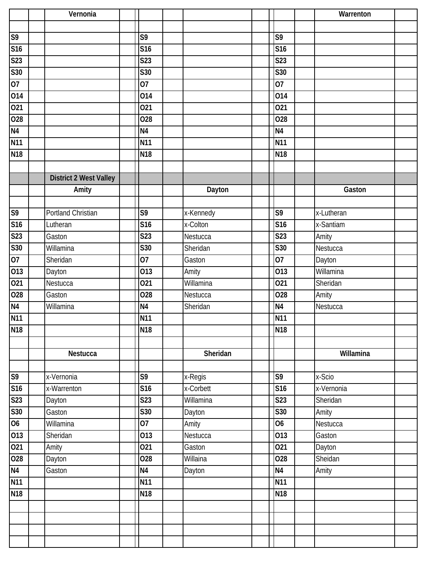|                   | Vernonia                      |                |           |                         | Warrenton  |  |
|-------------------|-------------------------------|----------------|-----------|-------------------------|------------|--|
|                   |                               |                |           |                         |            |  |
| S <sub>9</sub>    |                               | S9             |           | S9                      |            |  |
| S <sub>16</sub>   |                               | <b>S16</b>     |           | $\overline{\text{S16}}$ |            |  |
| S23               |                               | <b>S23</b>     |           | S23                     |            |  |
| S30               |                               | <b>S30</b>     |           | S30                     |            |  |
| $\overline{07}$   |                               | 07             |           | 07                      |            |  |
| 014               |                               | 014            |           | $\overline{014}$        |            |  |
| 021               |                               | 021            |           | $\overline{021}$        |            |  |
| 028               |                               | 028            |           | 028                     |            |  |
| N <sub>4</sub>    |                               | N <sub>4</sub> |           | N <sub>4</sub>          |            |  |
| <b>N11</b>        |                               | <b>N11</b>     |           | <b>N11</b>              |            |  |
| <b>N18</b>        |                               | <b>N18</b>     |           | N18                     |            |  |
|                   |                               |                |           |                         |            |  |
|                   | <b>District 2 West Valley</b> |                |           |                         |            |  |
|                   | Amity                         |                | Dayton    |                         | Gaston     |  |
|                   |                               |                |           |                         |            |  |
| S <sub>9</sub>    | <b>Portland Christian</b>     | S9             | x-Kennedy | S9                      | x-Lutheran |  |
| <b>S16</b>        | Lutheran                      | <b>S16</b>     | x-Colton  | S <sub>16</sub>         | x-Santiam  |  |
| S23               | Gaston                        | <b>S23</b>     | Nestucca  | S <sub>23</sub>         | Amity      |  |
|                   | Willamina                     | S30            | Sheridan  | S30                     | Nestucca   |  |
| $\frac{$30}{$07}$ | Sheridan                      | 07             | Gaston    | $\overline{07}$         | Dayton     |  |
| 013               | Dayton                        | 013            | Amity     | $\overline{013}$        | Willamina  |  |
| 021               | Nestucca                      | 021            | Willamina | $\overline{021}$        | Sheridan   |  |
| 028               | Gaston                        | 028            | Nestucca  | 028                     | Amity      |  |
| N <sub>4</sub>    | Willamina                     | N <sub>4</sub> | Sheridan  | N <sub>4</sub>          | Nestucca   |  |
| <b>N11</b>        |                               | <b>N11</b>     |           | <b>N11</b>              |            |  |
| N <sub>18</sub>   |                               | <b>N18</b>     |           | <b>N18</b>              |            |  |
|                   |                               |                |           |                         |            |  |
|                   | Nestucca                      |                | Sheridan  |                         | Willamina  |  |
|                   |                               |                |           |                         |            |  |
| S9                | x-Vernonia                    | S9             | x-Regis   | S9                      | x-Scio     |  |
| S16               | x-Warrenton                   | S16            | x-Corbett | S16                     | x-Vernonia |  |
| S <sub>23</sub>   | Dayton                        | <b>S23</b>     | Willamina | S23                     | Sheridan   |  |
| S30               | Gaston                        | S30            | Dayton    | S30                     | Amity      |  |
| 06                | Willamina                     | 07             | Amity     | 06                      | Nestucca   |  |
| 013               | Sheridan                      | 013            | Nestucca  | 013                     | Gaston     |  |
| 021               | Amity                         | 021            | Gaston    | 021                     | Dayton     |  |
| 028               | Dayton                        | 028            | Willaina  | 028                     | Sheidan    |  |
| N <sub>4</sub>    | Gaston                        | N <sub>4</sub> | Dayton    | N4                      | Amity      |  |
| <b>N11</b>        |                               | <b>N11</b>     |           | <b>N11</b>              |            |  |
| <b>N18</b>        |                               | <b>N18</b>     |           | N18                     |            |  |
|                   |                               |                |           |                         |            |  |
|                   |                               |                |           |                         |            |  |
|                   |                               |                |           |                         |            |  |
|                   |                               |                |           |                         |            |  |
|                   |                               |                |           |                         |            |  |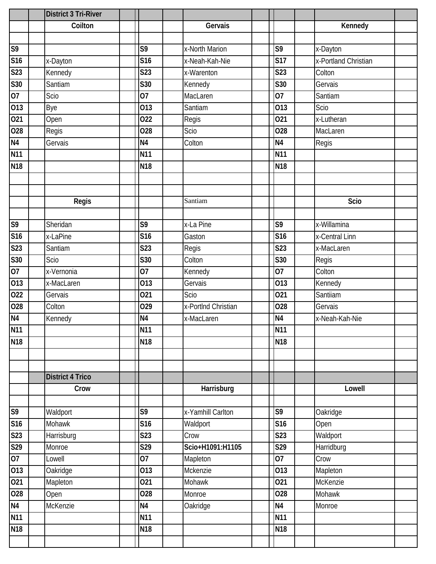|                 | <b>District 3 Tri-River</b> |                |            |                     |                         |                      |  |
|-----------------|-----------------------------|----------------|------------|---------------------|-------------------------|----------------------|--|
|                 | Coilton                     |                |            | Gervais             |                         | Kennedy              |  |
|                 |                             |                |            |                     |                         |                      |  |
| S <sub>9</sub>  |                             | S <sub>9</sub> |            | x-North Marion      | S9                      | x-Dayton             |  |
| S16             | x-Dayton                    |                | <b>S16</b> | x-Neah-Kah-Nie      | <b>S17</b>              | x-Portland Christian |  |
| S23             | Kennedy                     |                | <b>S23</b> | x-Warenton          | <b>S23</b>              | Colton               |  |
| S30             | Santiam                     |                | <b>S30</b> | Kennedy             | S30                     | Gervais              |  |
| 07              | Scio                        | 07             |            | MacLaren            | $\overline{07}$         | Santiam              |  |
| 013             | Bye                         |                | 013        | Santiam             | 013                     | Scio                 |  |
| 021             | Open                        |                | 022        | Regis               | 021                     | x-Lutheran           |  |
| 028             | Regis                       |                | 028        | Scio                | 028                     | MacLaren             |  |
| N4              | Gervais                     | N <sub>4</sub> |            | Colton              | N <sub>4</sub>          | Regis                |  |
| <b>N11</b>      |                             |                | <b>N11</b> |                     | <b>N11</b>              |                      |  |
| <b>N18</b>      |                             |                | <b>N18</b> |                     | N <sub>18</sub>         |                      |  |
|                 |                             |                |            |                     |                         |                      |  |
|                 |                             |                |            |                     |                         |                      |  |
|                 | <b>Regis</b>                |                |            | Santiam             |                         | Scio                 |  |
|                 |                             |                |            |                     |                         |                      |  |
| S <sub>9</sub>  | Sheridan                    | S <sub>9</sub> |            | x-La Pine           | S9                      | x-Willamina          |  |
| S16             | x-LaPine                    |                | S16        | Gaston              | $\overline{\text{S16}}$ | x-Central Linn       |  |
| S23             | Santiam                     |                | <b>S23</b> | Regis               | <b>S23</b>              | x-MacLaren           |  |
| S30             | Scio                        |                | <b>S30</b> | Colton              | S30                     | Regis                |  |
| 07              | x-Vernonia                  |                | 07         | Kennedy             | 07                      | Colton               |  |
| 013             | x-MacLaren                  |                | 013        | Gervais             | $\overline{013}$        | Kennedy              |  |
| 022             | Gervais                     |                | 021        | Scio                | 021                     | Santiiam             |  |
| 028             | Colton                      |                | 029        | x-Portlnd Christian | 028                     | Gervais              |  |
| N <sub>4</sub>  | Kennedy                     | N <sub>4</sub> |            | x-MacLaren          | N <sub>4</sub>          | x-Neah-Kah-Nie       |  |
| <b>N11</b>      |                             |                | <b>N11</b> |                     | <b>N11</b>              |                      |  |
| N <sub>18</sub> |                             |                | <b>N18</b> |                     | N18                     |                      |  |
|                 |                             |                |            |                     |                         |                      |  |
|                 |                             |                |            |                     |                         |                      |  |
|                 | <b>District 4 Trico</b>     |                |            |                     |                         |                      |  |
|                 | Crow                        |                |            | Harrisburg          |                         | Lowell               |  |
|                 |                             |                |            |                     |                         |                      |  |
| S <sub>9</sub>  | Waldport                    | S <sub>9</sub> |            | x-Yamhill Carlton   | S9                      | Oakridge             |  |
| S16             | Mohawk                      |                | S16        | Waldport            | S16                     | Open                 |  |
| S23             | Harrisburg                  |                | S23        | Crow                | S23                     | Waldport             |  |
| S29             | Monroe                      |                | S29        | Scio+H1091:H1105    | S29                     | Harridburg           |  |
| 07              | Lowell                      |                | 07         | Mapleton            | 07                      | Crow                 |  |
| 013             | Oakridge                    |                | 013        | Mckenzie            | 013                     | Mapleton             |  |
| 021             | Mapleton                    |                | 021        | Mohawk              | 021                     | McKenzie             |  |
| 028             | Open                        |                | 028        | Monroe              | 028                     | Mohawk               |  |
| N4              | McKenzie                    | N <sub>4</sub> |            | Oakridge            | N4                      | Monroe               |  |
| <b>N11</b>      |                             |                | <b>N11</b> |                     | <b>N11</b>              |                      |  |
| <b>N18</b>      |                             |                | <b>N18</b> |                     | <b>N18</b>              |                      |  |
|                 |                             |                |            |                     |                         |                      |  |
|                 |                             |                |            |                     |                         |                      |  |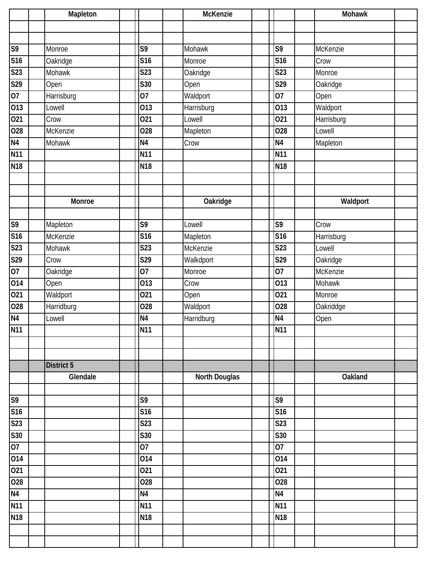|                         | Mapleton          |                | <b>McKenzie</b>      |                         | Mohawk     |  |
|-------------------------|-------------------|----------------|----------------------|-------------------------|------------|--|
|                         |                   |                |                      |                         |            |  |
|                         |                   |                |                      |                         |            |  |
| S <sub>9</sub>          | Monroe            | S9             | Mohawk               | S9                      | McKenzie   |  |
| S16                     | <b>Oakridge</b>   | S16            | Monroe               | $\overline{\text{S16}}$ | Crow       |  |
| S <sub>23</sub>         | Mohawk            | <b>S23</b>     | Oakridge             | S <sub>23</sub>         | Monroe     |  |
| S29                     | Open              | S30            | Open                 | S29                     | Oakridge   |  |
| 07                      | Harrisburg        | 07             | Waldport             | 07                      | Open       |  |
| 013                     | Lowell            | 013            | Harrisburg           | $\overline{013}$        | Waldport   |  |
| 021                     | Crow              | 021            | Lowell               | 021                     | Harrisburg |  |
| 028                     | McKenzie          | 028            | Mapleton             | 028                     | Lowell     |  |
| N <sub>4</sub>          | Mohawk            | N <sub>4</sub> | Crow                 | N4                      | Mapleton   |  |
| <b>N11</b>              |                   | <b>N11</b>     |                      | <b>N11</b>              |            |  |
| <b>N18</b>              |                   | N18            |                      | <b>N18</b>              |            |  |
|                         |                   |                |                      |                         |            |  |
|                         |                   |                |                      |                         |            |  |
|                         | Monroe            |                | <b>Oakridge</b>      |                         | Waldport   |  |
|                         |                   |                |                      |                         |            |  |
| S <sub>9</sub>          | Mapleton          | S9             | Lowell               | S9                      | Crow       |  |
| S16                     | McKenzie          | S16            | Mapleton             | S16                     | Harrisburg |  |
| S23                     | Mohawk            | <b>S23</b>     | McKenzie             | S <sub>23</sub>         | Lowell     |  |
| S29                     | Crow              | S29            | Walkdport            | S29                     | Oakridge   |  |
| 07                      | Oakridge          | 07             | Monroe               | 07                      | McKenzie   |  |
| 014                     | Open              | 013            | Crow                 | $\overline{013}$        | Mohawk     |  |
| 021                     | Waldport          | 021            | Open                 | 021                     | Monroe     |  |
| 028                     | Harridburg        | 028            | Waldport             | 028                     | Oakriddge  |  |
| N <sub>4</sub>          | Lowell            | N4             | Harridburg           | N <sub>4</sub>          | Open       |  |
| N11                     |                   | N11            |                      | <b>N11</b>              |            |  |
|                         |                   |                |                      |                         |            |  |
|                         |                   |                |                      |                         |            |  |
|                         | <b>District 5</b> |                |                      |                         |            |  |
|                         | Glendale          |                | <b>North Douglas</b> |                         | Oakland    |  |
|                         |                   |                |                      |                         |            |  |
| S <sub>9</sub>          |                   | S9             |                      | S9                      |            |  |
| $\overline{\text{S16}}$ |                   | <b>S16</b>     |                      | S16                     |            |  |
| S23                     |                   | <b>S23</b>     |                      | S23                     |            |  |
| S30                     |                   | <b>S30</b>     |                      | S30                     |            |  |
| 07                      |                   | 07             |                      | 07                      |            |  |
| 014                     |                   | 014            |                      | 014                     |            |  |
| 021                     |                   | 021            |                      | 021                     |            |  |
| 028                     |                   | 028            |                      | 028                     |            |  |
| N <sub>4</sub>          |                   | N <sub>4</sub> |                      | <b>N4</b>               |            |  |
| <b>N11</b>              |                   | <b>N11</b>     |                      | <b>N11</b>              |            |  |
| <b>N18</b>              |                   | <b>N18</b>     |                      | <b>N18</b>              |            |  |
|                         |                   |                |                      |                         |            |  |
|                         |                   |                |                      |                         |            |  |
|                         |                   |                |                      |                         |            |  |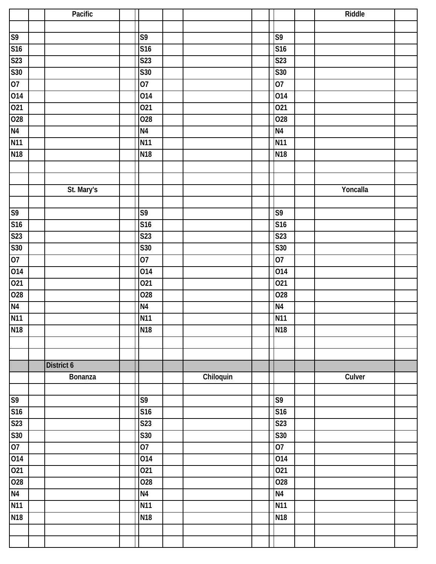|                   | Pacific    |                     |           |                   | Riddle   |  |
|-------------------|------------|---------------------|-----------|-------------------|----------|--|
|                   |            |                     |           |                   |          |  |
| S <sub>9</sub>    |            | S9                  |           | S9                |          |  |
| S16               |            | <b>S16</b>          |           | S16               |          |  |
| S23               |            | S23                 |           | S <sub>23</sub>   |          |  |
| S30               |            | <b>S30</b>          |           | S30               |          |  |
| 07                |            | 07                  |           | 07                |          |  |
| 014               |            | 014                 |           | 014               |          |  |
| 021               |            | 021                 |           | 021               |          |  |
| 028               |            | 028                 |           | 028               |          |  |
| N <sub>4</sub>    |            | N4                  |           | N4                |          |  |
| <b>N11</b>        |            | <b>N11</b>          |           | <b>N11</b>        |          |  |
| <b>N18</b>        |            | <b>N18</b>          |           | <b>N18</b>        |          |  |
|                   |            |                     |           |                   |          |  |
|                   |            |                     |           |                   |          |  |
|                   | St. Mary's |                     |           |                   | Yoncalla |  |
|                   |            |                     |           |                   |          |  |
| S <sub>9</sub>    |            | S <sub>9</sub>      |           | S9                |          |  |
| <b>S16</b>        |            |                     |           |                   |          |  |
|                   |            | <b>S16</b>          |           | <b>S16</b>        |          |  |
| S23               |            | <b>S23</b>          |           | S <sub>23</sub>   |          |  |
| $\frac{$30}{$07}$ |            | <b>S30</b>          |           | S30               |          |  |
|                   |            | 07                  |           | $\overline{07}$   |          |  |
| 014               |            | 014                 |           | 014               |          |  |
| 021               |            | 021                 |           | 021               |          |  |
| 028               |            | 028                 |           | 028               |          |  |
| N <sub>4</sub>    |            | N4                  |           | $\overline{N}4$   |          |  |
| N11               |            | <b>N11</b>          |           | <b>N11</b>        |          |  |
| N18               |            | $\sqrt{\text{N18}}$ |           | $\sqrt{\sqrt{N}}$ |          |  |
|                   |            |                     |           |                   |          |  |
|                   |            |                     |           |                   |          |  |
|                   | District 6 |                     |           |                   |          |  |
|                   | Bonanza    |                     | Chiloquin |                   | Culver   |  |
|                   |            |                     |           |                   |          |  |
| S <sub>9</sub>    |            | S <sub>9</sub>      |           | S9                |          |  |
| <b>S16</b>        |            | S16                 |           | S16               |          |  |
| S23               |            | <b>S23</b>          |           | S <sub>23</sub>   |          |  |
| S30               |            | <b>S30</b>          |           | S30               |          |  |
| 07                |            | 07                  |           | 07                |          |  |
| 014               |            | 014                 |           | 014               |          |  |
| 021               |            | 021                 |           | 021               |          |  |
| 028               |            | 028                 |           | 028               |          |  |
| N <sub>4</sub>    |            | N4                  |           | N4                |          |  |
| <b>N11</b>        |            | <b>N11</b>          |           | <b>N11</b>        |          |  |
| N <sub>18</sub>   |            | N <sub>18</sub>     |           | <b>N18</b>        |          |  |
|                   |            |                     |           |                   |          |  |
|                   |            |                     |           |                   |          |  |
|                   |            |                     |           |                   |          |  |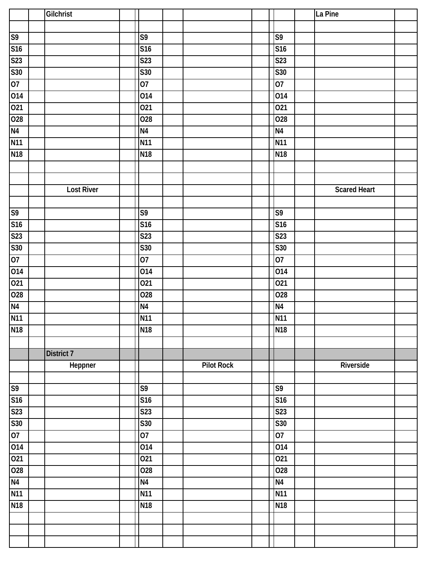|                 | Gilchrist         |                 |                   |                 | La Pine             |  |
|-----------------|-------------------|-----------------|-------------------|-----------------|---------------------|--|
|                 |                   |                 |                   |                 |                     |  |
| S <sub>9</sub>  |                   | S <sub>9</sub>  |                   | S9              |                     |  |
| <b>S16</b>      |                   | <b>S16</b>      |                   | <b>S16</b>      |                     |  |
| <b>S23</b>      |                   | S23             |                   | S <sub>23</sub> |                     |  |
| S30             |                   | <b>S30</b>      |                   | <b>S30</b>      |                     |  |
| 07              |                   | 07              |                   | 07              |                     |  |
| 014             |                   | 014             |                   | 014             |                     |  |
| 021             |                   | 021             |                   | 021             |                     |  |
| 028             |                   | 028             |                   | 028             |                     |  |
| N <sub>4</sub>  |                   | N4              |                   | N <sub>4</sub>  |                     |  |
| <b>N11</b>      |                   | <b>N11</b>      |                   | <b>N11</b>      |                     |  |
| <b>N18</b>      |                   | <b>N18</b>      |                   | <b>N18</b>      |                     |  |
|                 |                   |                 |                   |                 |                     |  |
|                 |                   |                 |                   |                 |                     |  |
|                 | <b>Lost River</b> |                 |                   |                 | <b>Scared Heart</b> |  |
|                 |                   |                 |                   |                 |                     |  |
| S <sub>9</sub>  |                   | S <sub>9</sub>  |                   | S9              |                     |  |
| <b>S16</b>      |                   | <b>S16</b>      |                   | <b>S16</b>      |                     |  |
| S <sub>23</sub> |                   | <b>S23</b>      |                   | <b>S23</b>      |                     |  |
| S30             |                   | S30             |                   | S30             |                     |  |
| 07              |                   | 07              |                   | 07              |                     |  |
| 014             |                   | 014             |                   | 014             |                     |  |
| 021             |                   | 021             |                   | 021             |                     |  |
| 028             |                   | 028             |                   | 028             |                     |  |
| N4              |                   | N4              |                   | N4              |                     |  |
| <b>N11</b>      |                   | <b>N11</b>      |                   | <b>N11</b>      |                     |  |
| N18             |                   | N18             |                   | N <sub>18</sub> |                     |  |
|                 |                   |                 |                   |                 |                     |  |
|                 | District 7        |                 |                   |                 |                     |  |
|                 | Heppner           |                 | <b>Pilot Rock</b> |                 | Riverside           |  |
|                 |                   |                 |                   |                 |                     |  |
| S <sub>9</sub>  |                   | S <sub>9</sub>  |                   | S9              |                     |  |
| <b>S16</b>      |                   | <b>S16</b>      |                   | S16             |                     |  |
| S23             |                   | <b>S23</b>      |                   | <b>S23</b>      |                     |  |
| S30             |                   | S30             |                   | S30             |                     |  |
| 07              |                   | 07              |                   | $\overline{07}$ |                     |  |
| 014             |                   | 014             |                   | 014             |                     |  |
| 021             |                   | 021             |                   | 021             |                     |  |
| 028             |                   | 028             |                   | 028             |                     |  |
| N4              |                   | N4              |                   | N4              |                     |  |
| N11             |                   | <b>N11</b>      |                   | <b>N11</b>      |                     |  |
| N <sub>18</sub> |                   | N <sub>18</sub> |                   | <b>N18</b>      |                     |  |
|                 |                   |                 |                   |                 |                     |  |
|                 |                   |                 |                   |                 |                     |  |
|                 |                   |                 |                   |                 |                     |  |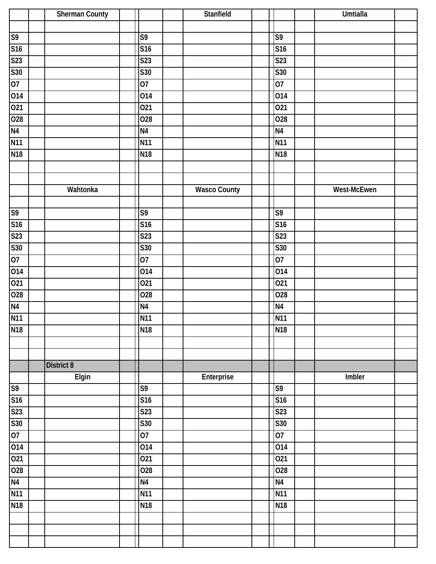|                                | <b>Sherman County</b> |                 | Stanfield           |                 | Umtialla    |  |
|--------------------------------|-----------------------|-----------------|---------------------|-----------------|-------------|--|
|                                |                       |                 |                     |                 |             |  |
| S <sub>9</sub>                 |                       | S9              |                     | S9              |             |  |
| $\overline{\text{S16}}$        |                       | <b>S16</b>      |                     | <b>S16</b>      |             |  |
|                                |                       | <b>S23</b>      |                     | S23             |             |  |
|                                |                       | <b>S30</b>      |                     | S30             |             |  |
| S23<br>S30<br>O7               |                       | 07              |                     | 07              |             |  |
| 014                            |                       | 014             |                     | 014             |             |  |
| 021                            |                       | 021             |                     | 021             |             |  |
| 028                            |                       | 028             |                     | 028             |             |  |
| N <sub>4</sub>                 |                       | N4              |                     | N4              |             |  |
| <b>N11</b>                     |                       | <b>N11</b>      |                     | <b>N11</b>      |             |  |
| <b>N18</b>                     |                       | <b>N18</b>      |                     | <b>N18</b>      |             |  |
|                                |                       |                 |                     |                 |             |  |
|                                |                       |                 |                     |                 |             |  |
|                                | Wahtonka              |                 | <b>Wasco County</b> |                 | West-McEwen |  |
|                                |                       |                 |                     |                 |             |  |
| S <sub>9</sub>                 |                       | S <sub>9</sub>  |                     | S9              |             |  |
| $\overline{\text{S16}}$        |                       | <b>S16</b>      |                     | <b>S16</b>      |             |  |
| S23                            |                       | S <sub>23</sub> |                     | S23             |             |  |
| $\frac{$30}{$07}$              |                       | <b>S30</b>      |                     | <b>S30</b>      |             |  |
|                                |                       | 07              |                     | $\overline{07}$ |             |  |
| 014                            |                       | 014             |                     | 014             |             |  |
| 021                            |                       | 021             |                     | 021             |             |  |
| 028                            |                       | 028             |                     | 028             |             |  |
| N <sub>4</sub>                 |                       | N <sub>4</sub>  |                     | N <sub>4</sub>  |             |  |
| N11                            |                       | <b>N11</b>      |                     | <b>N11</b>      |             |  |
| N18                            |                       | N18             |                     | N18             |             |  |
|                                |                       |                 |                     |                 |             |  |
|                                |                       |                 |                     |                 |             |  |
|                                | <b>District 8</b>     |                 |                     |                 |             |  |
|                                | Elgin                 |                 | Enterprise          |                 | Imbler      |  |
| S <sub>9</sub>                 |                       | S9              |                     | S9              |             |  |
| S16                            |                       | <b>S16</b>      |                     | S16             |             |  |
| $\overline{\text{S23}}$        |                       | <b>S23</b>      |                     | S <sub>23</sub> |             |  |
| $\frac{\text{S30}}{\text{O7}}$ |                       | S30             |                     | S30             |             |  |
|                                |                       | 07              |                     | $\overline{07}$ |             |  |
| 014                            |                       | 014             |                     | 014             |             |  |
| 021                            |                       | 021             |                     | 021             |             |  |
| 028                            |                       | 028             |                     | 028             |             |  |
| N <sub>4</sub>                 |                       | N <sub>4</sub>  |                     | N4              |             |  |
| N11                            |                       | <b>N11</b>      |                     | <b>N11</b>      |             |  |
| N <sub>18</sub>                |                       | <b>N18</b>      |                     | <b>N18</b>      |             |  |
|                                |                       |                 |                     |                 |             |  |
|                                |                       |                 |                     |                 |             |  |
|                                |                       |                 |                     |                 |             |  |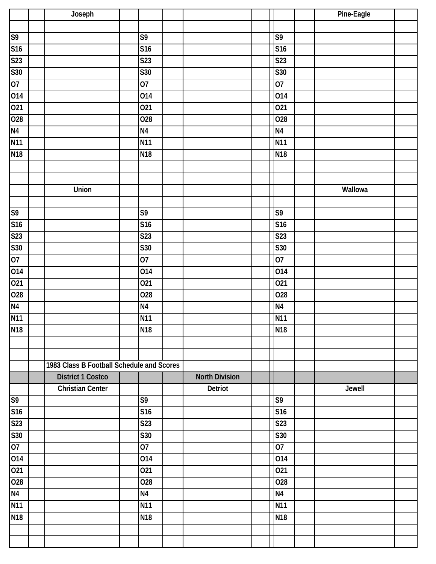|                         | Joseph                                    |                  |                       |                 | Pine-Eagle |  |
|-------------------------|-------------------------------------------|------------------|-----------------------|-----------------|------------|--|
|                         |                                           |                  |                       |                 |            |  |
| S <sub>9</sub>          |                                           | S9               |                       | S9              |            |  |
| <b>S16</b>              |                                           | <b>S16</b>       |                       | S16             |            |  |
| S23                     |                                           | S23              |                       | S23             |            |  |
|                         |                                           | <b>S30</b>       |                       | <b>S30</b>      |            |  |
| $\frac{$30}{$07}$       |                                           | 07               |                       | 07              |            |  |
| 014                     |                                           | 014              |                       | 014             |            |  |
| 021                     |                                           | 021              |                       | 021             |            |  |
| 028                     |                                           | 028              |                       | 028             |            |  |
| N <sub>4</sub>          |                                           | N4               |                       | N <sub>4</sub>  |            |  |
| <b>N11</b>              |                                           | <b>N11</b>       |                       | <b>N11</b>      |            |  |
| <b>N18</b>              |                                           | <b>N18</b>       |                       | <b>N18</b>      |            |  |
|                         |                                           |                  |                       |                 |            |  |
|                         |                                           |                  |                       |                 |            |  |
|                         | Union                                     |                  |                       |                 | Wallowa    |  |
|                         |                                           |                  |                       |                 |            |  |
| S <sub>9</sub>          |                                           | S <sub>9</sub>   |                       | S9              |            |  |
| $\overline{\text{S16}}$ |                                           | <b>S16</b>       |                       | <b>S16</b>      |            |  |
| S23                     |                                           | S23              |                       | S23             |            |  |
| $\frac{$30}{$07}$       |                                           | <b>S30</b>       |                       | S30             |            |  |
|                         |                                           | 07               |                       | $\overline{07}$ |            |  |
| 014                     |                                           | 014              |                       | 014             |            |  |
| 021                     |                                           | 021              |                       | 021             |            |  |
| 028<br>N4               |                                           | 028              |                       | 028             |            |  |
|                         |                                           | N <sub>4</sub>   |                       | N <sub>4</sub>  |            |  |
| N11                     |                                           | $\overline{N}11$ |                       | <b>N11</b>      |            |  |
| N <sub>18</sub>         |                                           | N <sub>18</sub>  |                       | N <sub>18</sub> |            |  |
|                         |                                           |                  |                       |                 |            |  |
|                         |                                           |                  |                       |                 |            |  |
|                         | 1983 Class B Football Schedule and Scores |                  |                       |                 |            |  |
|                         | <b>District 1 Costco</b>                  |                  | <b>North Division</b> |                 |            |  |
|                         | <b>Christian Center</b>                   |                  | Detriot               |                 | Jewell     |  |
| S <sub>9</sub>          |                                           | S9               |                       | S9              |            |  |
| S16                     |                                           | <b>S16</b>       |                       | S16             |            |  |
| S23                     |                                           | <b>S23</b>       |                       | S <sub>23</sub> |            |  |
| S30                     |                                           | <b>S30</b>       |                       | S30             |            |  |
| 07                      |                                           | 07               |                       | 07              |            |  |
| 014                     |                                           | 014              |                       | 014             |            |  |
| 021                     |                                           | 021              |                       | 021             |            |  |
| 028                     |                                           | 028              |                       | 028             |            |  |
| N <sub>4</sub>          |                                           | N4               |                       | N4              |            |  |
| <b>N11</b>              |                                           | N <sub>11</sub>  |                       | <b>N11</b>      |            |  |
| <b>N18</b>              |                                           | <b>N18</b>       |                       | <b>N18</b>      |            |  |
|                         |                                           |                  |                       |                 |            |  |
|                         |                                           |                  |                       |                 |            |  |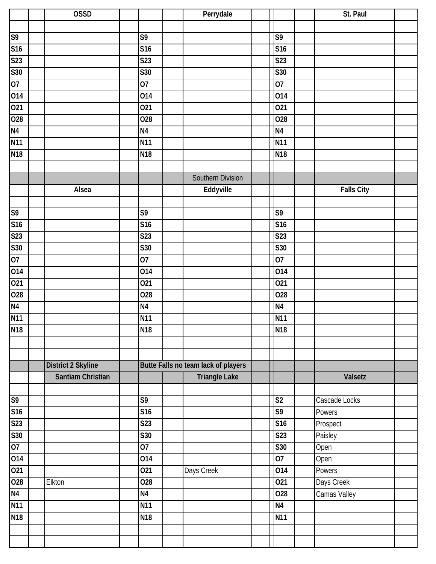|                 | <b>OSSD</b>               |                  | Perrydale                           |                           | St. Paul          |  |
|-----------------|---------------------------|------------------|-------------------------------------|---------------------------|-------------------|--|
|                 |                           |                  |                                     |                           |                   |  |
| S <sub>9</sub>  |                           | S <sub>9</sub>   |                                     | S9                        |                   |  |
| S16             |                           | S16              |                                     | S16                       |                   |  |
| S <sub>23</sub> |                           | <b>S23</b>       |                                     | S <sub>23</sub>           |                   |  |
| S30             |                           | S30              |                                     | S30                       |                   |  |
| 07              |                           | 07               |                                     | 07                        |                   |  |
| 014             |                           | 014              |                                     | 014                       |                   |  |
| 021             |                           | 021              |                                     | 021                       |                   |  |
| 028             |                           | 028              |                                     | $\overline{O28}$          |                   |  |
| N <sub>4</sub>  |                           | N <sub>4</sub>   |                                     | N4                        |                   |  |
| <b>N11</b>      |                           | <b>N11</b>       |                                     | <b>N11</b>                |                   |  |
| <b>N18</b>      |                           | <b>N18</b>       |                                     | <b>N18</b>                |                   |  |
|                 |                           |                  |                                     |                           |                   |  |
|                 |                           |                  | Southern Division                   |                           |                   |  |
|                 | Alsea                     |                  | Eddyville                           |                           | <b>Falls City</b> |  |
|                 |                           |                  |                                     |                           |                   |  |
| S <sub>9</sub>  |                           | S9               |                                     | S9                        |                   |  |
| <b>S16</b>      |                           | <b>S16</b>       |                                     | S16                       |                   |  |
| S <sub>23</sub> |                           | <b>S23</b>       |                                     | S23                       |                   |  |
| S30             |                           | <b>S30</b>       |                                     | S30                       |                   |  |
| 07              |                           | 07               |                                     | $\overline{07}$           |                   |  |
| 014             |                           | 014              |                                     | 014                       |                   |  |
| 021             |                           | 021              |                                     | 021                       |                   |  |
| 028             |                           | 028              |                                     | 028                       |                   |  |
| N4              |                           | N <sub>4</sub>   |                                     | N <sub>4</sub>            |                   |  |
| <b>N11</b>      |                           | <b>N11</b>       |                                     | <b>N11</b>                |                   |  |
| N <sub>18</sub> |                           | N18              |                                     | N18                       |                   |  |
|                 |                           |                  |                                     |                           |                   |  |
|                 |                           |                  |                                     |                           |                   |  |
|                 | <b>District 2 Skyline</b> |                  | Butte Falls no team lack of players |                           |                   |  |
|                 | Santiam Christian         |                  | <b>Triangle Lake</b>                |                           | Valsetz           |  |
|                 |                           |                  |                                     |                           |                   |  |
| S9              |                           | S9               |                                     | S <sub>2</sub>            | Cascade Locks     |  |
| S16             |                           | <b>S16</b>       |                                     | $\overline{\mathsf{S}^9}$ | Powers            |  |
| <b>S23</b>      |                           | S <sub>23</sub>  |                                     | S16                       | Prospect          |  |
| S30             |                           | <b>S30</b>       |                                     | <b>S23</b>                | Paisley           |  |
| 07              |                           | 07               |                                     | S30                       | Open              |  |
| 014             |                           | 014              |                                     | $\overline{07}$           | Open              |  |
| 021             |                           | 021              | Days Creek                          | 014                       | Powers            |  |
| 028             | Elkton                    | 028              |                                     | 021                       | Days Creek        |  |
| N4              |                           | N <sub>4</sub>   |                                     | 028                       | Camas Valley      |  |
| <b>N11</b>      |                           | <b>N11</b>       |                                     | N <sub>4</sub>            |                   |  |
| <b>N18</b>      |                           | $\overline{N18}$ |                                     | <b>N11</b>                |                   |  |
|                 |                           |                  |                                     |                           |                   |  |
|                 |                           |                  |                                     |                           |                   |  |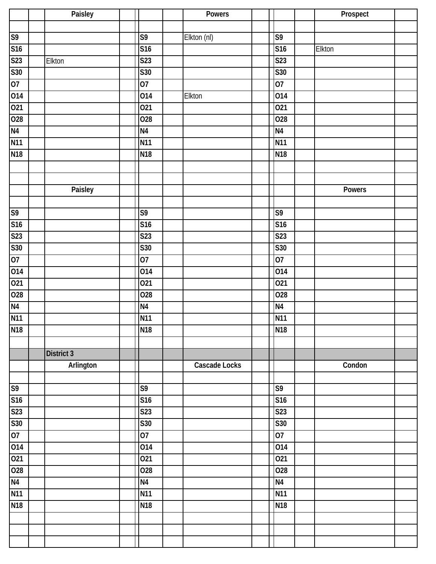|                   | Paisley    |                 | Powers        |                         | Prospect      |  |
|-------------------|------------|-----------------|---------------|-------------------------|---------------|--|
|                   |            |                 |               |                         |               |  |
| S <sub>9</sub>    |            | S9              | Elkton (nl)   | S9                      |               |  |
| S16               |            | S16             |               | S16                     | Elkton        |  |
| S23               | Elkton     | S23             |               | $\overline{\text{S23}}$ |               |  |
|                   |            | <b>S30</b>      |               | S30                     |               |  |
| $\frac{$30}{$07}$ |            | 07              |               | 07                      |               |  |
| 014               |            | 014             | Elkton        | $\overline{014}$        |               |  |
| 021               |            | 021             |               | $\overline{021}$        |               |  |
| 028               |            | 028             |               | 028                     |               |  |
| N <sub>4</sub>    |            | N4              |               | N4                      |               |  |
| <b>N11</b>        |            | <b>N11</b>      |               | <b>N11</b>              |               |  |
| <b>N18</b>        |            | <b>N18</b>      |               | <b>N18</b>              |               |  |
|                   |            |                 |               |                         |               |  |
|                   |            |                 |               |                         |               |  |
|                   | Paisley    |                 |               |                         | <b>Powers</b> |  |
|                   |            |                 |               |                         |               |  |
| S <sub>9</sub>    |            | S <sub>9</sub>  |               | S9                      |               |  |
| <b>S16</b>        |            | <b>S16</b>      |               | <b>S16</b>              |               |  |
| S23               |            | S <sub>23</sub> |               | S <sub>23</sub>         |               |  |
| S30               |            | S30             |               | S30                     |               |  |
| 07                |            | 07              |               | $\overline{07}$         |               |  |
| 014               |            | 014             |               | 014                     |               |  |
| 021               |            | 021             |               | $\overline{021}$        |               |  |
| 028               |            | 028             |               | 028                     |               |  |
| N4                |            | N4              |               | N4                      |               |  |
| N11               |            | <b>N11</b>      |               | <b>N11</b>              |               |  |
| N18               |            | N18             |               | $\sqrt{\sqrt{N18}}$     |               |  |
|                   |            |                 |               |                         |               |  |
|                   | District 3 |                 |               |                         |               |  |
|                   | Arlington  |                 | Cascade Locks |                         | Condon        |  |
|                   |            |                 |               |                         |               |  |
| S <sub>9</sub>    |            | S <sub>9</sub>  |               | S <sub>9</sub>          |               |  |
| <b>S16</b>        |            | <b>S16</b>      |               | S16                     |               |  |
| S23               |            | <b>S23</b>      |               | S <sub>23</sub>         |               |  |
| S30               |            | S30             |               | S30                     |               |  |
| 07                |            | 07              |               | $\overline{07}$         |               |  |
| 014               |            | 014             |               | 014                     |               |  |
| 021               |            | 021             |               | 021                     |               |  |
| 028               |            | 028             |               | 028                     |               |  |
| N <sub>4</sub>    |            | N4              |               | N4                      |               |  |
| <b>N11</b>        |            | <b>N11</b>      |               | <b>N11</b>              |               |  |
| <b>N18</b>        |            | <b>N18</b>      |               | N <sub>18</sub>         |               |  |
|                   |            |                 |               |                         |               |  |
|                   |            |                 |               |                         |               |  |
|                   |            |                 |               |                         |               |  |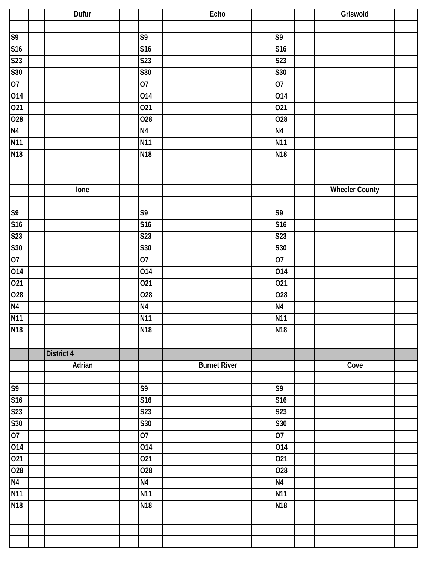|                   | Dufur             |                | Echo                |                          | Griswold              |  |
|-------------------|-------------------|----------------|---------------------|--------------------------|-----------------------|--|
|                   |                   |                |                     |                          |                       |  |
| S <sub>9</sub>    |                   | S9             |                     | S9                       |                       |  |
| <b>S16</b>        |                   | S16            |                     | S16                      |                       |  |
| <b>S23</b>        |                   | S23            |                     | S23                      |                       |  |
|                   |                   | <b>S30</b>     |                     | S30                      |                       |  |
| $\frac{$30}{$07}$ |                   | 07             |                     | 07                       |                       |  |
| 014               |                   | 014            |                     | $\overline{014}$         |                       |  |
| 021               |                   | 021            |                     | $\overline{021}$         |                       |  |
| 028               |                   | 028            |                     | 028                      |                       |  |
| N <sub>4</sub>    |                   | N4             |                     | N <sub>4</sub>           |                       |  |
| <b>N11</b>        |                   | <b>N11</b>     |                     | <b>N11</b>               |                       |  |
| <b>N18</b>        |                   | <b>N18</b>     |                     | <b>N18</b>               |                       |  |
|                   |                   |                |                     |                          |                       |  |
|                   |                   |                |                     |                          |                       |  |
|                   | lone              |                |                     |                          | <b>Wheeler County</b> |  |
|                   |                   |                |                     |                          |                       |  |
| S <sub>9</sub>    |                   | S <sub>9</sub> |                     | S9                       |                       |  |
| <b>S16</b>        |                   | <b>S16</b>     |                     | S16                      |                       |  |
| S <sub>23</sub>   |                   | S23            |                     | S <sub>23</sub>          |                       |  |
| S30               |                   | <b>S30</b>     |                     | S30                      |                       |  |
| 07                |                   | 07             |                     | $\overline{07}$          |                       |  |
| 014               |                   | 014            |                     | 014                      |                       |  |
| 021               |                   | 021            |                     | $\overline{021}$         |                       |  |
| 028               |                   | 028            |                     | 028                      |                       |  |
| N4                |                   | N4             |                     | N <sub>4</sub>           |                       |  |
| N11               |                   | <b>N11</b>     |                     | <b>N11</b>               |                       |  |
| N18               |                   | N18            |                     | $\sqrt{\phantom{a}}$ N18 |                       |  |
|                   |                   |                |                     |                          |                       |  |
|                   | <b>District 4</b> |                |                     |                          |                       |  |
|                   | Adrian            |                | <b>Burnet River</b> |                          | Cove                  |  |
|                   |                   |                |                     |                          |                       |  |
| S <sub>9</sub>    |                   | S <sub>9</sub> |                     | S <sub>9</sub>           |                       |  |
| <b>S16</b>        |                   | <b>S16</b>     |                     | <b>S16</b>               |                       |  |
| S23               |                   | <b>S23</b>     |                     | <b>S23</b>               |                       |  |
| S30               |                   | S30            |                     | S30                      |                       |  |
| 07                |                   | 07             |                     | $\overline{07}$          |                       |  |
| 014               |                   | 014            |                     | 014                      |                       |  |
| 021               |                   | 021            |                     | 021                      |                       |  |
| 028               |                   | 028            |                     | 028                      |                       |  |
| N <sub>4</sub>    |                   | N4             |                     | N4                       |                       |  |
| <b>N11</b>        |                   | <b>N11</b>     |                     | <b>N11</b>               |                       |  |
| <b>N18</b>        |                   | <b>N18</b>     |                     | <b>N18</b>               |                       |  |
|                   |                   |                |                     |                          |                       |  |
|                   |                   |                |                     |                          |                       |  |
|                   |                   |                |                     |                          |                       |  |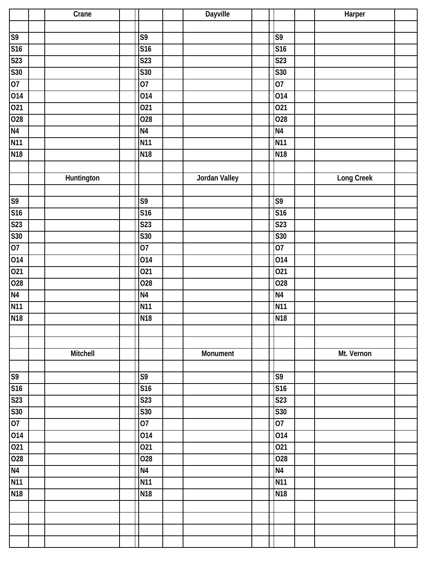|                                           | Crane      |                 | Dayville      |                  | Harper     |  |
|-------------------------------------------|------------|-----------------|---------------|------------------|------------|--|
|                                           |            |                 |               |                  |            |  |
| S <sub>9</sub>                            |            | S <sub>9</sub>  |               | S9               |            |  |
| <b>S16</b>                                |            | S16             |               | S16              |            |  |
| S23                                       |            | S <sub>23</sub> |               | S <sub>23</sub>  |            |  |
| $\frac{\overline{\text{S30}}}{\text{O7}}$ |            | <b>S30</b>      |               | S30              |            |  |
|                                           |            | 07              |               | 07               |            |  |
|                                           |            | 014             |               | 014              |            |  |
| 021                                       |            | 021             |               | 021              |            |  |
| 028                                       |            | 028             |               | 028              |            |  |
| N <sub>4</sub>                            |            | N4              |               | N4               |            |  |
| <b>N11</b>                                |            | <b>N11</b>      |               | <b>N11</b>       |            |  |
| <b>N18</b>                                |            | <b>N18</b>      |               | $\overline{N18}$ |            |  |
|                                           |            |                 |               |                  |            |  |
|                                           | Huntington |                 | Jordan Valley |                  | Long Creek |  |
|                                           |            |                 |               |                  |            |  |
| S <sub>9</sub>                            |            | S <sub>9</sub>  |               | S <sub>9</sub>   |            |  |
| <b>S16</b>                                |            | <b>S16</b>      |               | S16              |            |  |
| S23                                       |            | <b>S23</b>      |               | S23              |            |  |
| S30                                       |            | S30             |               | S30              |            |  |
| 07                                        |            | 07              |               | 07               |            |  |
| 014                                       |            | 014             |               | 014              |            |  |
| 021                                       |            | 021             |               | 021              |            |  |
| 028                                       |            | 028             |               | 028              |            |  |
| N <sub>4</sub>                            |            | N4              |               | N4               |            |  |
| <b>N11</b>                                |            | <b>N11</b>      |               | <b>N11</b>       |            |  |
| <b>N18</b>                                |            | <b>N18</b>      |               | <b>N18</b>       |            |  |
|                                           |            |                 |               |                  |            |  |
|                                           |            |                 |               |                  |            |  |
|                                           | Mitchell   |                 | Monument      |                  | Mt. Vernon |  |
|                                           |            |                 |               |                  |            |  |
| S <sub>9</sub>                            |            | S9              |               | S9               |            |  |
| <b>S16</b>                                |            | <b>S16</b>      |               | <b>S16</b>       |            |  |
| S23                                       |            | <b>S23</b>      |               | S23              |            |  |
| S30                                       |            | <b>S30</b>      |               | S30              |            |  |
|                                           |            | 07              |               | 07               |            |  |
| $\frac{07}{014}$                          |            | 014             |               | 014              |            |  |
| 021                                       |            | 021             |               | 021              |            |  |
| 028                                       |            | 028             |               | 028              |            |  |
| N <sub>4</sub>                            |            | N4              |               | N4               |            |  |
| <b>N11</b>                                |            | <b>N11</b>      |               | <b>N11</b>       |            |  |
| <b>N18</b>                                |            | <b>N18</b>      |               | <b>N18</b>       |            |  |
|                                           |            |                 |               |                  |            |  |
|                                           |            |                 |               |                  |            |  |
|                                           |            |                 |               |                  |            |  |
|                                           |            |                 |               |                  |            |  |